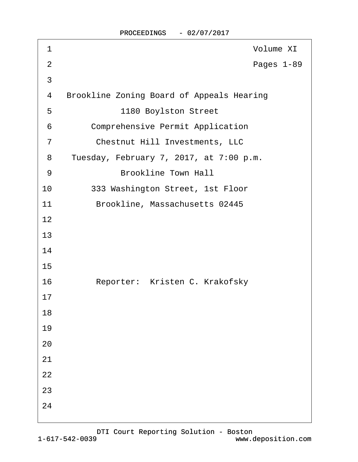| 1              | <b>Volume XI</b>                                 |
|----------------|--------------------------------------------------|
| $\overline{2}$ | Pages 1-89                                       |
| 3              |                                                  |
| 4              | <b>Brookline Zoning Board of Appeals Hearing</b> |
| 5              | 1180 Boylston Street                             |
| 6              | <b>Comprehensive Permit Application</b>          |
| $\overline{7}$ | <b>Chestnut Hill Investments, LLC</b>            |
| 8              | Tuesday, February 7, 2017, at 7:00 p.m.          |
| 9              | <b>Brookline Town Hall</b>                       |
| 10             | 333 Washington Street, 1st Floor                 |
| 11             | Brookline, Massachusetts 02445                   |
| 12             |                                                  |
| 13             |                                                  |
| 14             |                                                  |
| 15             |                                                  |
| 16             | Reporter: Kristen C. Krakofsky                   |
| 17             |                                                  |
| 18             |                                                  |
| 19             |                                                  |
| 20             |                                                  |
| 21             |                                                  |
| 22             |                                                  |
| 23             |                                                  |
| 24             |                                                  |
|                |                                                  |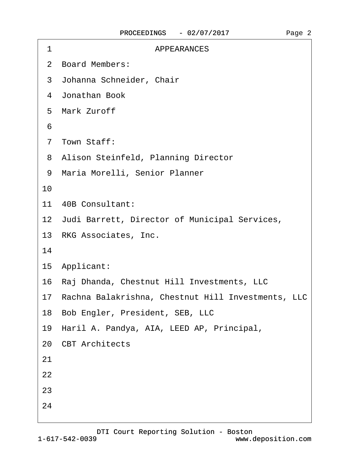| 1  | <b>APPEARANCES</b>                                    |
|----|-------------------------------------------------------|
|    | 2 Board Members:                                      |
|    | 3 Johanna Schneider, Chair                            |
|    | 4 Jonathan Book                                       |
|    | 5 Mark Zuroff                                         |
| 6  |                                                       |
|    | 7 Town Staff:                                         |
|    | 8 Alison Steinfeld, Planning Director                 |
|    | 9 Maria Morelli, Senior Planner                       |
| 10 |                                                       |
|    | 11 40B Consultant:                                    |
|    | 12 Judi Barrett, Director of Municipal Services,      |
|    | 13 RKG Associates, Inc.                               |
| 14 |                                                       |
|    | 15 Applicant:                                         |
|    | 16 Raj Dhanda, Chestnut Hill Investments, LLC         |
|    | 17 Rachna Balakrishna, Chestnut Hill Investments, LLC |
|    | 18 Bob Engler, President, SEB, LLC                    |
|    | 19 Haril A. Pandya, AIA, LEED AP, Principal,          |
|    | 20 CBT Architects                                     |
| 21 |                                                       |
| 22 |                                                       |
| 23 |                                                       |
| 24 |                                                       |
|    |                                                       |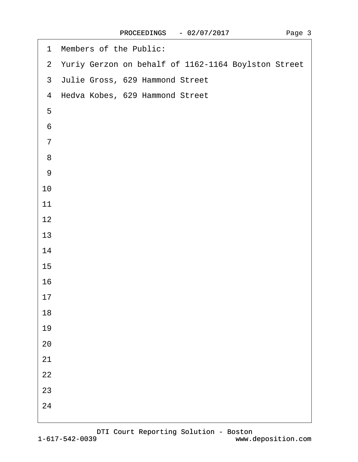| 2 Yuriy Gerzon on behalf of 1162-1164 Boylston Street<br>3 Julie Gross, 629 Hammond Street<br>4 Hedva Kobes, 629 Hammond Street<br>5<br>$6\phantom{1}6$<br>$\overline{7}$<br>8<br>$9\,$<br>10 |
|-----------------------------------------------------------------------------------------------------------------------------------------------------------------------------------------------|
|                                                                                                                                                                                               |
|                                                                                                                                                                                               |
|                                                                                                                                                                                               |
|                                                                                                                                                                                               |
|                                                                                                                                                                                               |
|                                                                                                                                                                                               |
|                                                                                                                                                                                               |
|                                                                                                                                                                                               |
|                                                                                                                                                                                               |
| 11                                                                                                                                                                                            |
| 12                                                                                                                                                                                            |
| 13                                                                                                                                                                                            |
| 14                                                                                                                                                                                            |
| 15                                                                                                                                                                                            |
| 16                                                                                                                                                                                            |
| 17                                                                                                                                                                                            |
| 18                                                                                                                                                                                            |
| 19                                                                                                                                                                                            |
| 20                                                                                                                                                                                            |
| 21                                                                                                                                                                                            |
| 22                                                                                                                                                                                            |
| 23                                                                                                                                                                                            |
| 24                                                                                                                                                                                            |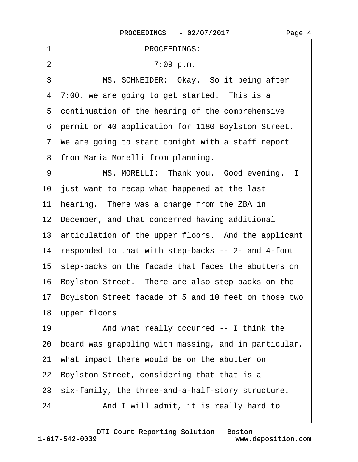| 1<br>PROCEEDINGS:                                       |
|---------------------------------------------------------|
| $\overline{2}$<br>7:09 p.m.                             |
| 3<br>MS. SCHNEIDER: Okay. So it being after             |
| 4 7:00, we are going to get started. This is a          |
| 5 continuation of the hearing of the comprehensive      |
| 6 permit or 40 application for 1180 Boylston Street.    |
| 7 We are going to start tonight with a staff report     |
| 8 from Maria Morelli from planning.                     |
| MS. MORELLI: Thank you. Good evening. I<br>9            |
| 10 just want to recap what happened at the last         |
| hearing. There was a charge from the ZBA in<br>11       |
| 12 December, and that concerned having additional       |
| 13 articulation of the upper floors. And the applicant  |
| 14 responded to that with step-backs -- 2- and 4-foot   |
| 15 step-backs on the facade that faces the abutters on  |
| 16 Boylston Street. There are also step-backs on the    |
| 17 Boylston Street facade of 5 and 10 feet on those two |
| 18 upper floors.                                        |
| 19<br>And what really occurred -- I think the           |
| 20 board was grappling with massing, and in particular, |
| 21 what impact there would be on the abutter on         |
| 22 Boylston Street, considering that that is a          |
| 23 six-family, the three-and-a-half-story structure.    |
| And I will admit, it is really hard to<br>24            |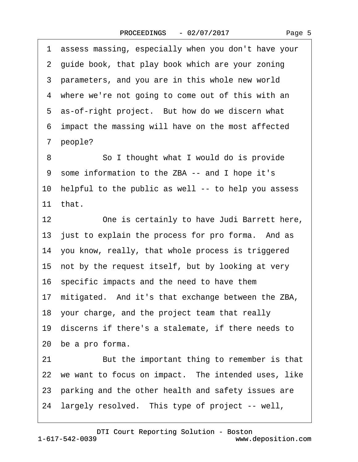1 assess massing, especially when you don't have your 2 guide book, that play book which are your zoning 3 parameters, and you are in this whole new world 4 where we're not going to come out of this with an 5 as-of-right project. But how do we discern what ·6· impact the massing will have on the most affected 7 people? 8 **Solithought what I would do is provide** 9 some information to the ZBA -- and I hope it's 10 helpful to the public as well -- to help you assess 11· that. 12 One is certainly to have Judi Barrett here, 13 just to explain the process for pro forma. And as 14· you know, really, that whole process is triggered 15 not by the request itself, but by looking at very 16· specific impacts and the need to have them 17· mitigated.· And it's that exchange between the ZBA, 18· your charge, and the project team that really 19· discerns if there's a stalemate, if there needs to 20 be a pro forma. 21 But the important thing to remember is that 22 we want to focus on impact. The intended uses, like 23 parking and the other health and safety issues are 24 largely resolved. This type of project -- well,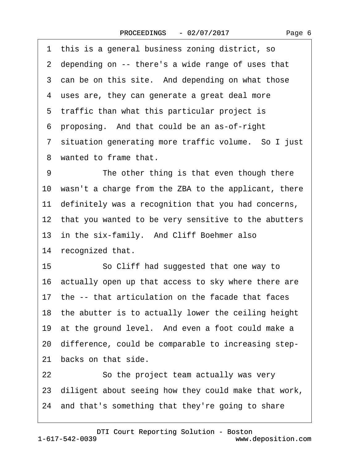1 this is a general business zoning district, so 2 depending on -- there's a wide range of uses that 3 can be on this site. And depending on what those 4 uses are, they can generate a great deal more 5 traffic than what this particular project is ·6· proposing.· And that could be an as-of-right 7 situation generating more traffic volume. So I just 8 wanted to frame that. 9 The other thing is that even though there 10 wasn't a charge from the ZBA to the applicant, there 11 definitely was a recognition that you had concerns, 12 that you wanted to be very sensitive to the abutters 13 in the six-family. And Cliff Boehmer also 14 recognized that. 15 **· · So Cliff had suggested that one way to** 16 actually open up that access to sky where there are 17· the -- that articulation on the facade that faces 18 the abutter is to actually lower the ceiling height 19 at the ground level. And even a foot could make a 20· difference, could be comparable to increasing step-21 backs on that side. 22 So the project team actually was very 23· diligent about seeing how they could make that work, 24· and that's something that they're going to share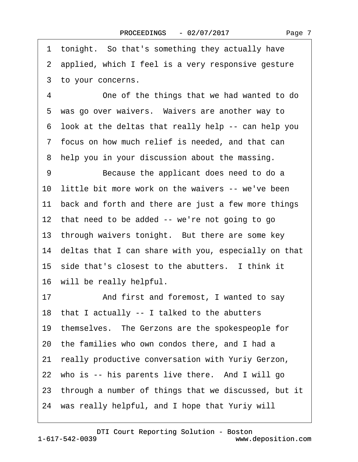Page 7

1 tonight. So that's something they actually have 2 applied, which I feel is a very responsive gesture 3 to your concerns.

4 One of the things that we had wanted to do 5 was go over waivers. Waivers are another way to ·6· look at the deltas that really help -- can help you ·7· focus on how much relief is needed, and that can 8 help you in your discussion about the massing.

9 Because the applicant does need to do a 10 little bit more work on the waivers -- we've been 11 back and forth and there are just a few more things 12 that need to be added -- we're not going to go 13 through waivers tonight. But there are some key 14· deltas that I can share with you, especially on that 15 side that's closest to the abutters. I think it 16 will be really helpful.

17 • And first and foremost, I wanted to say

18· that I actually -- I talked to the abutters

19· themselves.· The Gerzons are the spokespeople for

- 20· the families who own condos there, and I had a
- 21· really productive conversation with Yuriy Gerzon,

22 who is -- his parents live there. And I will go

23 through a number of things that we discussed, but it

24 was really helpful, and I hope that Yuriy will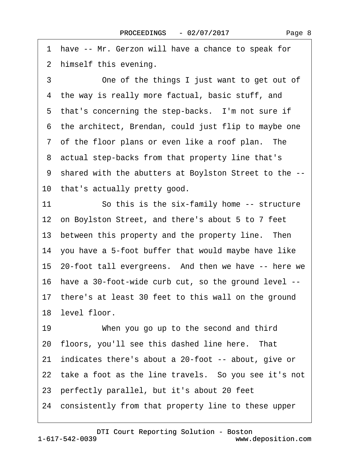1 have -- Mr. Gerzon will have a chance to speak for 2 himself this evening.

3 One of the things I just want to get out of 4 the way is really more factual, basic stuff, and 5 that's concerning the step-backs. I'm not sure if ·6· the architect, Brendan, could just flip to maybe one 7 of the floor plans or even like a roof plan. The 8 actual step-backs from that property line that's ·9· shared with the abutters at Boylston Street to the -- 10 that's actually pretty good.

11 So this is the six-family home -- structure 12 on Boylston Street, and there's about 5 to 7 feet 13 between this property and the property line. Then 14 you have a 5-foot buffer that would maybe have like 15 20-foot tall evergreens. And then we have -- here we 16· have a 30-foot-wide curb cut, so the ground level -- 17 there's at least 30 feet to this wall on the ground 18 level floor. 19 When you go up to the second and third 20 floors, you'll see this dashed line here. That 21· indicates there's about a 20-foot -- about, give or 22 take a foot as the line travels. So you see it's not 23· perfectly parallel, but it's about 20 feet 24· consistently from that property line to these upper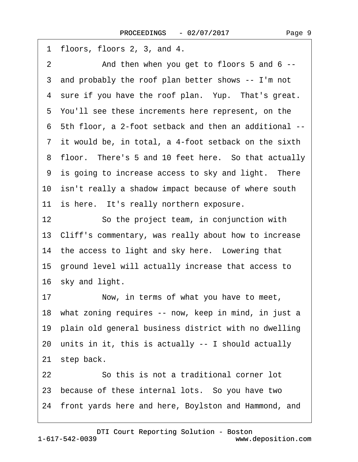1 floors, floors  $2, 3$ , and  $4$ . 2 And then when you get to floors 5 and 6 --3 and probably the roof plan better shows -- I'm not 4 sure if you have the roof plan. Yup. That's great. 5 You'll see these increments here represent, on the ·6· 5th floor, a 2-foot setback and then an additional -- 7 it would be, in total, a 4-foot setback on the sixth 8 floor. There's 5 and 10 feet here. So that actually 9 is going to increase access to sky and light. There 10 isn't really a shadow impact because of where south 11 is here. It's really northern exposure. 12 So the project team, in conjunction with 13· Cliff's commentary, was really about how to increase 14 the access to light and sky here. Lowering that 15· ground level will actually increase that access to 16 sky and light. 17 Now, in terms of what you have to meet, 18 what zoning requires -- now, keep in mind, in just a 19 plain old general business district with no dwelling 20· units in it, this is actually -- I should actually 21 step back. 22 **· · · · So this is not a traditional corner lot** 23 because of these internal lots. So you have two 24 front yards here and here, Boylston and Hammond, and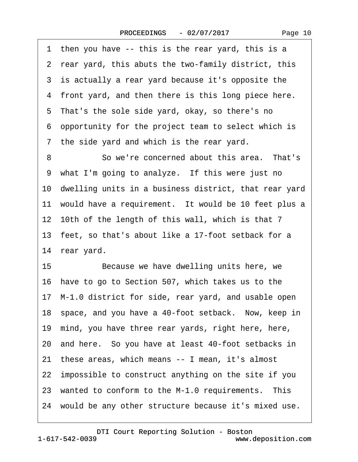1 then you have -- this is the rear yard, this is a ·2· rear yard, this abuts the two-family district, this 3 is actually a rear yard because it's opposite the 4 front yard, and then there is this long piece here. 5 That's the sole side yard, okay, so there's no ·6· opportunity for the project team to select which is ·7· the side yard and which is the rear yard. 8 **· · · So we're concerned about this area.** That's 9 what I'm going to analyze. If this were just no 10 dwelling units in a business district, that rear yard 11 would have a requirement. It would be 10 feet plus a 12 10th of the length of this wall, which is that 7 13 feet, so that's about like a 17-foot setback for a 14 rear yard. 15 Because we have dwelling units here, we 16· have to go to Section 507, which takes us to the 17· M-1.0 district for side, rear yard, and usable open 18 space, and you have a 40-foot setback. Now, keep in 19· mind, you have three rear yards, right here, here, 20· and here.· So you have at least 40-foot setbacks in 21· these areas, which means -- I mean, it's almost 22· impossible to construct anything on the site if you 23 wanted to conform to the M-1.0 requirements. This 24 would be any other structure because it's mixed use.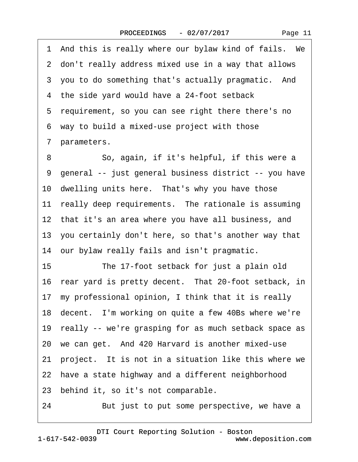Page 11

1 And this is really where our bylaw kind of fails. We ·2· don't really address mixed use in a way that allows 3 you to do something that's actually pragmatic. And 4 the side yard would have a 24-foot setback 5 requirement, so you can see right there there's no ·6· way to build a mixed-use project with those 7 parameters. 8 So, again, if it's helpful, if this were a ·9· general -- just general business district -- you have 10 dwelling units here. That's why you have those 11 really deep requirements. The rationale is assuming 12 that it's an area where you have all business, and 13· you certainly don't here, so that's another way that 14 our bylaw really fails and isn't pragmatic. 15 The 17-foot setback for just a plain old 16 rear yard is pretty decent. That 20-foot setback, in 17· my professional opinion, I think that it is really 18 decent. I'm working on quite a few 40Bs where we're 19 really -- we're grasping for as much setback space as 20 we can get. And 420 Harvard is another mixed-use 21 project. It is not in a situation like this where we 22 have a state highway and a different neighborhood 23 behind it, so it's not comparable. 24 But just to put some perspective, we have a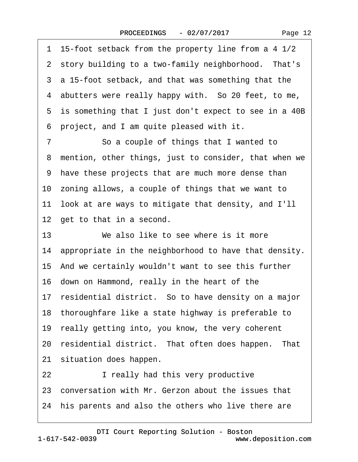·1· 15-foot setback from the property line from a 4 1/2 2 story building to a two-family neighborhood. That's 3 a 15-foot setback, and that was something that the 4 abutters were really happy with. So 20 feet, to me, 5 is something that I just don't expect to see in a 40B ·6· project, and I am quite pleased with it.

7 So a couple of things that I wanted to 8 mention, other things, just to consider, that when we ·9· have these projects that are much more dense than 10 zoning allows, a couple of things that we want to 11· look at are ways to mitigate that density, and I'll 12 get to that in a second.

13 We also like to see where is it more 14 appropriate in the neighborhood to have that density. 15 And we certainly wouldn't want to see this further 16· down on Hammond, really in the heart of the 17 residential district. So to have density on a major 18· thoroughfare like a state highway is preferable to 19 really getting into, you know, the very coherent 20 residential district. That often does happen. That 21 situation does happen. 22 **I** really had this very productive 23 conversation with Mr. Gerzon about the issues that 24 his parents and also the others who live there are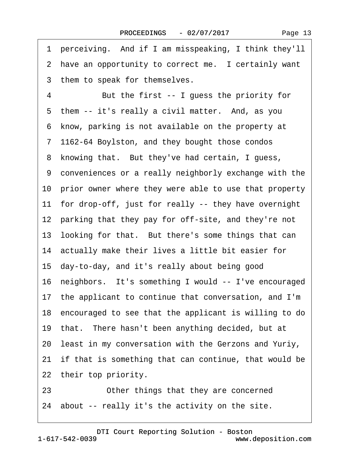|  | Page 13 |  |
|--|---------|--|
|--|---------|--|

| 1  | perceiving. And if I am misspeaking, I think they'll     |
|----|----------------------------------------------------------|
|    | 2 have an opportunity to correct me. I certainly want    |
|    | 3 them to speak for themselves.                          |
| 4  | But the first -- I guess the priority for                |
|    | 5 them -- it's really a civil matter. And, as you        |
|    | 6 know, parking is not available on the property at      |
|    | 7 1162-64 Boylston, and they bought those condos         |
|    | 8 knowing that. But they've had certain, I guess,        |
|    | 9 conveniences or a really neighborly exchange with the  |
|    | 10 prior owner where they were able to use that property |
|    | 11 for drop-off, just for really -- they have overnight  |
|    | 12 parking that they pay for off-site, and they're not   |
|    | 13 looking for that. But there's some things that can    |
|    | 14 actually make their lives a little bit easier for     |
|    | 15 day-to-day, and it's really about being good          |
|    | 16 neighbors. It's something I would -- I've encouraged  |
|    | 17 the applicant to continue that conversation, and I'm  |
|    | 18 encouraged to see that the applicant is willing to do |
|    | 19 that. There hasn't been anything decided, but at      |
|    | 20 least in my conversation with the Gerzons and Yuriy,  |
|    | 21 if that is something that can continue, that would be |
|    | 22 their top priority.                                   |
| 23 | Other things that they are concerned                     |

24 about -- really it's the activity on the site.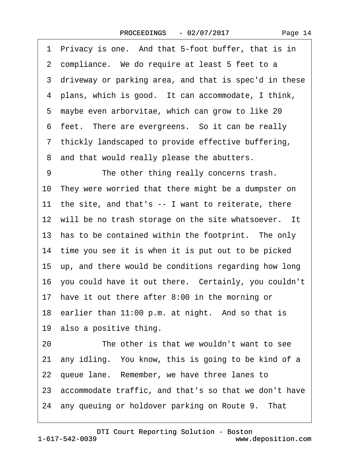| 1 Privacy is one. And that 5-foot buffer, that is in     |  |
|----------------------------------------------------------|--|
| 2 compliance. We do require at least 5 feet to a         |  |
| 3 driveway or parking area, and that is spec'd in these  |  |
| 4 plans, which is good. It can accommodate, I think,     |  |
| 5 maybe even arborvitae, which can grow to like 20       |  |
| 6 feet. There are evergreens. So it can be really        |  |
| 7 thickly landscaped to provide effective buffering,     |  |
| 8 and that would really please the abutters.             |  |
| 9<br>The other thing really concerns trash.              |  |
| 10 They were worried that there might be a dumpster on   |  |
| 11 the site, and that's -- I want to reiterate, there    |  |
| 12 will be no trash storage on the site whatsoever. It   |  |
| 13 has to be contained within the footprint. The only    |  |
| 14 time you see it is when it is put out to be picked    |  |
| 15 up, and there would be conditions regarding how long  |  |
| 16 you could have it out there. Certainly, you couldn't  |  |
| 17 have it out there after 8:00 in the morning or        |  |
| 18 earlier than 11:00 p.m. at night. And so that is      |  |
| 19 also a positive thing.                                |  |
| The other is that we wouldn't want to see<br>20          |  |
| 21 any idling. You know, this is going to be kind of a   |  |
| 22 queue lane. Remember, we have three lanes to          |  |
| 23 accommodate traffic, and that's so that we don't have |  |
| 24 any queuing or holdover parking on Route 9. That      |  |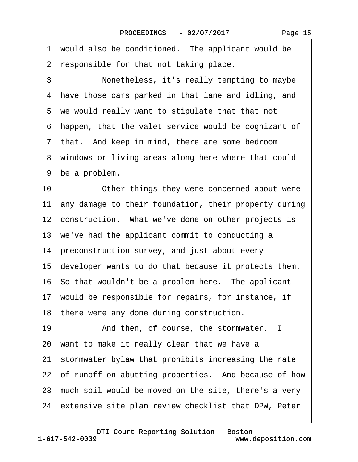1 would also be conditioned. The applicant would be 2 responsible for that not taking place. 3 **· · · Nonetheless, it's really tempting to maybe** 4 have those cars parked in that lane and idling, and 5 we would really want to stipulate that that not ·6· happen, that the valet service would be cognizant of 7 that. And keep in mind, there are some bedroom 8 windows or living areas along here where that could 9 be a problem. 10 Other things they were concerned about were 11 any damage to their foundation, their property during 12 construction. What we've done on other projects is 13 we've had the applicant commit to conducting a 14 preconstruction survey, and just about every 15· developer wants to do that because it protects them. 16 So that wouldn't be a problem here. The applicant 17 would be responsible for repairs, for instance, if 18 there were any done during construction. 19 • And then, of course, the stormwater. I 20· want to make it really clear that we have a 21· stormwater bylaw that prohibits increasing the rate 22 of runoff on abutting properties. And because of how 23 much soil would be moved on the site, there's a very 24 extensive site plan review checklist that DPW, Peter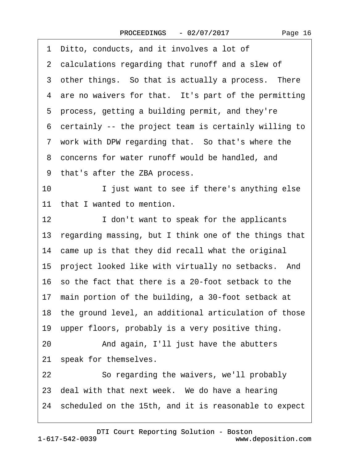| 1 Ditto, conducts, and it involves a lot of                 |  |  |
|-------------------------------------------------------------|--|--|
| 2 calculations regarding that runoff and a slew of          |  |  |
| 3 other things. So that is actually a process. There        |  |  |
| 4 are no waivers for that. It's part of the permitting      |  |  |
| 5 process, getting a building permit, and they're           |  |  |
| 6 certainly -- the project team is certainly willing to     |  |  |
| 7 work with DPW regarding that. So that's where the         |  |  |
| 8 concerns for water runoff would be handled, and           |  |  |
| 9 that's after the ZBA process.                             |  |  |
| 10<br>I just want to see if there's anything else           |  |  |
| 11 that I wanted to mention.                                |  |  |
| 12 <sub>2</sub><br>I don't want to speak for the applicants |  |  |
| 13 regarding massing, but I think one of the things that    |  |  |
| 14 came up is that they did recall what the original        |  |  |
| 15 project looked like with virtually no setbacks. And      |  |  |
| 16 so the fact that there is a 20-foot setback to the       |  |  |
| 17 main portion of the building, a 30-foot setback at       |  |  |
| 18 the ground level, an additional articulation of those    |  |  |
| 19 upper floors, probably is a very positive thing.         |  |  |
| And again, I'll just have the abutters<br>20                |  |  |
| 21 speak for themselves.                                    |  |  |
| 22<br>So regarding the waivers, we'll probably              |  |  |
| 23 deal with that next week. We do have a hearing           |  |  |
| 24 scheduled on the 15th, and it is reasonable to expect    |  |  |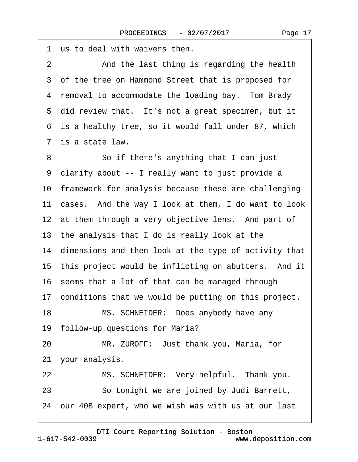1 us to deal with waivers then. 2 And the last thing is regarding the health 3 of the tree on Hammond Street that is proposed for 4 removal to accommodate the loading bay. Tom Brady 5 did review that. It's not a great specimen, but it ·6· is a healthy tree, so it would fall under 87, which 7 is a state law. 8 **8** · **So if there's anything that I can just** ·9· clarify about -- I really want to just provide a 10 framework for analysis because these are challenging 11 cases. And the way I look at them, I do want to look 12 at them through a very objective lens. And part of 13· the analysis that I do is really look at the 14 dimensions and then look at the type of activity that 15 this project would be inflicting on abutters. And it 16· seems that a lot of that can be managed through 17 conditions that we would be putting on this project. 18 MS. SCHNEIDER: Does anybody have any 19 follow-up questions for Maria? 20 MR. ZUROFF: Just thank you, Maria, for 21 your analysis. 22 MS. SCHNEIDER: Very helpful. Thank you. 23 **· · · So tonight we are joined by Judi Barrett,** 24 our 40B expert, who we wish was with us at our last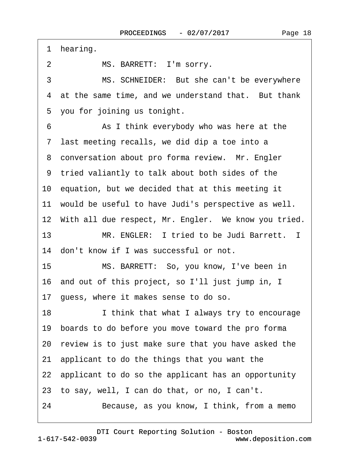1 hearing.

2 MS. BARRETT: I'm sorry.

3 MS. SCHNEIDER: But she can't be everywhere 4 at the same time, and we understand that. But thank 5 you for joining us tonight.

6 **• • As I think everybody who was here at the** 7 last meeting recalls, we did dip a toe into a 8 conversation about pro forma review. Mr. Engler ·9· tried valiantly to talk about both sides of the

10· equation, but we decided that at this meeting it

11 would be useful to have Judi's perspective as well.

12 With all due respect, Mr. Engler. We know you tried.

13 MR. ENGLER: I tried to be Judi Barrett. I

14 don't know if I was successful or not.

15 MS. BARRETT: So, you know, I've been in

16· and out of this project, so I'll just jump in, I

17· guess, where it makes sense to do so.

18 I think that what I always try to encourage

19· boards to do before you move toward the pro forma

20· review is to just make sure that you have asked the

21· applicant to do the things that you want the

22· applicant to do so the applicant has an opportunity

23· to say, well, I can do that, or no, I can't.

24 Because, as you know, I think, from a memo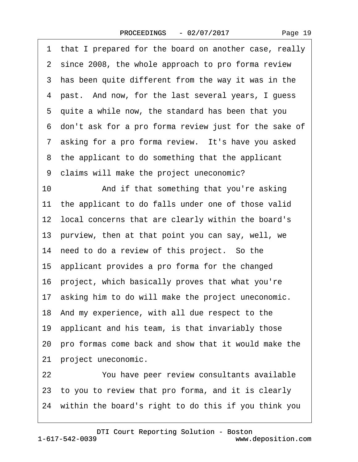Page 19

·1· that I prepared for the board on another case, really 2 since 2008, the whole approach to pro forma review 3 has been quite different from the way it was in the 4 past. And now, for the last several years, I guess ·5· quite a while now, the standard has been that you ·6· don't ask for a pro forma review just for the sake of 7 asking for a pro forma review. It's have you asked 8 the applicant to do something that the applicant ·9· claims will make the project uneconomic? 10 And if that something that you're asking 11 the applicant to do falls under one of those valid 12 local concerns that are clearly within the board's 13 purview, then at that point you can say, well, we 14 need to do a review of this project. So the 15 applicant provides a pro forma for the changed 16· project, which basically proves that what you're 17 asking him to do will make the project uneconomic. 18· And my experience, with all due respect to the 19 applicant and his team, is that invariably those 20· pro formas come back and show that it would make the 21 project uneconomic. 22 You have peer review consultants available 23· to you to review that pro forma, and it is clearly 24· within the board's right to do this if you think you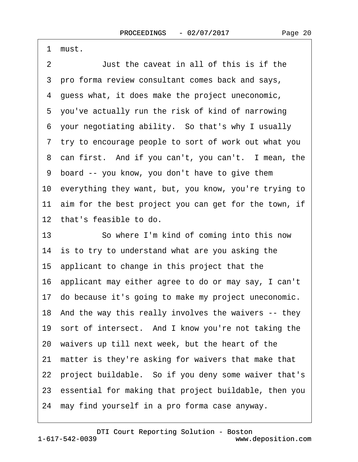·1· must.

2 **Just the caveat in all of this is if the** ·3· pro forma review consultant comes back and says, ·4· guess what, it does make the project uneconomic, 5 you've actually run the risk of kind of narrowing ·6· your negotiating ability.· So that's why I usually ·7· try to encourage people to sort of work out what you 8 can first. And if you can't, you can't. I mean, the ·9· board -- you know, you don't have to give them 10· everything they want, but, you know, you're trying to 11 aim for the best project you can get for the town, if 12· that's feasible to do. 13 **So where I'm kind of coming into this now** 14 is to try to understand what are you asking the 15· applicant to change in this project that the 16· applicant may either agree to do or may say, I can't 17· do because it's going to make my project uneconomic. 18 And the way this really involves the waivers -- they 19 sort of intersect. And I know you're not taking the 20· waivers up till next week, but the heart of the 21· matter is they're asking for waivers that make that 22 project buildable. So if you deny some waiver that's 23· essential for making that project buildable, then you 24 may find yourself in a pro forma case anyway.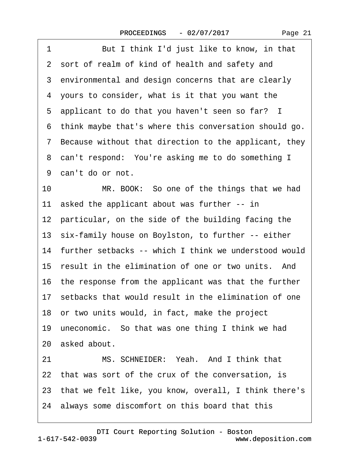| But I think I'd just like to know, in that<br>1            |
|------------------------------------------------------------|
| 2 sort of realm of kind of health and safety and           |
| 3 environmental and design concerns that are clearly       |
| 4 yours to consider, what is it that you want the          |
| 5 applicant to do that you haven't seen so far? I          |
| think maybe that's where this conversation should go.<br>6 |
| 7 Because without that direction to the applicant, they    |
| 8 can't respond: You're asking me to do something I        |
| 9 can't do or not.                                         |
| 10<br>MR. BOOK: So one of the things that we had           |
| 11 asked the applicant about was further -- in             |
| 12 particular, on the side of the building facing the      |
| 13 six-family house on Boylston, to further -- either      |
| 14 further setbacks -- which I think we understood would   |
| 15 result in the elimination of one or two units. And      |
| 16 the response from the applicant was that the further    |
| 17 setbacks that would result in the elimination of one    |
| 18 or two units would, in fact, make the project           |
| 19 uneconomic. So that was one thing I think we had        |
| 20 asked about.                                            |
| MS. SCHNEIDER: Yeah. And I think that<br>21                |
| 22 that was sort of the crux of the conversation, is       |
| 23 that we felt like, you know, overall, I think there's   |
| 24 always some discomfort on this board that this          |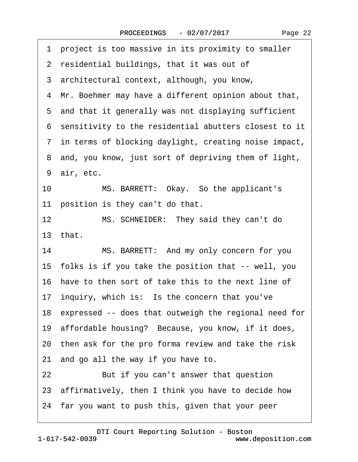·1· project is too massive in its proximity to smaller

- 2 residential buildings, that it was out of
- ·3· architectural context, although, you know,
- 4 Mr. Boehmer may have a different opinion about that,
- 5 and that it generally was not displaying sufficient
- ·6· sensitivity to the residential abutters closest to it
- ·7· in terms of blocking daylight, creating noise impact,
- 8 and, you know, just sort of depriving them of light,
- 9 air, etc.
- 10 MS. BARRETT: Okay. So the applicant's 11 position is they can't do that.
- 12 MS. SCHNEIDER: They said they can't do 13 $that$
- 14 MS. BARRETT: And my only concern for you 15· folks is if you take the position that -- well, you 16· have to then sort of take this to the next line of 17 inquiry, which is: Is the concern that you've 18 expressed -- does that outweigh the regional need for 19· affordable housing?· Because, you know, if it does, 20· then ask for the pro forma review and take the risk 21 and go all the way if you have to. 22 But if you can't answer that question
- 23· affirmatively, then I think you have to decide how
- 24· far you want to push this, given that your peer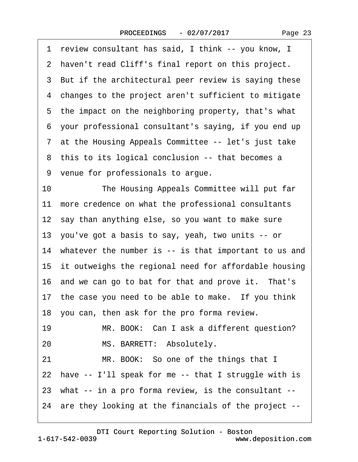·1· review consultant has said, I think -- you know, I 2 haven't read Cliff's final report on this project. 3 But if the architectural peer review is saying these 4 changes to the project aren't sufficient to mitigate 5 the impact on the neighboring property, that's what ·6· your professional consultant's saying, if you end up 7 at the Housing Appeals Committee -- let's just take 8 this to its logical conclusion -- that becomes a ·9· venue for professionals to argue. 10 The Housing Appeals Committee will put far 11 more credence on what the professional consultants 12 say than anything else, so you want to make sure 13· you've got a basis to say, yeah, two units -- or 14 whatever the number is -- is that important to us and 15 it outweighs the regional need for affordable housing 16 and we can go to bat for that and prove it. That's 17 the case you need to be able to make. If you think 18· you can, then ask for the pro forma review. 19 MR. BOOK: Can I ask a different question? 20 MS. BARRETT: Absolutely. 21 MR. BOOK: So one of the things that I 22 have -- I'll speak for me -- that I struggle with is 23 what -- in a pro forma review, is the consultant --24· are they looking at the financials of the project --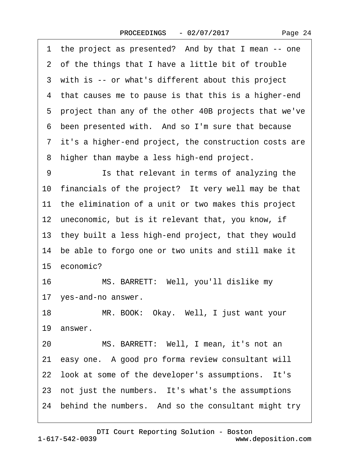1 the project as presented? And by that I mean -- one 2 of the things that I have a little bit of trouble 3 with is -- or what's different about this project 4 that causes me to pause is that this is a higher-end ·5· project than any of the other 40B projects that we've 6 been presented with. And so I'm sure that because ·7· it's a higher-end project, the construction costs are 8 higher than maybe a less high-end project. 9 **Is that relevant in terms of analyzing the** 10 financials of the project? It very well may be that 11 the elimination of a unit or two makes this project 12 uneconomic, but is it relevant that, you know, if 13 they built a less high-end project, that they would 14 be able to forgo one or two units and still make it 15 economic? 16 MS. BARRETT: Well, you'll dislike my 17 yes-and-no answer. 18 MR. BOOK: Okay. Well, I just want your 19 answer. 20 MS. BARRETT: Well, I mean, it's not an 21· easy one.· A good pro forma review consultant will 22 look at some of the developer's assumptions. It's 23 not just the numbers. It's what's the assumptions 24 behind the numbers. And so the consultant might try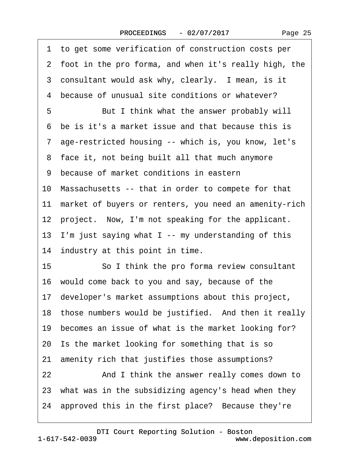| 1 to get some verification of construction costs per      |
|-----------------------------------------------------------|
| 2 foot in the pro forma, and when it's really high, the   |
| 3 consultant would ask why, clearly. I mean, is it        |
| because of unusual site conditions or whatever?<br>4      |
| 5<br>But I think what the answer probably will            |
| 6 be is it's a market issue and that because this is      |
| 7 age-restricted housing -- which is, you know, let's     |
| 8 face it, not being built all that much anymore          |
| 9 because of market conditions in eastern                 |
| 10 Massachusetts -- that in order to compete for that     |
| 11 market of buyers or renters, you need an amenity-rich  |
| 12 project. Now, I'm not speaking for the applicant.      |
| 13 I'm just saying what I -- my understanding of this     |
| 14 industry at this point in time.                        |
| 15<br>So I think the pro forma review consultant          |
| 16 would come back to you and say, because of the         |
| 17 developer's market assumptions about this project,     |
| 18 those numbers would be justified. And then it really   |
| becomes an issue of what is the market looking for?<br>19 |
| 20 Is the market looking for something that is so         |
| amenity rich that justifies those assumptions?<br>21      |
| And I think the answer really comes down to<br>22         |
| 23 what was in the subsidizing agency's head when they    |
| 24 approved this in the first place? Because they're      |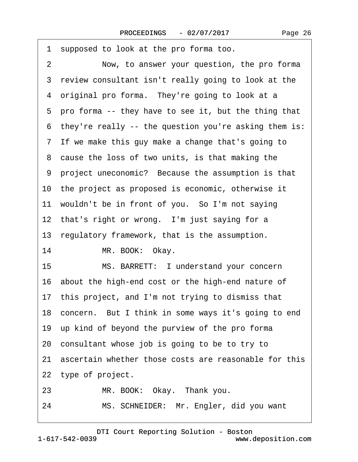| 1 supposed to look at the pro forma too.                      |
|---------------------------------------------------------------|
| $\overline{2}$<br>Now, to answer your question, the pro forma |
| 3 review consultant isn't really going to look at the         |
| 4 original pro forma. They're going to look at a              |
| 5 pro forma -- they have to see it, but the thing that        |
| 6 they're really -- the question you're asking them is:       |
| 7 If we make this guy make a change that's going to           |
| 8 cause the loss of two units, is that making the             |
| 9 project uneconomic? Because the assumption is that          |
| 10 the project as proposed is economic, otherwise it          |
| 11 wouldn't be in front of you. So I'm not saying             |
| 12 that's right or wrong. I'm just saying for a               |
| 13 regulatory framework, that is the assumption.              |
| 14<br>MR. BOOK: Okay.                                         |
| 15<br>MS. BARRETT: I understand your concern                  |
| 16 about the high-end cost or the high-end nature of          |
| 17 this project, and I'm not trying to dismiss that           |
| 18 concern. But I think in some ways it's going to end        |
| 19 up kind of beyond the purview of the pro forma             |
| 20 consultant whose job is going to be to try to              |
| 21 ascertain whether those costs are reasonable for this      |
| 22 type of project.                                           |
| 23<br>MR. BOOK: Okay. Thank you.                              |
| MS. SCHNEIDER: Mr. Engler, did you want<br>24                 |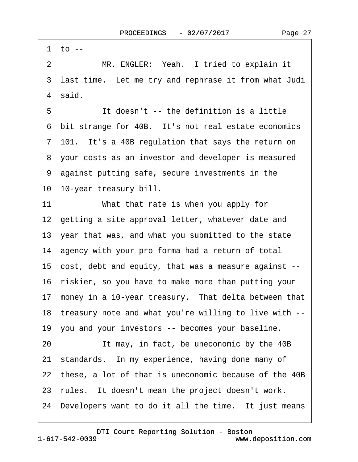2 MR. ENGLER: Yeah. I tried to explain it 3 last time. Let me try and rephrase it from what Judi 4 said. 5 **If doesn't -- the definition is a little** 6 bit strange for 40B. It's not real estate economics 7 101. It's a 40B regulation that says the return on 8 your costs as an investor and developer is measured ·9· against putting safe, secure investments in the 10· 10-year treasury bill. 11 What that rate is when you apply for 12 getting a site approval letter, whatever date and 13· year that was, and what you submitted to the state 14 agency with your pro forma had a return of total 15· cost, debt and equity, that was a measure against -- 16· riskier, so you have to make more than putting your 17 money in a 10-year treasury. That delta between that 18· treasury note and what you're willing to live with -- 19 you and your investors -- becomes your baseline. 20 It may, in fact, be uneconomic by the 40B 21· standards.· In my experience, having done many of 22 these, a lot of that is uneconomic because of the 40B 23 rules. It doesn't mean the project doesn't work. 24 Developers want to do it all the time. It just means

[DTI Court Reporting Solution - Boston](http://www.deposition.com)

1 to  $-$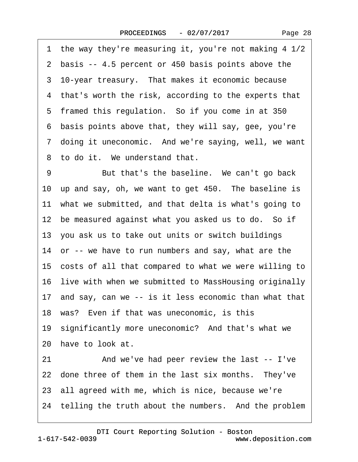1 the way they're measuring it, you're not making  $4 \frac{1}{2}$ 2 basis -- 4.5 percent or 450 basis points above the 3 10-year treasury. That makes it economic because 4 that's worth the risk, according to the experts that 5 framed this regulation. So if you come in at 350 ·6· basis points above that, they will say, gee, you're 7 doing it uneconomic. And we're saying, well, we want 8 to do it. We understand that. 9 But that's the baseline. We can't go back 10 up and say, oh, we want to get 450. The baseline is 11 what we submitted, and that delta is what's going to 12 be measured against what you asked us to do. So if 13· you ask us to take out units or switch buildings 14 or -- we have to run numbers and say, what are the 15· costs of all that compared to what we were willing to

16· live with when we submitted to MassHousing originally

17 and say, can we -- is it less economic than what that

18· was?· Even if that was uneconomic, is this

19· significantly more uneconomic?· And that's what we 20· have to look at.

21 • And we've had peer review the last -- I've 22 done three of them in the last six months. They've 23 all agreed with me, which is nice, because we're 24 telling the truth about the numbers. And the problem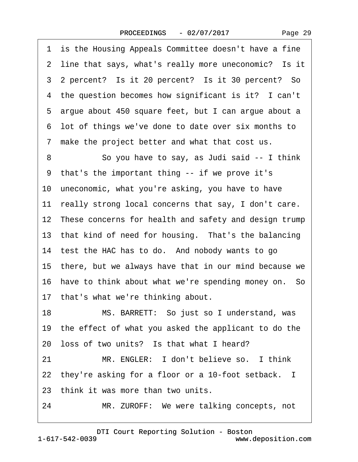Page 29

1 is the Housing Appeals Committee doesn't have a fine 2 line that says, what's really more uneconomic? Is it 3. 2 percent? Is it 20 percent? Is it 30 percent? So 4 the question becomes how significant is it? I can't 5 argue about 450 square feet, but I can argue about a ·6· lot of things we've done to date over six months to 7 make the project better and what that cost us. 8 So you have to say, as Judi said -- I think ·9· that's the important thing -- if we prove it's 10· uneconomic, what you're asking, you have to have 11 really strong local concerns that say, I don't care. 12 These concerns for health and safety and design trump 13 that kind of need for housing. That's the balancing 14 test the HAC has to do. And nobody wants to go 15· there, but we always have that in our mind because we 16 have to think about what we're spending money on. So 17 that's what we're thinking about. 18 MS. BARRETT: So just so I understand, was 19· the effect of what you asked the applicant to do the 20 loss of two units? Is that what I heard? 21 MR. ENGLER: I don't believe so. I think 22 they're asking for a floor or a 10-foot setback. I 23 think it was more than two units. 24 MR. ZUROFF: We were talking concepts, not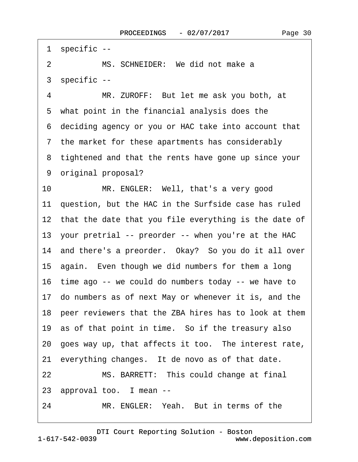1 specific --2 MS. SCHNEIDER: We did not make a ·3· specific -- 4 MR. ZUROFF: But let me ask you both, at 5 what point in the financial analysis does the ·6· deciding agency or you or HAC take into account that ·7· the market for these apartments has considerably 8 tightened and that the rents have gone up since your 9 original proposal? 10 MR. ENGLER: Well, that's a very good 11 question, but the HAC in the Surfside case has ruled 12 that the date that you file everything is the date of 13 your pretrial -- preorder -- when you're at the HAC 14 and there's a preorder. Okay? So you do it all over 15 again. Even though we did numbers for them a long 16· time ago -- we could do numbers today -- we have to 17· do numbers as of next May or whenever it is, and the 18 peer reviewers that the ZBA hires has to look at them 19 as of that point in time. So if the treasury also 20 goes way up, that affects it too. The interest rate, 21 everything changes. It de novo as of that date. 22 MS. BARRETT: This could change at final 23 approval too. I mean --

24 MR. ENGLER: Yeah. But in terms of the

1-617-542-0039 [DTI Court Reporting Solution - Boston](http://www.deposition.com) www.deposition.com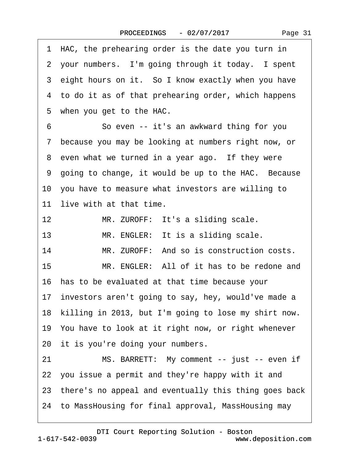|  | Page 31 |  |
|--|---------|--|
|--|---------|--|

1 HAC, the prehearing order is the date you turn in 2 your numbers. I'm going through it today. I spent 3 eight hours on it. So I know exactly when you have 4 to do it as of that prehearing order, which happens 5 when you get to the HAC. 6 So even -- it's an awkward thing for you ·7· because you may be looking at numbers right now, or 8 even what we turned in a year ago. If they were 9 going to change, it would be up to the HAC. Because 10· you have to measure what investors are willing to 11 live with at that time. 12 MR. ZUROFF: It's a sliding scale. 13 MR. ENGLER: It is a sliding scale. 14 MR. ZUROFF: And so is construction costs. 15 MR. ENGLER: All of it has to be redone and 16· has to be evaluated at that time because your 17 investors aren't going to say, hey, would've made a 18 killing in 2013, but I'm going to lose my shirt now. 19· You have to look at it right now, or right whenever 20 it is you're doing your numbers. 21 MS. BARRETT: My comment -- just -- even if 22· you issue a permit and they're happy with it and 23 there's no appeal and eventually this thing goes back 24· to MassHousing for final approval, MassHousing may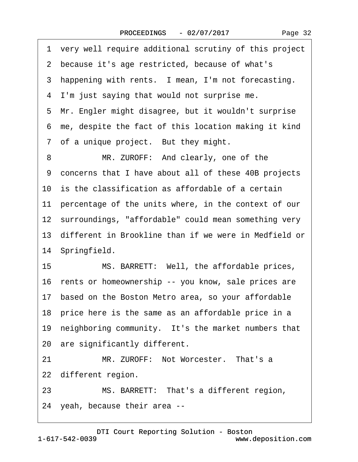1 very well require additional scrutiny of this project

2 because it's age restricted, because of what's

|    | 3 happening with rents. I mean, I'm not forecasting.     |
|----|----------------------------------------------------------|
|    | 4 I'm just saying that would not surprise me.            |
|    | 5 Mr. Engler might disagree, but it wouldn't surprise    |
|    | 6 me, despite the fact of this location making it kind   |
|    | 7 of a unique project. But they might.                   |
| 8  | MR. ZUROFF: And clearly, one of the                      |
|    | 9 concerns that I have about all of these 40B projects   |
|    | 10 is the classification as affordable of a certain      |
|    | 11 percentage of the units where, in the context of our  |
|    | 12 surroundings, "affordable" could mean something very  |
|    | 13 different in Brookline than if we were in Medfield or |
|    | 14 Springfield.                                          |
| 15 | MS. BARRETT: Well, the affordable prices,                |
|    | 16 rents or homeownership -- you know, sale prices are   |
|    | 17 based on the Boston Metro area, so your affordable    |
|    | 18 price here is the same as an affordable price in a    |
|    | 19 neighboring community. It's the market numbers that   |

20 are significantly different.

21 MR. ZUROFF: Not Worcester. That's a 22 different region.

23 MS. BARRETT: That's a different region,

24· yeah, because their area --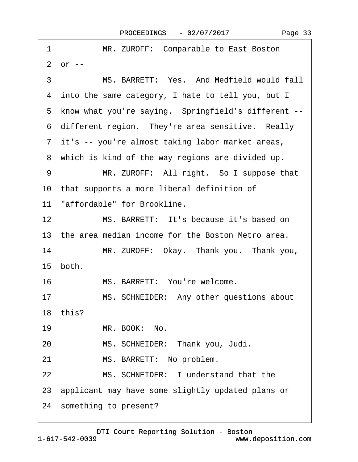| 1                 | MR. ZUROFF: Comparable to East Boston                 |
|-------------------|-------------------------------------------------------|
|                   | $2$ or $-$                                            |
| 3                 | MS. BARRETT: Yes. And Medfield would fall             |
|                   | 4 into the same category, I hate to tell you, but I   |
|                   | 5 know what you're saying. Springfield's different -- |
|                   | 6 different region. They're area sensitive. Really    |
|                   | 7 it's -- you're almost taking labor market areas,    |
|                   | 8 which is kind of the way regions are divided up.    |
| 9                 | MR. ZUROFF: All right. So I suppose that              |
|                   | 10 that supports a more liberal definition of         |
|                   | 11 "affordable" for Brookline.                        |
| $12 \overline{ }$ | MS. BARRETT: It's because it's based on               |
|                   | 13 the area median income for the Boston Metro area.  |
| 14                | MR. ZUROFF: Okay. Thank you. Thank you,               |
|                   | 15 both.                                              |
| 16                | MS. BARRETT: You're welcome.                          |
| 17                | MS. SCHNEIDER: Any other questions about              |
|                   | 18 this?                                              |
| 19                | MR. BOOK: No.                                         |
| 20                | MS. SCHNEIDER: Thank you, Judi.                       |
| 21                | MS. BARRETT: No problem.                              |
| 22                | MS. SCHNEIDER: I understand that the                  |
|                   | 23 applicant may have some slightly updated plans or  |
|                   | 24 something to present?                              |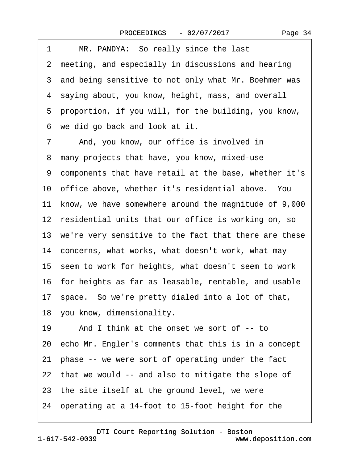| 1<br>MR. PANDYA: So really since the last                |
|----------------------------------------------------------|
| 2 meeting, and especially in discussions and hearing     |
| 3 and being sensitive to not only what Mr. Boehmer was   |
| 4 saying about, you know, height, mass, and overall      |
| 5 proportion, if you will, for the building, you know,   |
| we did go back and look at it.<br>6                      |
| 7<br>And, you know, our office is involved in            |
| many projects that have, you know, mixed-use<br>8        |
| 9 components that have retail at the base, whether it's  |
| 10 office above, whether it's residential above. You     |
| 11 know, we have somewhere around the magnitude of 9,000 |
| 12 residential units that our office is working on, so   |
| 13 we're very sensitive to the fact that there are these |
| 14 concerns, what works, what doesn't work, what may     |
| 15 seem to work for heights, what doesn't seem to work   |
| 16 for heights as far as leasable, rentable, and usable  |
| 17 space. So we're pretty dialed into a lot of that,     |
| 18 you know, dimensionality.                             |
| 19<br>And I think at the onset we sort of -- to          |
| 20 echo Mr. Engler's comments that this is in a concept  |
| 21 phase -- we were sort of operating under the fact     |
| 22 that we would -- and also to mitigate the slope of    |
| 23 the site itself at the ground level, we were          |
| 24 operating at a 14-foot to 15-foot height for the      |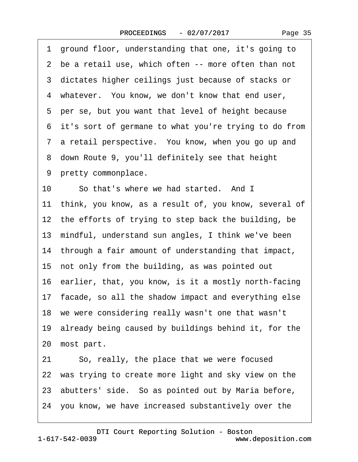|    | 1 ground floor, understanding that one, it's going to    |
|----|----------------------------------------------------------|
|    | 2 be a retail use, which often -- more often than not    |
|    | 3 dictates higher ceilings just because of stacks or     |
|    | 4 whatever. You know, we don't know that end user,       |
|    | 5 per se, but you want that level of height because      |
|    | 6 it's sort of germane to what you're trying to do from  |
|    | 7 a retail perspective. You know, when you go up and     |
|    | 8 down Route 9, you'll definitely see that height        |
|    | 9 pretty commonplace.                                    |
| 10 | So that's where we had started. And I                    |
|    | 11 think, you know, as a result of, you know, several of |
|    | 12 the efforts of trying to step back the building, be   |
|    | 13 mindful, understand sun angles, I think we've been    |
|    | 14 through a fair amount of understanding that impact,   |
|    | 15 not only from the building, as was pointed out        |
|    | 16 earlier, that, you know, is it a mostly north-facing  |
|    | 17 facade, so all the shadow impact and everything else  |
|    | 18 we were considering really wasn't one that wasn't     |
|    | 19 already being caused by buildings behind it, for the  |
|    | 20 most part.                                            |
| 21 | So, really, the place that we were focused               |
|    | 22 was trying to create more light and sky view on the   |
|    | 23 abutters' side. So as pointed out by Maria before,    |
|    | 24 you know, we have increased substantively over the    |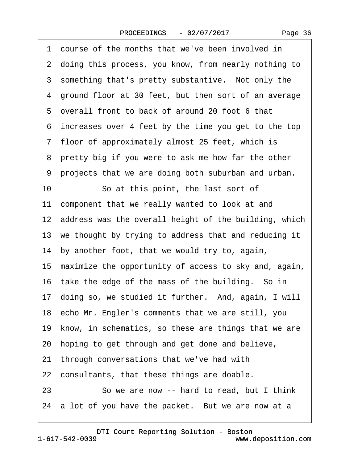|  | Page 36 |  |
|--|---------|--|
|--|---------|--|

|    | 1 course of the months that we've been involved in       |
|----|----------------------------------------------------------|
|    | 2 doing this process, you know, from nearly nothing to   |
|    | 3 something that's pretty substantive. Not only the      |
|    | 4 ground floor at 30 feet, but then sort of an average   |
|    | 5 overall front to back of around 20 foot 6 that         |
|    | 6 increases over 4 feet by the time you get to the top   |
|    | 7 floor of approximately almost 25 feet, which is        |
|    | 8 pretty big if you were to ask me how far the other     |
|    | 9 projects that we are doing both suburban and urban.    |
| 10 | So at this point, the last sort of                       |
|    | 11 component that we really wanted to look at and        |
|    | 12 address was the overall height of the building, which |
|    | 13 we thought by trying to address that and reducing it  |
|    | 14 by another foot, that we would try to, again,         |
|    | 15 maximize the opportunity of access to sky and, again, |
|    | 16 take the edge of the mass of the building. So in      |
|    | 17 doing so, we studied it further. And, again, I will   |
|    | 18 echo Mr. Engler's comments that we are still, you     |
|    | 19 know, in schematics, so these are things that we are  |
|    | 20 hoping to get through and get done and believe,       |
|    | 21 through conversations that we've had with             |
|    | 22 consultants, that these things are doable.            |
| 23 | So we are now -- hard to read, but I think               |
|    | 24 a lot of you have the packet. But we are now at a     |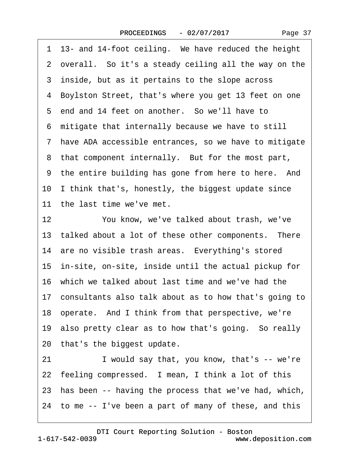| Page 37 |  |
|---------|--|
|---------|--|

|    | 1 13- and 14-foot ceiling. We have reduced the height    |
|----|----------------------------------------------------------|
|    | 2 overall. So it's a steady ceiling all the way on the   |
|    | 3 inside, but as it pertains to the slope across         |
| 4  | Boylston Street, that's where you get 13 feet on one     |
|    | 5 end and 14 feet on another. So we'll have to           |
|    | 6 mitigate that internally because we have to still      |
|    | 7 have ADA accessible entrances, so we have to mitigate  |
|    | 8 that component internally. But for the most part,      |
|    | 9 the entire building has gone from here to here. And    |
|    | 10 I think that's, honestly, the biggest update since    |
|    | 11 the last time we've met.                              |
| 12 | You know, we've talked about trash, we've                |
|    | 13 talked about a lot of these other components. There   |
|    | 14 are no visible trash areas. Everything's stored       |
|    | 15 in-site, on-site, inside until the actual pickup for  |
|    | 16 which we talked about last time and we've had the     |
|    | 17 consultants also talk about as to how that's going to |
|    | 18 operate. And I think from that perspective, we're     |
|    | 19 also pretty clear as to how that's going. So really   |
|    | 20 that's the biggest update.                            |
| 21 | I would say that, you know, that's -- we're              |
|    | 22 feeling compressed. I mean, I think a lot of this     |
|    | 23 has been -- having the process that we've had, which, |
|    | 24 to me -- I've been a part of many of these, and this  |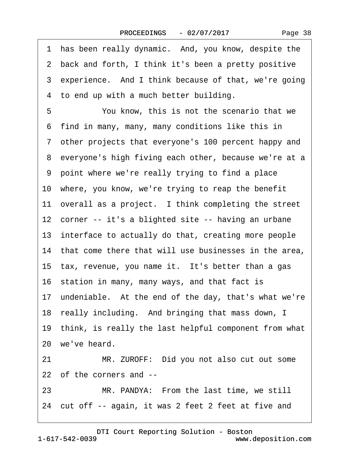|  | Page 38 |
|--|---------|
|--|---------|

·1· has been really dynamic.· And, you know, despite the ·2· back and forth, I think it's been a pretty positive 3 experience. And I think because of that, we're going 4 to end up with a much better building. 5 You know, this is not the scenario that we ·6· find in many, many, many conditions like this in ·7· other projects that everyone's 100 percent happy and 8 everyone's high fiving each other, because we're at a ·9· point where we're really trying to find a place 10 where, you know, we're trying to reap the benefit 11 overall as a project. I think completing the street 12 corner -- it's a blighted site -- having an urbane 13 interface to actually do that, creating more people 14 that come there that will use businesses in the area, 15 tax, revenue, you name it. It's better than a gas 16 station in many, many ways, and that fact is 17 undeniable. At the end of the day, that's what we're 18 really including. And bringing that mass down, I 19· think, is really the last helpful component from what 20· we've heard. 21 MR. ZUROFF: Did you not also cut out some 22 of the corners and --23 MR. PANDYA: From the last time, we still

24· cut off -- again, it was 2 feet 2 feet at five and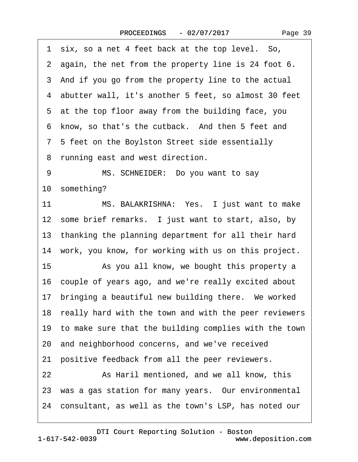1 six, so a net 4 feet back at the top level. So, 2 again, the net from the property line is 24 foot 6. 3 And if you go from the property line to the actual ·4· abutter wall, it's another 5 feet, so almost 30 feet 5 at the top floor away from the building face, you 6 know, so that's the cutback. And then 5 feet and ·7· 5 feet on the Boylston Street side essentially 8 running east and west direction. 9 MS. SCHNEIDER: Do you want to say 10 something? 11 MS. BALAKRISHNA: Yes. I just want to make 12 some brief remarks. I just want to start, also, by 13 thanking the planning department for all their hard 14 work, you know, for working with us on this project. 15 • As you all know, we bought this property a 16 couple of years ago, and we're really excited about 17 bringing a beautiful new building there. We worked 18 really hard with the town and with the peer reviewers 19· to make sure that the building complies with the town 20· and neighborhood concerns, and we've received 21 positive feedback from all the peer reviewers. 22 As Haril mentioned, and we all know, this 23 was a gas station for many years. Our environmental 24· consultant, as well as the town's LSP, has noted our

1-617-542-0039 [DTI Court Reporting Solution - Boston](http://www.deposition.com) www.deposition.com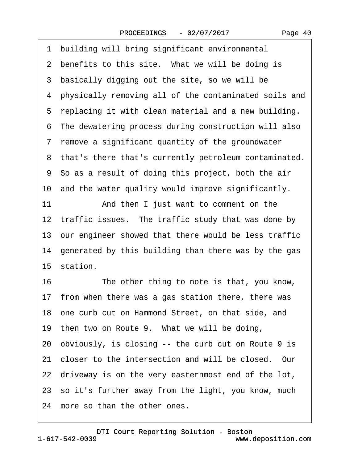1 building will bring significant environmental 2 benefits to this site. What we will be doing is 3 basically digging out the site, so we will be ·4· physically removing all of the contaminated soils and 5 replacing it with clean material and a new building. ·6· The dewatering process during construction will also 7 remove a significant quantity of the groundwater 8 that's there that's currently petroleum contaminated. ·9· So as a result of doing this project, both the air 10· and the water quality would improve significantly. 11 And then I just want to comment on the 12 traffic issues. The traffic study that was done by 13 our engineer showed that there would be less traffic 14 generated by this building than there was by the gas 15 station. 16 The other thing to note is that, you know, 17 from when there was a gas station there, there was 18 one curb cut on Hammond Street, on that side, and 19 then two on Route 9. What we will be doing, 20· obviously, is closing -- the curb cut on Route 9 is 21 closer to the intersection and will be closed. Our 22 driveway is on the very easternmost end of the lot, 23 so it's further away from the light, you know, much 24 more so than the other ones.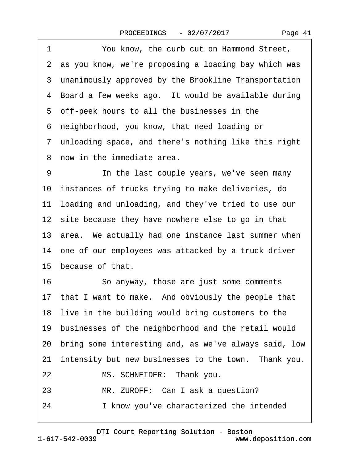| Page 41 |  |
|---------|--|
|---------|--|

1 You know, the curb cut on Hammond Street, 2 as you know, we're proposing a loading bay which was 3 unanimously approved by the Brookline Transportation 4 Board a few weeks ago. It would be available during ·5· off-peek hours to all the businesses in the ·6· neighborhood, you know, that need loading or ·7· unloading space, and there's nothing like this right 8 now in the immediate area. 9 • • In the last couple years, we've seen many 10 instances of trucks trying to make deliveries, do 11 loading and unloading, and they've tried to use our 12 site because they have nowhere else to go in that 13 area. We actually had one instance last summer when 14 one of our employees was attacked by a truck driver 15 because of that. 16 · So anyway, those are just some comments 17 that I want to make. And obviously the people that 18 live in the building would bring customers to the 19 businesses of the neighborhood and the retail would 20· bring some interesting and, as we've always said, low 21 intensity but new businesses to the town. Thank you. 22 MS. SCHNEIDER: Thank you. 23 MR. ZUROFF: Can I ask a question? 24 I know you've characterized the intended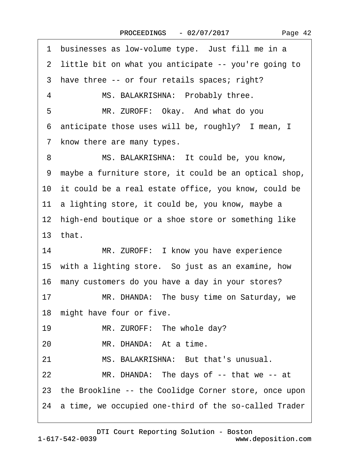1 businesses as low-volume type. Just fill me in a 2 little bit on what you anticipate -- you're going to 3 have three -- or four retails spaces; right? 4 MS. BALAKRISHNA: Probably three. 5 MR. ZUROFF: Okay. And what do you 6 anticipate those uses will be, roughly? I mean, I 7 know there are many types. 8 MS. BALAKRISHNA: It could be, you know, ·9· maybe a furniture store, it could be an optical shop, 10 it could be a real estate office, you know, could be 11 a lighting store, it could be, you know, maybe a 12 high-end boutique or a shoe store or something like 13 $that$ 14 MR. ZUROFF: I know you have experience 15 with a lighting store. So just as an examine, how 16 many customers do you have a day in your stores? 17 MR. DHANDA: The busy time on Saturday, we 18 might have four or five. 19 MR. ZUROFF: The whole day? 20 MR. DHANDA: At a time. 21 MS. BALAKRISHNA: But that's unusual. 22 MR. DHANDA: The days of -- that we -- at 23 the Brookline -- the Coolidge Corner store, once upon

24 a time, we occupied one-third of the so-called Trader

[DTI Court Reporting Solution - Boston](http://www.deposition.com)

1-617-542-0039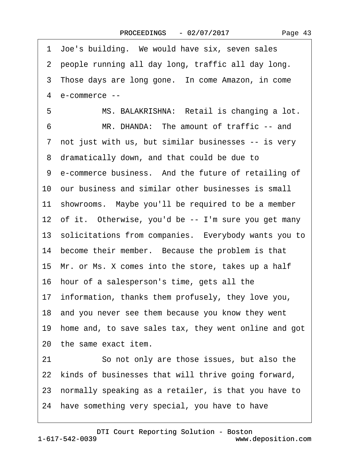|  | Page 43 |  |
|--|---------|--|
|--|---------|--|

| 11 showrooms. Maybe you'll be required to be a member                                                                                                                       |
|-----------------------------------------------------------------------------------------------------------------------------------------------------------------------------|
|                                                                                                                                                                             |
|                                                                                                                                                                             |
|                                                                                                                                                                             |
|                                                                                                                                                                             |
|                                                                                                                                                                             |
|                                                                                                                                                                             |
|                                                                                                                                                                             |
|                                                                                                                                                                             |
|                                                                                                                                                                             |
|                                                                                                                                                                             |
|                                                                                                                                                                             |
|                                                                                                                                                                             |
|                                                                                                                                                                             |
| 13 solicitations from companies. Everybody wants you to<br>18 and you never see them because you know they went<br>19 home and, to save sales tax, they went online and got |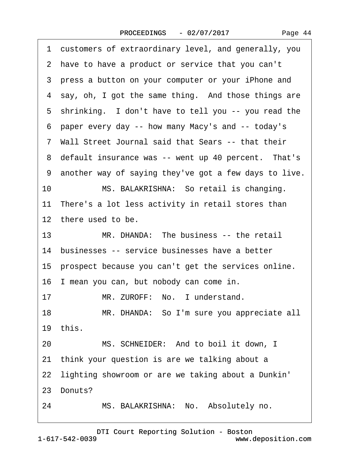|  | Page 44 |  |
|--|---------|--|
|--|---------|--|

·1· customers of extraordinary level, and generally, you 2 have to have a product or service that you can't 3 press a button on your computer or your iPhone and 4 say, oh, I got the same thing. And those things are 5 shrinking. I don't have to tell you -- you read the ·6· paper every day -- how many Macy's and -- today's ·7· Wall Street Journal said that Sears -- that their 8 default insurance was -- went up 40 percent. That's ·9· another way of saying they've got a few days to live. 10 MS. BALAKRISHNA: So retail is changing. 11 There's a lot less activity in retail stores than 12 there used to be. 13 MR. DHANDA: The business -- the retail 14 businesses -- service businesses have a better 15 prospect because you can't get the services online. 16 I mean you can, but nobody can come in. 17 MR. ZUROFF: No. I understand. 18 MR. DHANDA: So I'm sure you appreciate all 19· this. 20 MS. SCHNEIDER: And to boil it down, I 21 think your question is are we talking about a 22 lighting showroom or are we taking about a Dunkin' 23 Donuts? 24 MS. BALAKRISHNA: No. Absolutely no.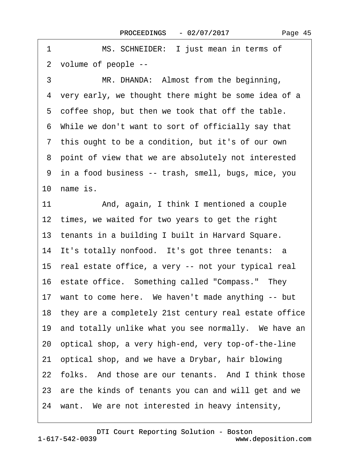1 MS. SCHNEIDER: I just mean in terms of ·2· volume of people -- 3 MR. DHANDA: Almost from the beginning, 4 very early, we thought there might be some idea of a 5 coffee shop, but then we took that off the table. ·6· While we don't want to sort of officially say that 7 this ought to be a condition, but it's of our own 8 point of view that we are absolutely not interested ·9· in a food business -- trash, smell, bugs, mice, you 10 name is. 11 And, again, I think I mentioned a couple 12 times, we waited for two years to get the right 13 tenants in a building I built in Harvard Square. 14 It's totally nonfood. It's got three tenants: a 15· real estate office, a very -- not your typical real 16 estate office. Something called "Compass." They 17 want to come here. We haven't made anything -- but 18· they are a completely 21st century real estate office 19 and totally unlike what you see normally. We have an 20· optical shop, a very high-end, very top-of-the-line 21· optical shop, and we have a Drybar, hair blowing 22 folks. And those are our tenants. And I think those 23 are the kinds of tenants you can and will get and we

24 want. We are not interested in heavy intensity,

1-617-542-0039 [DTI Court Reporting Solution - Boston](http://www.deposition.com) www.deposition.com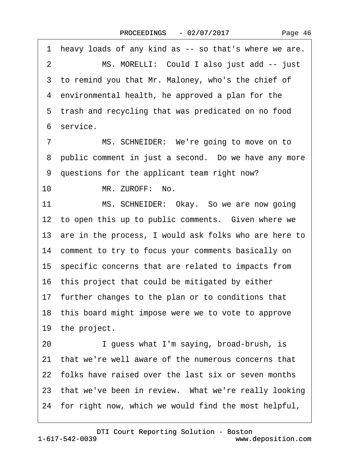Page 46

1 heavy loads of any kind as -- so that's where we are. 2 MS. MORELLI: Could I also just add -- just 3 to remind you that Mr. Maloney, who's the chief of 4 environmental health, he approved a plan for the 5 trash and recycling that was predicated on no food ·6· service. 7 MS. SCHNEIDER: We're going to move on to 8 public comment in just a second. Do we have any more ·9· questions for the applicant team right now? 10 MR. ZUROFF: No. 11 MS. SCHNEIDER: Okay. So we are now going 12 to open this up to public comments. Given where we 13 are in the process, I would ask folks who are here to 14 comment to try to focus your comments basically on 15· specific concerns that are related to impacts from 16· this project that could be mitigated by either 17 further changes to the plan or to conditions that 18· this board might impose were we to vote to approve 19 the project. 20 I guess what I'm saying, broad-brush, is 21 that we're well aware of the numerous concerns that 22· folks have raised over the last six or seven months 23 that we've been in review. What we're really looking 24 for right now, which we would find the most helpful,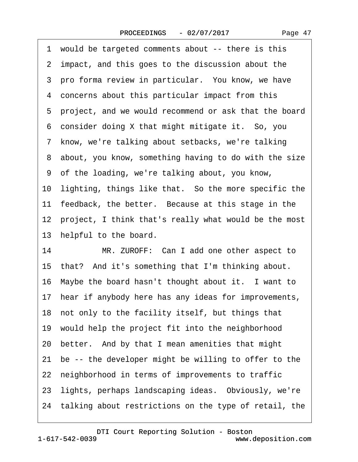Page 47

1 would be targeted comments about -- there is this 2 impact, and this goes to the discussion about the 3 pro forma review in particular. You know, we have 4 concerns about this particular impact from this ·5· project, and we would recommend or ask that the board 6 consider doing X that might mitigate it. So, you 7 know, we're talking about setbacks, we're talking ·8· about, you know, something having to do with the size ·9· of the loading, we're talking about, you know, 10 lighting, things like that. So the more specific the 11 feedback, the better. Because at this stage in the 12 project, I think that's really what would be the most 13 helpful to the board. 14 MR. ZUROFF: Can I add one other aspect to 15· that?· And it's something that I'm thinking about. 16 Maybe the board hasn't thought about it. I want to 17 hear if anybody here has any ideas for improvements, 18 not only to the facility itself, but things that 19· would help the project fit into the neighborhood 20· better.· And by that I mean amenities that might 21 be -- the developer might be willing to offer to the 22 neighborhood in terms of improvements to traffic 23 lights, perhaps landscaping ideas. Obviously, we're 24 talking about restrictions on the type of retail, the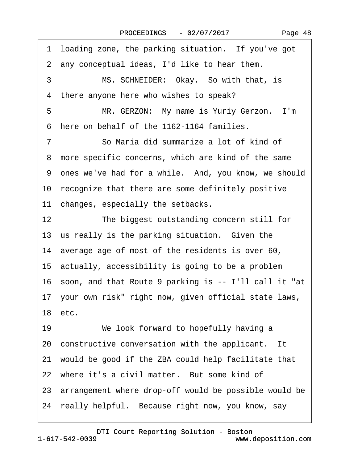1 loading zone, the parking situation. If you've got 2 any conceptual ideas, I'd like to hear them. 3 MS. SCHNEIDER: Okay. So with that, is 4 there anyone here who wishes to speak? 5 MR. GERZON: My name is Yuriy Gerzon. I'm ·6· here on behalf of the 1162-1164 families. ·7· · · · · ·So Maria did summarize a lot of kind of 8 more specific concerns, which are kind of the same 9 ones we've had for a while. And, you know, we should 10 recognize that there are some definitely positive 11 changes, especially the setbacks. 12 The biggest outstanding concern still for 13 us really is the parking situation. Given the 14 average age of most of the residents is over 60, 15· actually, accessibility is going to be a problem 16· soon, and that Route 9 parking is -- I'll call it "at 17· your own risk" right now, given official state laws, 18 etc. 19 We look forward to hopefully having a 20 constructive conversation with the applicant. It 21· would be good if the ZBA could help facilitate that 22 where it's a civil matter. But some kind of 23 arrangement where drop-off would be possible would be 24 really helpful. Because right now, you know, say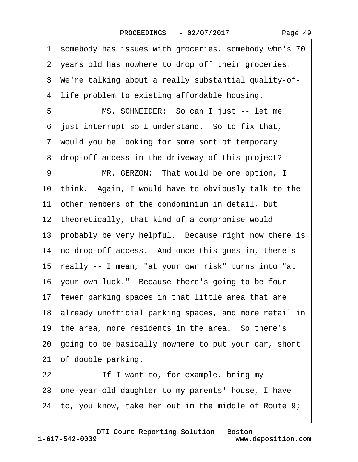1 somebody has issues with groceries, somebody who's 70 2 years old has nowhere to drop off their groceries. ·3· We're talking about a really substantial quality-of- 4 life problem to existing affordable housing. 5 MS. SCHNEIDER: So can I just -- let me 6 just interrupt so I understand. So to fix that, 7 would you be looking for some sort of temporary 8 drop-off access in the driveway of this project? 9 MR. GERZON: That would be one option, I 10· think.· Again, I would have to obviously talk to the 11 other members of the condominium in detail, but 12 theoretically, that kind of a compromise would 13 probably be very helpful. Because right now there is 14 no drop-off access. And once this goes in, there's 15· really -- I mean, "at your own risk" turns into "at 16 your own luck." Because there's going to be four 17 fewer parking spaces in that little area that are 18 already unofficial parking spaces, and more retail in 19 the area, more residents in the area. So there's 20· going to be basically nowhere to put your car, short 21 of double parking. 22 If I want to, for example, bring my 23· one-year-old daughter to my parents' house, I have 24 to, you know, take her out in the middle of Route 9;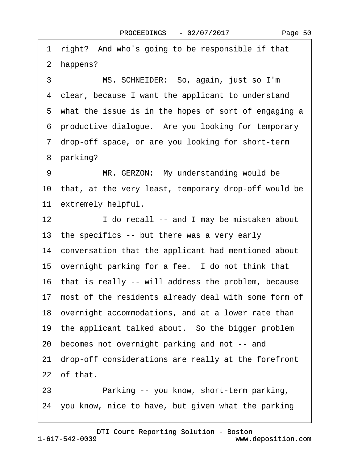1 right? And who's going to be responsible if that 2 happens? 3 MS. SCHNEIDER: So, again, just so I'm 4 clear, because I want the applicant to understand 5 what the issue is in the hopes of sort of engaging a ·6· productive dialogue.· Are you looking for temporary 7 drop-off space, or are you looking for short-term 8 parking? 9 MR. GERZON: My understanding would be 10 that, at the very least, temporary drop-off would be 11 extremely helpful. 12 I do recall -- and I may be mistaken about 13 the specifics -- but there was a very early 14 conversation that the applicant had mentioned about 15 overnight parking for a fee. I do not think that 16 that is really -- will address the problem, because 17 most of the residents already deal with some form of 18· overnight accommodations, and at a lower rate than 19 the applicant talked about. So the bigger problem 20· becomes not overnight parking and not -- and 21 drop-off considerations are really at the forefront 22 of that. 23 • Parking -- you know, short-term parking,

24· you know, nice to have, but given what the parking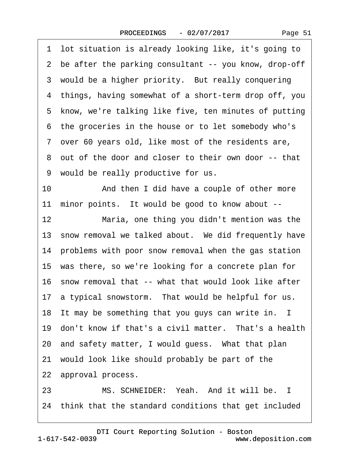|    | 1 lot situation is already looking like, it's going to  |
|----|---------------------------------------------------------|
|    | 2 be after the parking consultant -- you know, drop-off |
|    | 3 would be a higher priority. But really conquering     |
|    | 4 things, having somewhat of a short-term drop off, you |
|    | 5 know, we're talking like five, ten minutes of putting |
|    | 6 the groceries in the house or to let somebody who's   |
|    | 7 over 60 years old, like most of the residents are,    |
|    | 8 out of the door and closer to their own door -- that  |
|    | 9 would be really productive for us.                    |
| 10 | And then I did have a couple of other more              |
|    | 11 minor points. It would be good to know about --      |
| 12 | Maria, one thing you didn't mention was the             |
|    | 13 snow removal we talked about. We did frequently have |
|    |                                                         |
|    | 14 problems with poor snow removal when the gas station |
|    | 15 was there, so we're looking for a concrete plan for  |
|    | 16 snow removal that -- what that would look like after |
|    | 17 a typical snowstorm. That would be helpful for us.   |
|    | 18 It may be something that you guys can write in. I    |
|    | 19 don't know if that's a civil matter. That's a health |
|    | 20 and safety matter, I would guess. What that plan     |
|    | 21 would look like should probably be part of the       |
|    | 22 approval process.                                    |

23 MS. SCHNEIDER: Yeah. And it will be. I 24 think that the standard conditions that get included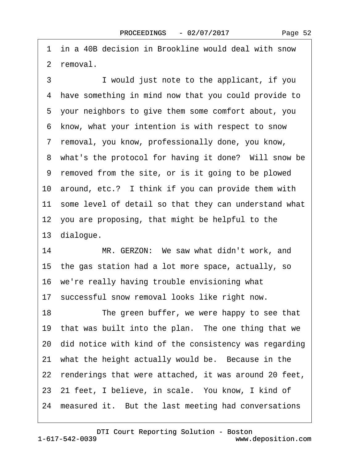·1· in a 40B decision in Brookline would deal with snow 2 removal.

3 I would just note to the applicant, if you ·4· have something in mind now that you could provide to ·5· your neighbors to give them some comfort about, you ·6· know, what your intention is with respect to snow ·7· removal, you know, professionally done, you know, 8 what's the protocol for having it done? Will snow be ·9· removed from the site, or is it going to be plowed 10· around, etc.?· I think if you can provide them with 11 some level of detail so that they can understand what 12 you are proposing, that might be helpful to the 13 dialogue. 14 MR. GERZON: We saw what didn't work, and 15· the gas station had a lot more space, actually, so

16· we're really having trouble envisioning what

17· successful snow removal looks like right now.

18 The green buffer, we were happy to see that 19 that was built into the plan. The one thing that we 20· did notice with kind of the consistency was regarding 21 what the height actually would be. Because in the 22 renderings that were attached, it was around 20 feet, 23–21 feet, I believe, in scale. You know, I kind of 24 measured it. But the last meeting had conversations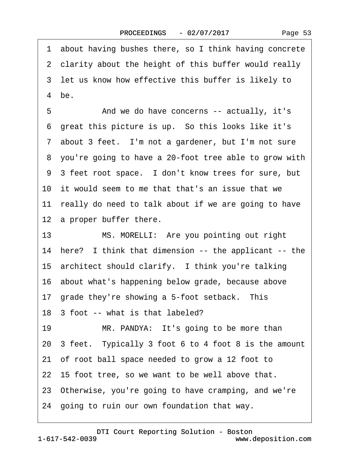·1· about having bushes there, so I think having concrete 2 clarity about the height of this buffer would really 3 let us know how effective this buffer is likely to  $4$  be. 5 • Concerns -- actually, it's 6 great this picture is up. So this looks like it's 7 about 3 feet. I'm not a gardener, but I'm not sure ·8· you're going to have a 20-foot tree able to grow with 9 3 feet root space. I don't know trees for sure, but 10 it would seem to me that that's an issue that we 11 really do need to talk about if we are going to have 12 a proper buffer there. 13 MS. MORELLI: Are you pointing out right 14 here? I think that dimension -- the applicant -- the 15 architect should clarify. I think you're talking 16· about what's happening below grade, because above 17 grade they're showing a 5-foot setback. This 18· 3 foot -- what is that labeled? 19 MR. PANDYA: It's going to be more than 20 3 feet. Typically 3 foot 6 to 4 foot 8 is the amount 21· of root ball space needed to grow a 12 foot to 22 15 foot tree, so we want to be well above that. 23· Otherwise, you're going to have cramping, and we're 24· going to ruin our own foundation that way.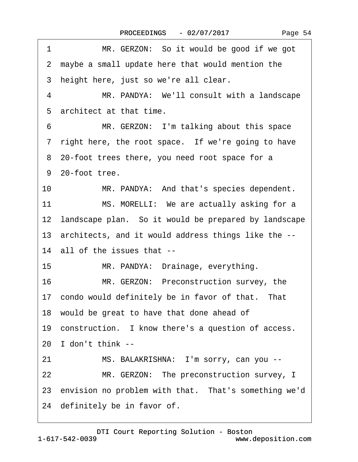| MR. GERZON: So it would be good if we got<br>1          |
|---------------------------------------------------------|
| 2 maybe a small update here that would mention the      |
| 3 height here, just so we're all clear.                 |
| MR. PANDYA: We'll consult with a landscape<br>4         |
| 5 architect at that time.                               |
| MR. GERZON: I'm talking about this space<br>6           |
| 7 right here, the root space. If we're going to have    |
| 8 20-foot trees there, you need root space for a        |
| 9 20-foot tree.                                         |
| 10<br>MR. PANDYA: And that's species dependent.         |
| 11<br>MS. MORELLI: We are actually asking for a         |
| 12 landscape plan. So it would be prepared by landscape |
| 13 architects, and it would address things like the --  |
| 14 all of the issues that --                            |
| 15<br>MR. PANDYA: Drainage, everything.                 |
| 16<br>MR. GERZON: Preconstruction survey, the           |
| 17 condo would definitely be in favor of that. That     |
| 18 would be great to have that done ahead of            |
| 19 construction. I know there's a question of access.   |
| 20 I don't think --                                     |
| 21<br>MS. BALAKRISHNA: I'm sorry, can you --            |
| MR. GERZON: The preconstruction survey, I<br>22         |
| 23 envision no problem with that. That's something we'd |
| 24 definitely be in favor of.                           |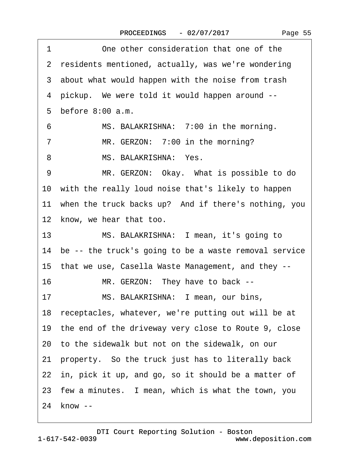| One other consideration that one of the<br>1              |
|-----------------------------------------------------------|
| 2 residents mentioned, actually, was we're wondering      |
| 3 about what would happen with the noise from trash       |
| 4 pickup. We were told it would happen around --          |
| 5 before 8:00 a.m.                                        |
| MS. BALAKRISHNA: 7:00 in the morning.<br>6                |
| MR. GERZON: 7:00 in the morning?<br>7                     |
| MS. BALAKRISHNA: Yes.<br>8                                |
| MR. GERZON: Okay. What is possible to do<br>9             |
| 10 with the really loud noise that's likely to happen     |
| 11 when the truck backs up? And if there's nothing, you   |
| 12 know, we hear that too.                                |
| 13 <sup>°</sup><br>MS. BALAKRISHNA: I mean, it's going to |
| 14 be -- the truck's going to be a waste removal service  |
| 15 that we use, Casella Waste Management, and they --     |
| 16<br>MR. GERZON: They have to back --                    |
| MS. BALAKRISHNA: I mean, our bins,<br>17                  |
| 18 receptacles, whatever, we're putting out will be at    |
| 19 the end of the driveway very close to Route 9, close   |
| 20 to the sidewalk but not on the sidewalk, on our        |
| 21 property. So the truck just has to literally back      |
| 22 in, pick it up, and go, so it should be a matter of    |
| 23 few a minutes. I mean, which is what the town, you     |
| 24 know --                                                |

Page 55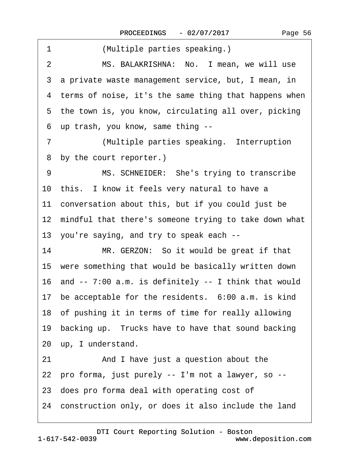| 1<br>(Multiple parties speaking.)                          |
|------------------------------------------------------------|
| MS. BALAKRISHNA: No. I mean, we will use<br>$\overline{2}$ |
| 3 a private waste management service, but, I mean, in      |
| 4 terms of noise, it's the same thing that happens when    |
| 5 the town is, you know, circulating all over, picking     |
| up trash, you know, same thing --<br>6                     |
| (Multiple parties speaking. Interruption<br>7              |
| by the court reporter.)<br>8                               |
| MS. SCHNEIDER: She's trying to transcribe<br>9             |
| 10 this. I know it feels very natural to have a            |
| 11 conversation about this, but if you could just be       |
| 12 mindful that there's someone trying to take down what   |
| 13 you're saying, and try to speak each --                 |
| MR. GERZON: So it would be great if that<br>14             |
| 15 were something that would be basically written down     |
| 16 and -- 7:00 a.m. is definitely -- I think that would    |
| 17 be acceptable for the residents. 6:00 a.m. is kind      |
| 18 of pushing it in terms of time for really allowing      |
| 19 backing up. Trucks have to have that sound backing      |
| 20 up, I understand.                                       |
| And I have just a question about the<br>21                 |
| 22 pro forma, just purely -- I'm not a lawyer, so --       |
| 23 does pro forma deal with operating cost of              |
| 24 construction only, or does it also include the land     |
|                                                            |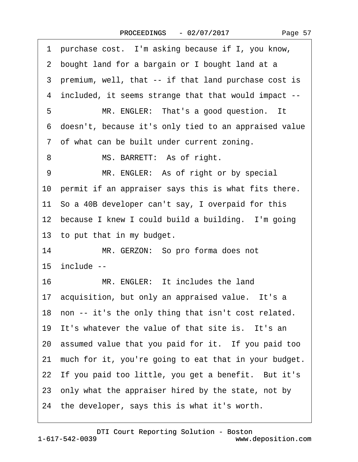| 1 purchase cost. I'm asking because if I, you know,      |
|----------------------------------------------------------|
| 2 bought land for a bargain or I bought land at a        |
| 3 premium, well, that -- if that land purchase cost is   |
| 4 included, it seems strange that that would impact --   |
| MR. ENGLER: That's a good question. It<br>5              |
| 6 doesn't, because it's only tied to an appraised value  |
| 7 of what can be built under current zoning.             |
| 8<br>MS. BARRETT: As of right.                           |
| MR. ENGLER: As of right or by special<br>9               |
| 10 permit if an appraiser says this is what fits there.  |
| 11 So a 40B developer can't say, I overpaid for this     |
| 12 because I knew I could build a building. I'm going    |
| 13 to put that in my budget.                             |
| 14<br>MR. GERZON: So pro forma does not                  |
| 15 include --                                            |
| MR. ENGLER: It includes the land<br>16                   |
| 17 acquisition, but only an appraised value. It's a      |
| 18 non -- it's the only thing that isn't cost related.   |
| 19 It's whatever the value of that site is. It's an      |
| 20 assumed value that you paid for it. If you paid too   |
| 21 much for it, you're going to eat that in your budget. |
| 22 If you paid too little, you get a benefit. But it's   |
|                                                          |
| 23 only what the appraiser hired by the state, not by    |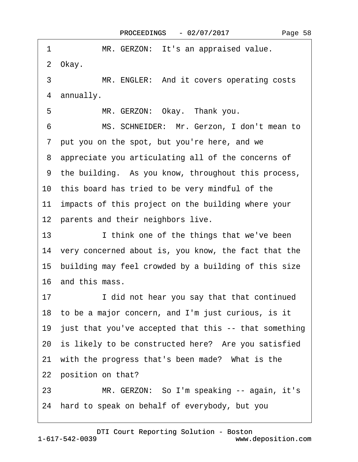| 1<br>MR. GERZON: It's an appraised value.                |
|----------------------------------------------------------|
| 2 Okay.                                                  |
| 3<br>MR. ENGLER: And it covers operating costs           |
| 4 annually.                                              |
| MR. GERZON: Okay. Thank you.<br>5                        |
| MS. SCHNEIDER: Mr. Gerzon, I don't mean to<br>6          |
| 7 put you on the spot, but you're here, and we           |
| 8 appreciate you articulating all of the concerns of     |
| 9 the building. As you know, throughout this process,    |
| 10 this board has tried to be very mindful of the        |
| 11 impacts of this project on the building where your    |
| 12 parents and their neighbors live.                     |
| I think one of the things that we've been<br>13          |
| 14 very concerned about is, you know, the fact that the  |
| 15 building may feel crowded by a building of this size  |
| 16 and this mass.                                        |
| I did not hear you say that that continued<br>17         |
| 18 to be a major concern, and I'm just curious, is it    |
| 19 just that you've accepted that this -- that something |
| 20 is likely to be constructed here? Are you satisfied   |
| 21 with the progress that's been made? What is the       |
| 22 position on that?                                     |
| 23<br>MR. GERZON: So I'm speaking -- again, it's         |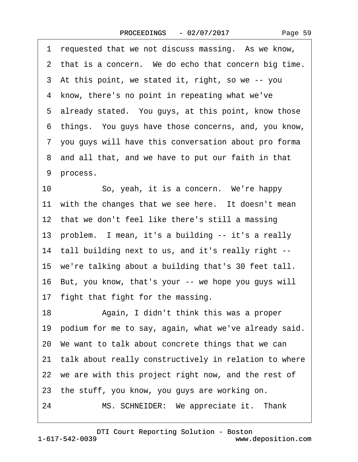1 requested that we not discuss massing. As we know,

|    | 2 that is a concern. We do echo that concern big time.   |
|----|----------------------------------------------------------|
|    | 3 At this point, we stated it, right, so we -- you       |
|    | 4 know, there's no point in repeating what we've         |
|    | 5 already stated. You guys, at this point, know those    |
|    | 6 things. You guys have those concerns, and, you know,   |
|    | 7 you guys will have this conversation about pro forma   |
|    | 8 and all that, and we have to put our faith in that     |
|    | 9 process.                                               |
| 10 | So, yeah, it is a concern. We're happy                   |
|    | 11 with the changes that we see here. It doesn't mean    |
|    | 12 that we don't feel like there's still a massing       |
|    | 13 problem. I mean, it's a building -- it's a really     |
|    | 14 tall building next to us, and it's really right --    |
|    | 15 we're talking about a building that's 30 feet tall.   |
|    | 16 But, you know, that's your -- we hope you guys will   |
|    | 17 fight that fight for the massing.                     |
| 18 | Again, I didn't think this was a proper                  |
|    | 19 podium for me to say, again, what we've already said. |
|    | 20 We want to talk about concrete things that we can     |
|    | 21 talk about really constructively in relation to where |
|    | 22 we are with this project right now, and the rest of   |
|    |                                                          |

23 the stuff, you know, you guys are working on.

24 MS. SCHNEIDER: We appreciate it. Thank

[DTI Court Reporting Solution - Boston](http://www.deposition.com)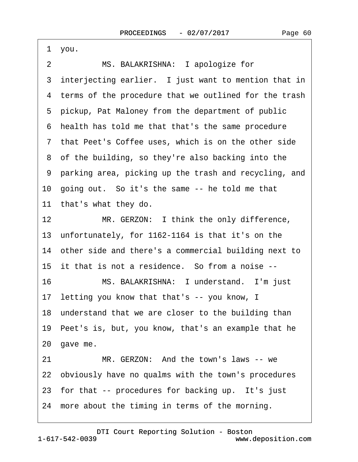·1· you. 2 MS. BALAKRISHNA: I apologize for 3 interjecting earlier. I just want to mention that in 4 terms of the procedure that we outlined for the trash 5 pickup, Pat Maloney from the department of public 6 health has told me that that's the same procedure 7 that Peet's Coffee uses, which is on the other side 8 of the building, so they're also backing into the ·9· parking area, picking up the trash and recycling, and 10 going out. So it's the same -- he told me that 11 that's what they do. 12 MR. GERZON: I think the only difference, 13· unfortunately, for 1162-1164 is that it's on the 14 other side and there's a commercial building next to 15 it that is not a residence. So from a noise --16 MS. BALAKRISHNA: I understand. I'm just 17 letting you know that that's -- you know, I 18 understand that we are closer to the building than 19· Peet's is, but, you know, that's an example that he 20 gave me. 21 MR. GERZON: And the town's laws -- we 22 obviously have no qualms with the town's procedures 23 for that -- procedures for backing up. It's just 24 more about the timing in terms of the morning.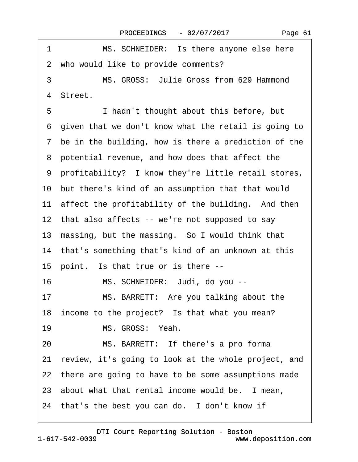| 1<br>MS. SCHNEIDER: Is there anyone else here           |
|---------------------------------------------------------|
| 2 who would like to provide comments?                   |
| MS. GROSS: Julie Gross from 629 Hammond<br>3            |
| 4 Street.                                               |
| 5<br>I hadn't thought about this before, but            |
| 6 given that we don't know what the retail is going to  |
| 7 be in the building, how is there a prediction of the  |
| 8 potential revenue, and how does that affect the       |
| 9 profitability? I know they're little retail stores,   |
| 10 but there's kind of an assumption that that would    |
| 11 affect the profitability of the building. And then   |
| 12 that also affects -- we're not supposed to say       |
| 13 massing, but the massing. So I would think that      |
| 14 that's something that's kind of an unknown at this   |
| 15 point. Is that true or is there --                   |
| 16<br>MS. SCHNEIDER: Judi, do you --                    |
| MS. BARRETT: Are you talking about the<br>17            |
| 18 income to the project? Is that what you mean?        |
| MS. GROSS: Yeah.<br>19                                  |
| MS. BARRETT: If there's a pro forma<br>20               |
| 21 review, it's going to look at the whole project, and |
| 22 there are going to have to be some assumptions made  |
| 23 about what that rental income would be. I mean,      |
| 24 that's the best you can do. I don't know if          |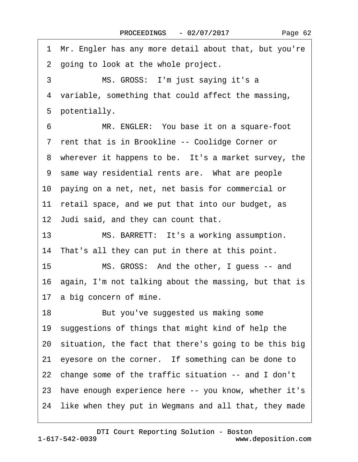·1· Mr. Engler has any more detail about that, but you're 2 going to look at the whole project. 3 MS. GROSS: I'm just saying it's a 4 variable, something that could affect the massing, 5 potentially. 6 MR. ENGLER: You base it on a square-foot 7 rent that is in Brookline -- Coolidge Corner or 8 wherever it happens to be. It's a market survey, the 9 same way residential rents are. What are people 10· paying on a net, net, net basis for commercial or 11 retail space, and we put that into our budget, as 12· Judi said, and they can count that. 13 MS. BARRETT: It's a working assumption. 14 That's all they can put in there at this point. 15 MS. GROSS: And the other, I guess -- and 16· again, I'm not talking about the massing, but that is 17 a big concern of mine. 18 But you've suggested us making some 19· suggestions of things that might kind of help the 20· situation, the fact that there's going to be this big 21 eyesore on the corner. If something can be done to 22· change some of the traffic situation -- and I don't 23 have enough experience here -- you know, whether it's 24 like when they put in Wegmans and all that, they made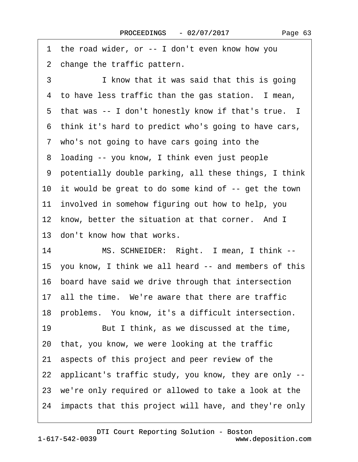1 the road wider, or -- I don't even know how you 2 change the traffic pattern. 3 I know that it was said that this is going 4 to have less traffic than the gas station. I mean, 5 that was -- I don't honestly know if that's true. I ·6· think it's hard to predict who's going to have cars, 7 who's not going to have cars going into the 8 loading -- you know, I think even just people ·9· potentially double parking, all these things, I think 10 it would be great to do some kind of -- get the town 11 involved in somehow figuring out how to help, you 12 know, better the situation at that corner. And I 13 don't know how that works. 14 MS. SCHNEIDER: Right. I mean, I think --15· you know, I think we all heard -- and members of this 16 board have said we drive through that intersection 17 all the time. We're aware that there are traffic 18 problems. You know, it's a difficult intersection. 19 But I think, as we discussed at the time, 20· that, you know, we were looking at the traffic 21· aspects of this project and peer review of the 22· applicant's traffic study, you know, they are only -- 23· we're only required or allowed to take a look at the 24 impacts that this project will have, and they're only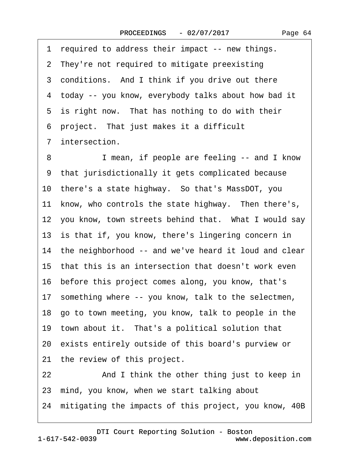|  | Page 64 |  |
|--|---------|--|
|--|---------|--|

1 required to address their impact -- new things. 2 They're not required to mitigate preexisting 3 conditions. And I think if you drive out there ·4· today -- you know, everybody talks about how bad it 5 is right now. That has nothing to do with their ·6· project.· That just makes it a difficult 7 intersection. 8 I mean, if people are feeling -- and I know ·9· that jurisdictionally it gets complicated because 10· there's a state highway.· So that's MassDOT, you 11 know, who controls the state highway. Then there's, 12 you know, town streets behind that. What I would say 13 is that if, you know, there's lingering concern in 14 the neighborhood -- and we've heard it loud and clear 15 that this is an intersection that doesn't work even 16 before this project comes along, you know, that's 17 something where -- you know, talk to the selectmen, 18· go to town meeting, you know, talk to people in the 19 town about it. That's a political solution that 20· exists entirely outside of this board's purview or 21 the review of this project. 22 And I think the other thing just to keep in 23· mind, you know, when we start talking about 24 mitigating the impacts of this project, you know, 40B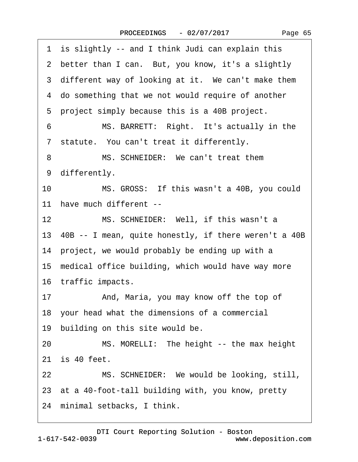| 2 better than I can. But, you know, it's a slightly<br>3 different way of looking at it. We can't make them<br>4 do something that we not would require of another<br>5 project simply because this is a 40B project.<br>MS. BARRETT: Right. It's actually in the<br>6<br>7 statute. You can't treat it differently.<br>MS. SCHNEIDER: We can't treat them<br>8<br>9 differently.<br>10<br>MS. GROSS: If this wasn't a 40B, you could<br>11 have much different --<br>MS. SCHNEIDER: Well, if this wasn't a<br>12<br>13 40B -- I mean, quite honestly, if there weren't a 40B<br>14 project, we would probably be ending up with a<br>15 medical office building, which would have way more<br>16 traffic impacts.<br>17<br>And, Maria, you may know off the top of<br>18 your head what the dimensions of a commercial<br>19 building on this site would be.<br>MS. MORELLI: The height -- the max height<br>20<br>21 is 40 feet.<br>22<br>MS. SCHNEIDER: We would be looking, still,<br>23 at a 40-foot-tall building with, you know, pretty<br>24 minimal setbacks, I think. | 1 is slightly -- and I think Judi can explain this |
|---------------------------------------------------------------------------------------------------------------------------------------------------------------------------------------------------------------------------------------------------------------------------------------------------------------------------------------------------------------------------------------------------------------------------------------------------------------------------------------------------------------------------------------------------------------------------------------------------------------------------------------------------------------------------------------------------------------------------------------------------------------------------------------------------------------------------------------------------------------------------------------------------------------------------------------------------------------------------------------------------------------------------------------------------------------------------------|----------------------------------------------------|
|                                                                                                                                                                                                                                                                                                                                                                                                                                                                                                                                                                                                                                                                                                                                                                                                                                                                                                                                                                                                                                                                                 |                                                    |
|                                                                                                                                                                                                                                                                                                                                                                                                                                                                                                                                                                                                                                                                                                                                                                                                                                                                                                                                                                                                                                                                                 |                                                    |
|                                                                                                                                                                                                                                                                                                                                                                                                                                                                                                                                                                                                                                                                                                                                                                                                                                                                                                                                                                                                                                                                                 |                                                    |
|                                                                                                                                                                                                                                                                                                                                                                                                                                                                                                                                                                                                                                                                                                                                                                                                                                                                                                                                                                                                                                                                                 |                                                    |
|                                                                                                                                                                                                                                                                                                                                                                                                                                                                                                                                                                                                                                                                                                                                                                                                                                                                                                                                                                                                                                                                                 |                                                    |
|                                                                                                                                                                                                                                                                                                                                                                                                                                                                                                                                                                                                                                                                                                                                                                                                                                                                                                                                                                                                                                                                                 |                                                    |
|                                                                                                                                                                                                                                                                                                                                                                                                                                                                                                                                                                                                                                                                                                                                                                                                                                                                                                                                                                                                                                                                                 |                                                    |
|                                                                                                                                                                                                                                                                                                                                                                                                                                                                                                                                                                                                                                                                                                                                                                                                                                                                                                                                                                                                                                                                                 |                                                    |
|                                                                                                                                                                                                                                                                                                                                                                                                                                                                                                                                                                                                                                                                                                                                                                                                                                                                                                                                                                                                                                                                                 |                                                    |
|                                                                                                                                                                                                                                                                                                                                                                                                                                                                                                                                                                                                                                                                                                                                                                                                                                                                                                                                                                                                                                                                                 |                                                    |
|                                                                                                                                                                                                                                                                                                                                                                                                                                                                                                                                                                                                                                                                                                                                                                                                                                                                                                                                                                                                                                                                                 |                                                    |
|                                                                                                                                                                                                                                                                                                                                                                                                                                                                                                                                                                                                                                                                                                                                                                                                                                                                                                                                                                                                                                                                                 |                                                    |
|                                                                                                                                                                                                                                                                                                                                                                                                                                                                                                                                                                                                                                                                                                                                                                                                                                                                                                                                                                                                                                                                                 |                                                    |
|                                                                                                                                                                                                                                                                                                                                                                                                                                                                                                                                                                                                                                                                                                                                                                                                                                                                                                                                                                                                                                                                                 |                                                    |
|                                                                                                                                                                                                                                                                                                                                                                                                                                                                                                                                                                                                                                                                                                                                                                                                                                                                                                                                                                                                                                                                                 |                                                    |
|                                                                                                                                                                                                                                                                                                                                                                                                                                                                                                                                                                                                                                                                                                                                                                                                                                                                                                                                                                                                                                                                                 |                                                    |
|                                                                                                                                                                                                                                                                                                                                                                                                                                                                                                                                                                                                                                                                                                                                                                                                                                                                                                                                                                                                                                                                                 |                                                    |
|                                                                                                                                                                                                                                                                                                                                                                                                                                                                                                                                                                                                                                                                                                                                                                                                                                                                                                                                                                                                                                                                                 |                                                    |
|                                                                                                                                                                                                                                                                                                                                                                                                                                                                                                                                                                                                                                                                                                                                                                                                                                                                                                                                                                                                                                                                                 |                                                    |
|                                                                                                                                                                                                                                                                                                                                                                                                                                                                                                                                                                                                                                                                                                                                                                                                                                                                                                                                                                                                                                                                                 |                                                    |
|                                                                                                                                                                                                                                                                                                                                                                                                                                                                                                                                                                                                                                                                                                                                                                                                                                                                                                                                                                                                                                                                                 |                                                    |
|                                                                                                                                                                                                                                                                                                                                                                                                                                                                                                                                                                                                                                                                                                                                                                                                                                                                                                                                                                                                                                                                                 |                                                    |
|                                                                                                                                                                                                                                                                                                                                                                                                                                                                                                                                                                                                                                                                                                                                                                                                                                                                                                                                                                                                                                                                                 |                                                    |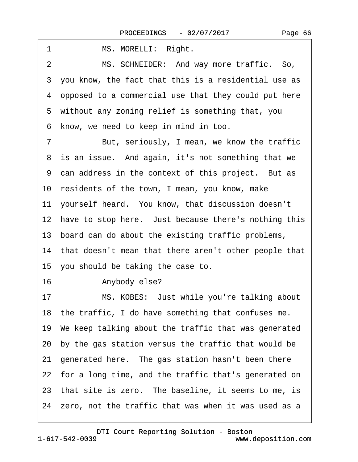| 1<br>MS. MORELLI: Right.                                  |
|-----------------------------------------------------------|
| MS. SCHNEIDER: And way more traffic. So,<br>2             |
| you know, the fact that this is a residential use as<br>3 |
| 4 opposed to a commercial use that they could put here    |
| 5 without any zoning relief is something that, you        |
| know, we need to keep in mind in too.<br>6                |
| But, seriously, I mean, we know the traffic<br>7          |
| 8 is an issue. And again, it's not something that we      |
| 9 can address in the context of this project. But as      |
| 10 residents of the town, I mean, you know, make          |
| 11 yourself heard. You know, that discussion doesn't      |
| 12 have to stop here. Just because there's nothing this   |
| 13 board can do about the existing traffic problems,      |
| 14 that doesn't mean that there aren't other people that  |
| 15 you should be taking the case to.                      |
| 16<br>Anybody else?                                       |
| MS. KOBES: Just while you're talking about<br>17          |
| 18 the traffic, I do have something that confuses me.     |
| 19 We keep talking about the traffic that was generated   |
| 20 by the gas station versus the traffic that would be    |
| 21 generated here. The gas station hasn't been there      |
| 22 for a long time, and the traffic that's generated on   |
| 23 that site is zero. The baseline, it seems to me, is    |
| 24 zero, not the traffic that was when it was used as a   |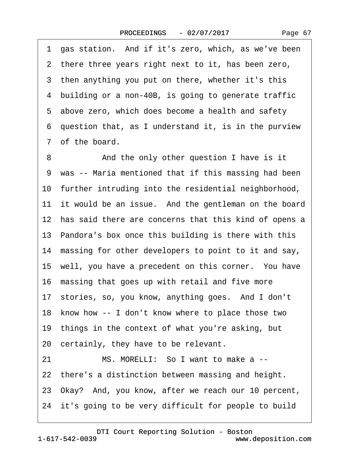Page 67

·1· gas station.· And if it's zero, which, as we've been 2 there three years right next to it, has been zero, 3 then anything you put on there, whether it's this 4 building or a non-40B, is going to generate traffic 5 above zero, which does become a health and safety ·6· question that, as I understand it, is in the purview 7 of the board. 8 • • And the only other question I have is it 9 was -- Maria mentioned that if this massing had been 10 further intruding into the residential neighborhood, 11 it would be an issue. And the gentleman on the board 12 has said there are concerns that this kind of opens a 13· Pandora's box once this building is there with this 14 massing for other developers to point to it and say, 15 well, you have a precedent on this corner. You have 16 massing that goes up with retail and five more 17 stories, so, you know, anything goes. And I don't 18· know how -- I don't know where to place those two 19 things in the context of what you're asking, but 20· certainly, they have to be relevant. 21 MS. MORELLI: So I want to make a --22 there's a distinction between massing and height. 23· Okay?· And, you know, after we reach our 10 percent, 24 it's going to be very difficult for people to build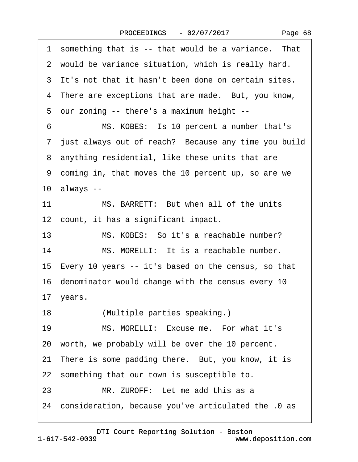|  | Page 68 |  |
|--|---------|--|
|--|---------|--|

|    | 1 something that is -- that would be a variance. That  |
|----|--------------------------------------------------------|
|    | 2 would be variance situation, which is really hard.   |
|    | 3 It's not that it hasn't been done on certain sites.  |
|    | 4 There are exceptions that are made. But, you know,   |
|    | 5 our zoning -- there's a maximum height --            |
| 6  | MS. KOBES: Is 10 percent a number that's               |
|    | 7 just always out of reach? Because any time you build |
|    | 8 anything residential, like these units that are      |
|    | 9 coming in, that moves the 10 percent up, so are we   |
|    | $10$ always $-$                                        |
| 11 | MS. BARRETT: But when all of the units                 |
|    | 12 count, it has a significant impact.                 |
| 13 | MS. KOBES: So it's a reachable number?                 |
| 14 | MS. MORELLI: It is a reachable number.                 |
|    | 15 Every 10 years -- it's based on the census, so that |
|    | 16 denominator would change with the census every 10   |
|    | 17 years.                                              |
| 18 | (Multiple parties speaking.)                           |
| 19 | MS. MORELLI: Excuse me. For what it's                  |
|    | 20 worth, we probably will be over the 10 percent.     |
|    | 21 There is some padding there. But, you know, it is   |
|    | 22 something that our town is susceptible to.          |
| 23 | MR. ZUROFF: Let me add this as a                       |
|    | 24 consideration, because you've articulated the 0 as  |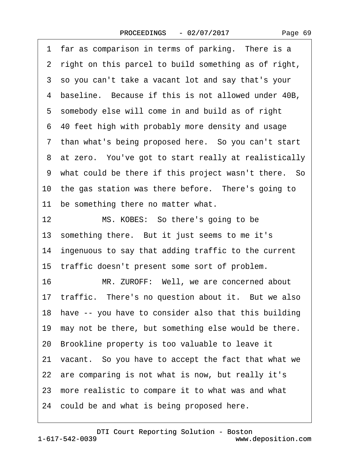2 right on this parcel to build something as of right, ·3· so you can't take a vacant lot and say that's your 4 baseline. Because if this is not allowed under 40B, 5 somebody else will come in and build as of right ·6· 40 feet high with probably more density and usage 7 than what's being proposed here. So you can't start 8 at zero. You've got to start really at realistically ·9· what could be there if this project wasn't there.· So 10 the gas station was there before. There's going to 11 be something there no matter what. 12 MS. KOBES: So there's going to be 13 something there. But it just seems to me it's 14 ingenuous to say that adding traffic to the current 15 traffic doesn't present some sort of problem. 16 MR. ZUROFF: Well, we are concerned about 17 traffic. There's no question about it. But we also 18 have -- you have to consider also that this building 19 may not be there, but something else would be there.

1 far as comparison in terms of parking. There is a

20· Brookline property is too valuable to leave it

21· vacant.· So you have to accept the fact that what we

22 are comparing is not what is now, but really it's

23· more realistic to compare it to what was and what

24 could be and what is being proposed here.

www.deposition.com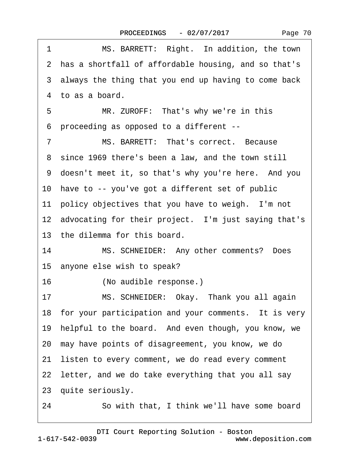|  | Page 70 |  |
|--|---------|--|
|--|---------|--|

| 1  | MS. BARRETT: Right. In addition, the town               |
|----|---------------------------------------------------------|
|    | 2 has a shortfall of affordable housing, and so that's  |
|    | 3 always the thing that you end up having to come back  |
|    | 4 to as a board.                                        |
| 5  | MR. ZUROFF: That's why we're in this                    |
| 6  | proceeding as opposed to a different --                 |
| 7  | MS. BARRETT: That's correct. Because                    |
|    | 8 since 1969 there's been a law, and the town still     |
|    | 9 doesn't meet it, so that's why you're here. And you   |
|    | 10 have to -- you've got a different set of public      |
|    | 11 policy objectives that you have to weigh. I'm not    |
|    | 12 advocating for their project. I'm just saying that's |
|    | 13 the dilemma for this board.                          |
| 14 | MS. SCHNEIDER: Any other comments? Does                 |
|    | 15 anyone else wish to speak?                           |
| 16 | (No audible response.)                                  |
| 17 | MS. SCHNEIDER: Okay. Thank you all again                |
|    | 18 for your participation and your comments. It is very |
|    | 19 helpful to the board. And even though, you know, we  |
|    | 20 may have points of disagreement, you know, we do     |
| 21 | listen to every comment, we do read every comment       |
|    | 22 letter, and we do take everything that you all say   |
|    | 23 quite seriously.                                     |
| 24 | So with that, I think we'll have some board             |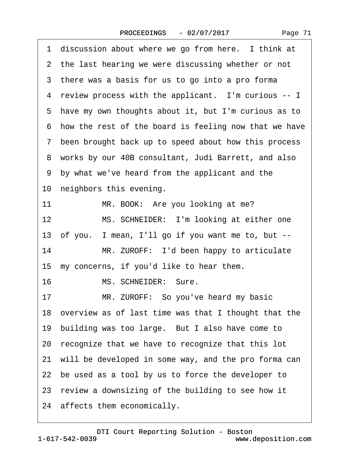1 discussion about where we go from here. I think at

2 the last hearing we were discussing whether or not

3 there was a basis for us to go into a pro forma 4 review process with the applicant. I'm curious -- I 5 have my own thoughts about it, but I'm curious as to ·6· how the rest of the board is feeling now that we have ·7· been brought back up to speed about how this process ·8· works by our 40B consultant, Judi Barrett, and also ·9· by what we've heard from the applicant and the 10 neighbors this evening. 11 MR. BOOK: Are you looking at me? 12 MS. SCHNEIDER: I'm looking at either one 13· of you.· I mean, I'll go if you want me to, but -- 14 MR. ZUROFF: I'd been happy to articulate 15 my concerns, if you'd like to hear them. 16 MS. SCHNEIDER: Sure. 17 MR. ZUROFF: So you've heard my basic 18· overview as of last time was that I thought that the 19 building was too large. But I also have come to 20· recognize that we have to recognize that this lot 21 will be developed in some way, and the pro forma can 22 be used as a tool by us to force the developer to 23· review a downsizing of the building to see how it 24 affects them economically.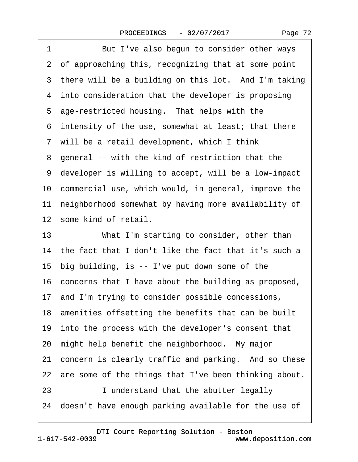|  | Page 72 |  |
|--|---------|--|
|--|---------|--|

| 1  | But I've also begun to consider other ways               |
|----|----------------------------------------------------------|
|    | 2 of approaching this, recognizing that at some point    |
|    | 3 there will be a building on this lot. And I'm taking   |
|    | 4 into consideration that the developer is proposing     |
|    | 5 age-restricted housing. That helps with the            |
|    | 6 intensity of the use, somewhat at least; that there    |
|    | 7 will be a retail development, which I think            |
|    | 8 general -- with the kind of restriction that the       |
|    | 9 developer is willing to accept, will be a low-impact   |
|    | 10 commercial use, which would, in general, improve the  |
|    | 11 neighborhood somewhat by having more availability of  |
|    | 12 some kind of retail.                                  |
| 13 | What I'm starting to consider, other than                |
|    |                                                          |
|    | 14 the fact that I don't like the fact that it's such a  |
|    | 15 big building, is -- I've put down some of the         |
|    | 16 concerns that I have about the building as proposed,  |
|    | 17 and I'm trying to consider possible concessions,      |
|    | 18 amenities offsetting the benefits that can be built   |
|    | 19 into the process with the developer's consent that    |
|    | 20 might help benefit the neighborhood. My major         |
|    | 21 concern is clearly traffic and parking. And so these  |
|    | 22 are some of the things that I've been thinking about. |
| 23 | I understand that the abutter legally                    |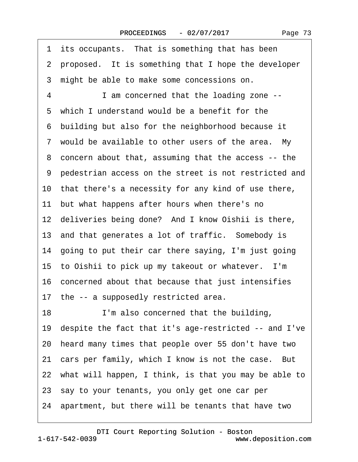<span id="page-72-0"></span>1 its occupants. That is something that has been 2 proposed. It is something that I hope the developer 3 might be able to make some concessions on. ·4· · · · · ·I am concerned that the loading zone -- 5 which I understand would be a benefit for the ·6· building but also for the neighborhood because it 7 would be available to other users of the area. My ·8· concern about that, assuming that the access -- the ·9· pedestrian access on the street is not restricted and 10· that there's a necessity for any kind of use there, 11 but what happens after hours when there's no 12 deliveries being done? And I know Oishii is there, 13 and that generates a lot of traffic. Somebody is 14 going to put their car there saying, I'm just going 15 to Oishii to pick up my takeout or whatever. I'm 16· concerned about that because that just intensifies 17 the -- a supposedly restricted area. 18 I'm also concerned that the building, 19· despite the fact that it's age-restricted -- and I've 20· heard many times that people over 55 don't have two 21 cars per family, which I know is not the case. But 22· what will happen, I think, is that you may be able to 23· say to your tenants, you only get one car per 24· apartment, but there will be tenants that have two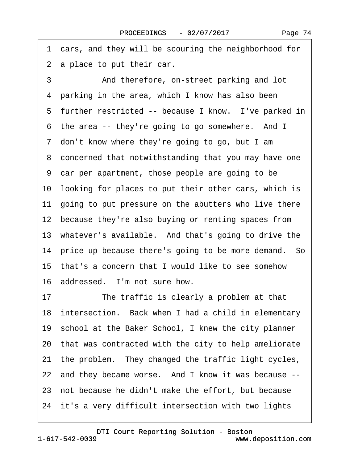<span id="page-73-0"></span>·1· cars, and they will be scouring the neighborhood for 2 a place to put their car. 3 **3** And therefore, on-street parking and lot

4 parking in the area, which I know has also been 5 further restricted -- because I know. I've parked in 6 the area -- they're going to go somewhere. And I 7 don't know where they're going to go, but I am 8 concerned that notwithstanding that you may have one ·9· car per apartment, those people are going to be 10 looking for places to put their other cars, which is 11 going to put pressure on the abutters who live there 12 because they're also buying or renting spaces from 13 whatever's available. And that's going to drive the 14 price up because there's going to be more demand. So 15· that's a concern that I would like to see somehow 16 addressed. I'm not sure how. 17 The traffic is clearly a problem at that

18 intersection. Back when I had a child in elementary 19 school at the Baker School, I knew the city planner 20· that was contracted with the city to help ameliorate 21 the problem. They changed the traffic light cycles, 22 and they became worse. And I know it was because --23 not because he didn't make the effort, but because 24 it's a very difficult intersection with two lights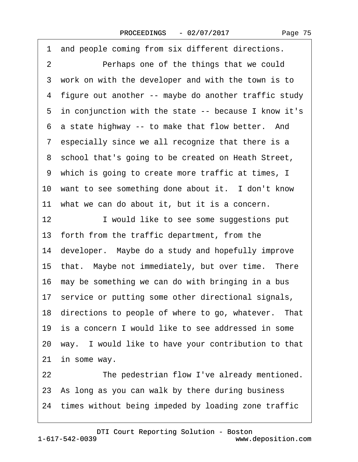<span id="page-74-0"></span>1 and people coming from six different directions. 2 Perhaps one of the things that we could 3 work on with the developer and with the town is to ·4· figure out another -- maybe do another traffic study 5 in conjunction with the state -- because I know it's 6 a state highway -- to make that flow better. And 7 especially since we all recognize that there is a 8 school that's going to be created on Heath Street, 9 which is going to create more traffic at times, I 10 want to see something done about it. I don't know 11· what we can do about it, but it is a concern. 12 I would like to see some suggestions put 13 forth from the traffic department, from the 14 developer. Maybe do a study and hopefully improve 15 that. Maybe not immediately, but over time. There 16 may be something we can do with bringing in a bus 17 service or putting some other directional signals, 18 directions to people of where to go, whatever. That 19· is a concern I would like to see addressed in some 20· way.· I would like to have your contribution to that 21 in some way. 22 The pedestrian flow I've already mentioned. 23· As long as you can walk by there during business

24 times without being impeded by loading zone traffic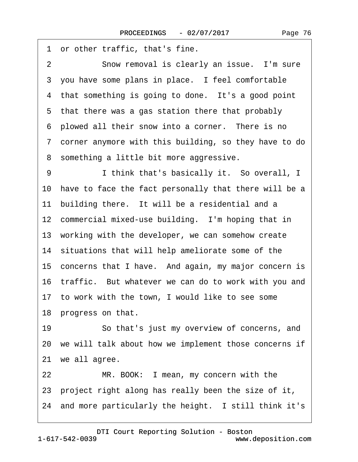<span id="page-75-0"></span>1 or other traffic, that's fine. 2 Snow removal is clearly an issue. I'm sure 3 you have some plans in place. I feel comfortable 4 that something is going to done. It's a good point 5 that there was a gas station there that probably 6 plowed all their snow into a corner. There is no ·7· corner anymore with this building, so they have to do 8 something a little bit more aggressive. 9 I think that's basically it. So overall, I 10 have to face the fact personally that there will be a 11 building there. It will be a residential and a 12 commercial mixed-use building. I'm hoping that in 13 working with the developer, we can somehow create 14 situations that will help ameliorate some of the 15 concerns that I have. And again, my major concern is 16 traffic. But whatever we can do to work with you and 17 to work with the town, I would like to see some 18 progress on that. 19 • So that's just my overview of concerns, and 20 we will talk about how we implement those concerns if 21 we all agree. 22 MR. BOOK: I mean, my concern with the 23· project right along has really been the size of it, 24 and more particularly the height. I still think it's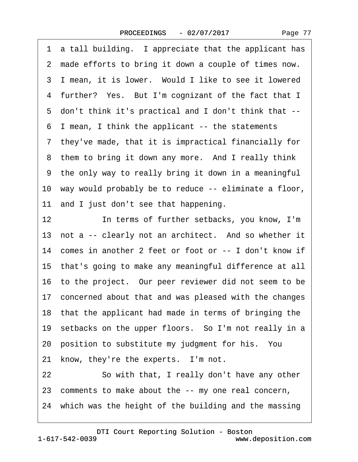Page 77

<span id="page-76-0"></span>·1· a tall building.· I appreciate that the applicant has 2 made efforts to bring it down a couple of times now. 3 I mean, it is lower. Would I like to see it lowered 4 further? Yes. But I'm cognizant of the fact that I ·5· don't think it's practical and I don't think that -- ·6· I mean, I think the applicant -- the statements ·7· they've made, that it is impractical financially for 8 them to bring it down any more. And I really think ·9· the only way to really bring it down in a meaningful 10 way would probably be to reduce -- eliminate a floor, 11 and I just don't see that happening. 12 **In terms of further setbacks, you know, I'm** 13 not a -- clearly not an architect. And so whether it 14 comes in another 2 feet or foot or -- I don't know if 15· that's going to make any meaningful difference at all 16· to the project.· Our peer reviewer did not seem to be 17 concerned about that and was pleased with the changes 18 that the applicant had made in terms of bringing the 19 setbacks on the upper floors. So I'm not really in a 20 position to substitute my judgment for his. You 21 know, they're the experts. I'm not. 22 So with that, I really don't have any other 23· comments to make about the -- my one real concern, 24 which was the height of the building and the massing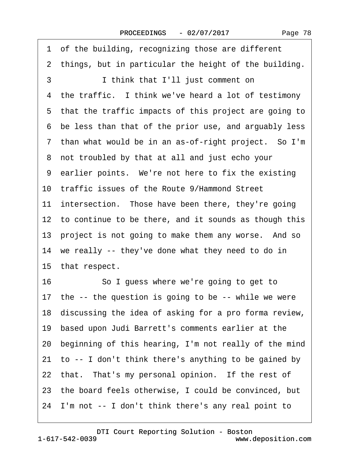|  | Page 78 |  |
|--|---------|--|
|--|---------|--|

<span id="page-77-0"></span>1 of the building, recognizing those are different 2 things, but in particular the height of the building. 3 **I** think that I'll just comment on 4 the traffic. I think we've heard a lot of testimony 5 that the traffic impacts of this project are going to ·6· be less than that of the prior use, and arguably less 7 than what would be in an as-of-right project. So I'm 8 not troubled by that at all and just echo your 9 earlier points. We're not here to fix the existing 10· traffic issues of the Route 9/Hammond Street 11 intersection. Those have been there, they're going 12 to continue to be there, and it sounds as though this 13 project is not going to make them any worse. And so 14 we really -- they've done what they need to do in 15 that respect. 16 **· · · · So I guess where we're going to get to** 17 the -- the question is going to be -- while we were 18 discussing the idea of asking for a pro forma review, 19· based upon Judi Barrett's comments earlier at the 20· beginning of this hearing, I'm not really of the mind 21 to -- I don't think there's anything to be gained by 22 that. That's my personal opinion. If the rest of 23· the board feels otherwise, I could be convinced, but 24· I'm not -- I don't think there's any real point to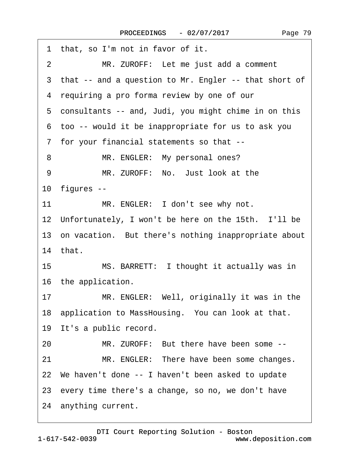<span id="page-78-0"></span>

| 1 that, so I'm not in favor of it.                      |
|---------------------------------------------------------|
| 2<br>MR. ZUROFF: Let me just add a comment              |
| 3 that -- and a question to Mr. Engler -- that short of |
| 4 requiring a pro forma review by one of our            |
| 5 consultants -- and, Judi, you might chime in on this  |
| 6 too -- would it be inappropriate for us to ask you    |
| 7 for your financial statements so that --              |
| MR. ENGLER: My personal ones?<br>8                      |
| MR. ZUROFF: No. Just look at the<br>9                   |
| 10 figures --                                           |
| MR. ENGLER: I don't see why not.<br>11                  |
| 12 Unfortunately, I won't be here on the 15th. I'll be  |
| 13 on vacation. But there's nothing inappropriate about |
| 14 that.                                                |
| 15<br>MS. BARRETT: I thought it actually was in         |
| 16 the application.                                     |
| MR. ENGLER: Well, originally it was in the<br>17        |
| 18 application to MassHousing. You can look at that.    |
| 19 It's a public record.                                |
| MR. ZUROFF: But there have been some --<br>20           |
| MR. ENGLER: There have been some changes.<br>21         |
| 22 We haven't done -- I haven't been asked to update    |
| 23 every time there's a change, so no, we don't have    |
| 24 anything current.                                    |
|                                                         |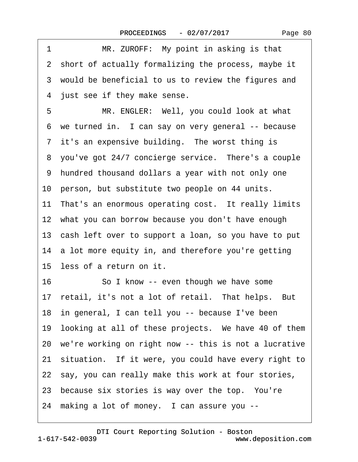<span id="page-79-0"></span>1 MR. ZUROFF: My point in asking is that 2 short of actually formalizing the process, maybe it 3 would be beneficial to us to review the figures and 4 just see if they make sense. 5 MR. ENGLER: Well, you could look at what 6 we turned in. I can say on very general -- because 7 it's an expensive building. The worst thing is 8 you've got 24/7 concierge service. There's a couple ·9· hundred thousand dollars a year with not only one 10 person, but substitute two people on 44 units. 11 That's an enormous operating cost. It really limits 12 what you can borrow because you don't have enough 13· cash left over to support a loan, so you have to put 14 a lot more equity in, and therefore you're getting 15 less of a return on it. 16 So I know -- even though we have some 17 retail, it's not a lot of retail. That helps. But 18 in general, I can tell you -- because I've been 19 looking at all of these projects. We have 40 of them 20· we're working on right now -- this is not a lucrative 21· situation.· If it were, you could have every right to 22 say, you can really make this work at four stories, 23 because six stories is way over the top. You're 24 making a lot of money. I can assure you --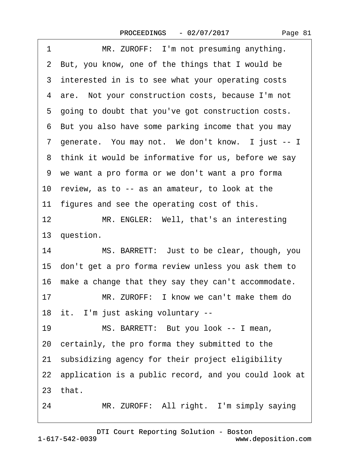<span id="page-80-0"></span>

| 1  | MR. ZUROFF: I'm not presuming anything.                  |
|----|----------------------------------------------------------|
|    | 2 But, you know, one of the things that I would be       |
|    | 3 interested in is to see what your operating costs      |
|    | 4 are. Not your construction costs, because I'm not      |
|    | 5 going to doubt that you've got construction costs.     |
|    | 6 But you also have some parking income that you may     |
|    | 7 generate. You may not. We don't know. I just -- I      |
|    | 8 think it would be informative for us, before we say    |
|    | 9 we want a pro forma or we don't want a pro forma       |
|    | 10 review, as to -- as an amateur, to look at the        |
|    | 11 figures and see the operating cost of this.           |
| 12 | MR. ENGLER: Well, that's an interesting                  |
|    | 13 question.                                             |
| 14 | MS. BARRETT: Just to be clear, though, you               |
|    | 15 don't get a pro forma review unless you ask them to   |
|    | 16 make a change that they say they can't accommodate.   |
| 17 | MR. ZUROFF: I know we can't make them do                 |
|    | 18 it. I'm just asking voluntary --                      |
| 19 | MS. BARRETT: But you look -- I mean,                     |
|    | 20 certainly, the pro forma they submitted to the        |
|    | 21 subsidizing agency for their project eligibility      |
|    | 22 application is a public record, and you could look at |
|    | 23 that.                                                 |
|    |                                                          |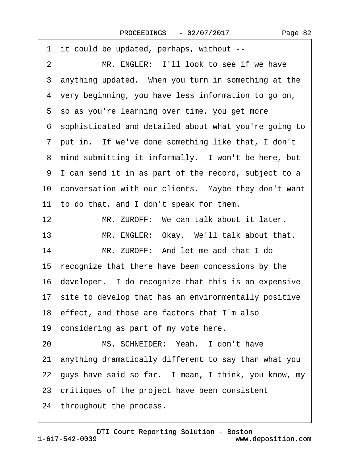<span id="page-81-0"></span>

| it could be updated, perhaps, without --<br>1             |
|-----------------------------------------------------------|
| MR. ENGLER: I'll look to see if we have<br>$\overline{2}$ |
| 3 anything updated. When you turn in something at the     |
| 4 very beginning, you have less information to go on,     |
| 5 so as you're learning over time, you get more           |
| 6 sophisticated and detailed about what you're going to   |
| 7 put in. If we've done something like that, I don't      |
| 8 mind submitting it informally. I won't be here, but     |
| 9 I can send it in as part of the record, subject to a    |
| 10 conversation with our clients. Maybe they don't want   |
| 11 to do that, and I don't speak for them.                |
| 12<br>MR. ZUROFF: We can talk about it later.             |
| MR. ENGLER: Okay. We'll talk about that.<br>13            |
| 14<br>MR. ZUROFF: And let me add that I do                |
| 15 recognize that there have been concessions by the      |
| 16 developer. I do recognize that this is an expensive    |
| 17 site to develop that has an environmentally positive   |
| 18 effect, and those are factors that I'm also            |
| 19 considering as part of my vote here.                   |
| MS. SCHNEIDER: Yeah. I don't have<br>20                   |
| 21 anything dramatically different to say than what you   |
| 22 guys have said so far. I mean, I think, you know, my   |
| 23 critiques of the project have been consistent          |
| 24 throughout the process.                                |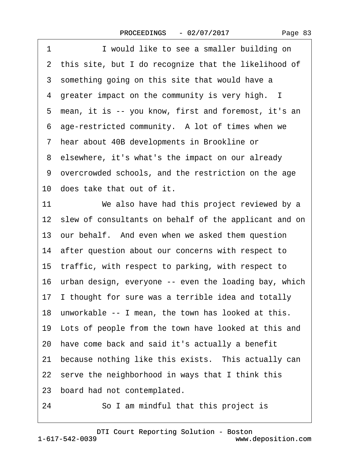<span id="page-82-0"></span>1 **I** would like to see a smaller building on 2 this site, but I do recognize that the likelihood of 3 something going on this site that would have a 4 greater impact on the community is very high. I ·5· mean, it is -- you know, first and foremost, it's an 6 age-restricted community. A lot of times when we ·7· hear about 40B developments in Brookline or 8 elsewhere, it's what's the impact on our already ·9· overcrowded schools, and the restriction on the age 10 does take that out of it. 11 We also have had this project reviewed by a 12 slew of consultants on behalf of the applicant and on 13 our behalf. And even when we asked them question 14 after question about our concerns with respect to 15 traffic, with respect to parking, with respect to 16 urban design, everyone -- even the loading bay, which 17 I thought for sure was a terrible idea and totally 18 unworkable -- I mean, the town has looked at this. 19 Lots of people from the town have looked at this and 20· have come back and said it's actually a benefit 21 because nothing like this exists. This actually can 22 serve the neighborhood in ways that I think this 23 board had not contemplated.

24 **· · So I am mindful that this project is**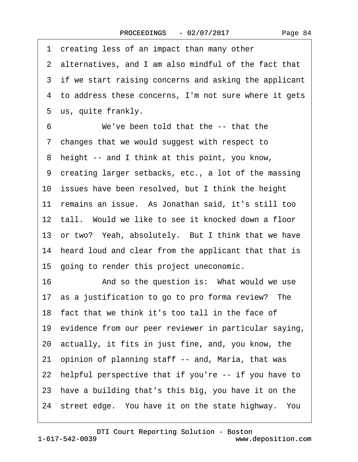3 if we start raising concerns and asking the applicant 4 to address these concerns, I'm not sure where it gets 7 changes that we would suggest with respect to ·9· creating larger setbacks, etc., a lot of the massing

10 issues have been resolved, but I think the height 11· remains an issue.· As Jonathan said, it's still too 12 tall. Would we like to see it knocked down a floor 13 or two? Yeah, absolutely. But I think that we have 14 heard loud and clear from the applicant that that is

<span id="page-83-0"></span>1 creating less of an impact than many other

6 We've been told that the -- that the

8 height -- and I think at this point, you know,

5 us, quite frankly.

·2· alternatives, and I am also mindful of the fact that

15· going to render this project uneconomic.

16 • And so the question is: What would we use 17 as a justification to go to pro forma review? The 18· fact that we think it's too tall in the face of 19 evidence from our peer reviewer in particular saying, 20· actually, it fits in just fine, and, you know, the 21· opinion of planning staff -- and, Maria, that was 22 helpful perspective that if you're -- if you have to 23 have a building that's this big, you have it on the 24 street edge. You have it on the state highway. You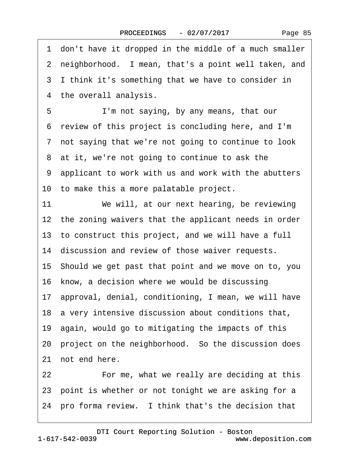<span id="page-84-0"></span>·1· don't have it dropped in the middle of a much smaller 2 neighborhood. I mean, that's a point well taken, and 3 I think it's something that we have to consider in 4 the overall analysis. 5 I'm not saying, by any means, that our ·6· review of this project is concluding here, and I'm 7 not saying that we're not going to continue to look 8 at it, we're not going to continue to ask the ·9· applicant to work with us and work with the abutters 10 to make this a more palatable project. 11 We will, at our next hearing, be reviewing 12 the zoning waivers that the applicant needs in order 13· to construct this project, and we will have a full 14 discussion and review of those waiver requests. 15· Should we get past that point and we move on to, you 16 know, a decision where we would be discussing 17· approval, denial, conditioning, I mean, we will have 18 a very intensive discussion about conditions that, 19· again, would go to mitigating the impacts of this 20 project on the neighborhood. So the discussion does 21 not end here. 22 **• • For me, what we really are deciding at this** 23 point is whether or not tonight we are asking for a 24 pro forma review. I think that's the decision that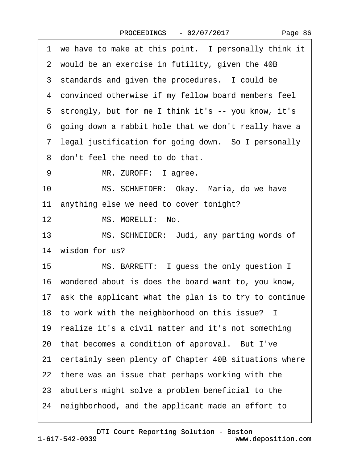| Page 86 |  |
|---------|--|
|---------|--|

|    | 1 we have to make at this point. I personally think it   |
|----|----------------------------------------------------------|
|    | 2 would be an exercise in futility, given the 40B        |
|    | 3 standards and given the procedures. I could be         |
|    | 4 convinced otherwise if my fellow board members feel    |
|    | 5 strongly, but for me I think it's -- you know, it's    |
|    | 6 going down a rabbit hole that we don't really have a   |
|    | 7 legal justification for going down. So I personally    |
|    | 8 don't feel the need to do that.                        |
| 9  | MR. ZUROFF: I agree.                                     |
| 10 | MS. SCHNEIDER: Okay. Maria, do we have                   |
|    | 11 anything else we need to cover tonight?               |
| 12 | MS. MORELLI: No.                                         |
| 13 | MS. SCHNEIDER: Judi, any parting words of                |
|    | 14 wisdom for us?                                        |
| 15 | MS. BARRETT: I guess the only question I                 |
|    | 16 wondered about is does the board want to, you know,   |
|    | 17 ask the applicant what the plan is to try to continue |
|    | 18 to work with the neighborhood on this issue? I        |
|    | 19 realize it's a civil matter and it's not something    |
|    | 20 that becomes a condition of approval. But I've        |
|    | 21 certainly seen plenty of Chapter 40B situations where |
|    | 22 there was an issue that perhaps working with the      |
|    | 23 abutters might solve a problem beneficial to the      |
|    | 24 neighborhood, and the applicant made an effort to     |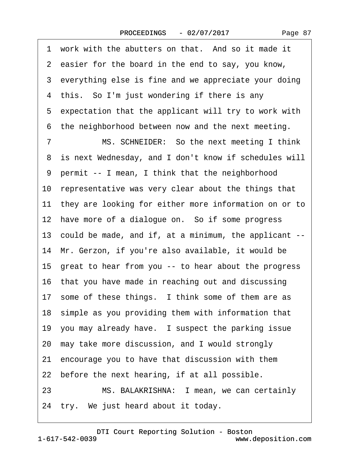Page 87

1 work with the abutters on that. And so it made it 2 easier for the board in the end to say, you know, 3 everything else is fine and we appreciate your doing 4 this. So I'm just wondering if there is any 5 expectation that the applicant will try to work with 6 the neighborhood between now and the next meeting. 7 MS. SCHNEIDER: So the next meeting I think 8 is next Wednesday, and I don't know if schedules will ·9· permit -- I mean, I think that the neighborhood 10 representative was very clear about the things that 11 they are looking for either more information on or to 12 have more of a dialogue on. So if some progress 13· could be made, and if, at a minimum, the applicant -- 14 Mr. Gerzon, if you're also available, it would be 15· great to hear from you -- to hear about the progress 16· that you have made in reaching out and discussing 17 some of these things. I think some of them are as 18 simple as you providing them with information that 19 you may already have. I suspect the parking issue 20· may take more discussion, and I would strongly 21· encourage you to have that discussion with them 22 before the next hearing, if at all possible. 23 MS. BALAKRISHNA: I mean, we can certainly 24 try. We just heard about it today.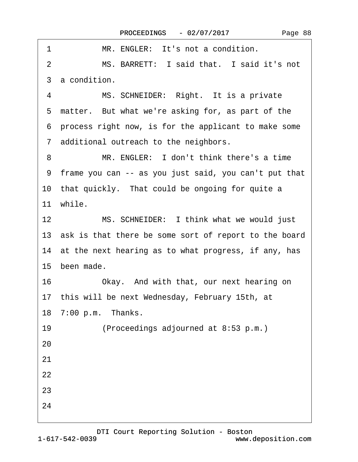| 1<br>MR. ENGLER: It's not a condition.                   |
|----------------------------------------------------------|
| MS. BARRETT: I said that. I said it's not<br>2           |
| 3 a condition.                                           |
| MS. SCHNEIDER: Right. It is a private<br>4               |
| 5 matter. But what we're asking for, as part of the      |
| 6 process right now, is for the applicant to make some   |
| 7 additional outreach to the neighbors.                  |
| MR. ENGLER: I don't think there's a time<br>8            |
| 9 frame you can -- as you just said, you can't put that  |
| 10 that quickly. That could be ongoing for quite a       |
| 11 while.                                                |
| MS. SCHNEIDER: I think what we would just<br>12          |
| 13 ask is that there be some sort of report to the board |
| 14 at the next hearing as to what progress, if any, has  |
| 15 been made.                                            |
| 16<br>Okay. And with that, our next hearing on           |
| 17 this will be next Wednesday, February 15th, at        |
| 18 7:00 p.m. Thanks.                                     |
| 19<br>(Proceedings adjourned at 8:53 p.m.)               |
| 20                                                       |
| 21                                                       |
| 22                                                       |
| 23                                                       |
| 24                                                       |
|                                                          |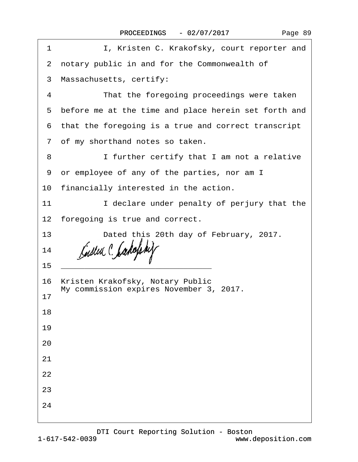| 1  | I, Kristen C. Krakofsky, court reporter and                                                                                                                                                                                          |
|----|--------------------------------------------------------------------------------------------------------------------------------------------------------------------------------------------------------------------------------------|
|    | 2 notary public in and for the Commonwealth of                                                                                                                                                                                       |
|    | 3 Massachusetts, certify:                                                                                                                                                                                                            |
| 4  | That the foregoing proceedings were taken                                                                                                                                                                                            |
|    | 5 before me at the time and place herein set forth and                                                                                                                                                                               |
|    | 6 that the foregoing is a true and correct transcript                                                                                                                                                                                |
|    | 7 of my shorthand notes so taken.                                                                                                                                                                                                    |
| 8  | I further certify that I am not a relative                                                                                                                                                                                           |
|    | 9 or employee of any of the parties, nor am I                                                                                                                                                                                        |
|    | 10 financially interested in the action.                                                                                                                                                                                             |
| 11 | I declare under penalty of perjury that the                                                                                                                                                                                          |
|    | 12 foregoing is true and correct.                                                                                                                                                                                                    |
| 13 | Dated this 20th day of February, 2017.                                                                                                                                                                                               |
| 14 |                                                                                                                                                                                                                                      |
| 15 | <u> 1989 - Johann Harry Harry Harry Harry Harry Harry Harry Harry Harry Harry Harry Harry Harry Harry Harry Harry Harry Harry Harry Harry Harry Harry Harry Harry Harry Harry Harry Harry Harry Harry Harry Harry Harry Harry Ha</u> |
|    | 16 Kristen Krakofsky, Notary Public<br>My commission expires November 3, 2017.                                                                                                                                                       |
| 17 |                                                                                                                                                                                                                                      |
| 18 |                                                                                                                                                                                                                                      |
| 19 |                                                                                                                                                                                                                                      |
| 20 |                                                                                                                                                                                                                                      |
| 21 |                                                                                                                                                                                                                                      |
| 22 |                                                                                                                                                                                                                                      |
| 23 |                                                                                                                                                                                                                                      |
| 24 |                                                                                                                                                                                                                                      |
|    |                                                                                                                                                                                                                                      |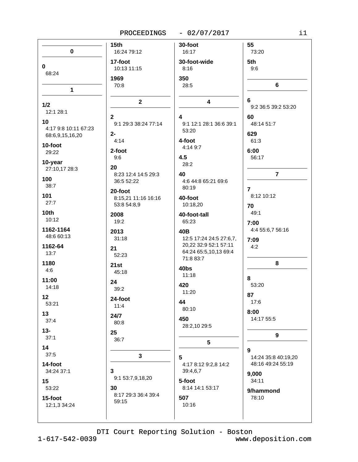PROCEEDINGS  $-02/07/2017$ 

| $\pmb{0}$               | 15 <sub>th</sub><br>16:24 79:12   | 30-foot<br>16:17                   | 55<br>73:20         |
|-------------------------|-----------------------------------|------------------------------------|---------------------|
|                         | 17-foot                           | 30-foot-wide                       | 5th                 |
| 0<br>68:24              | 10:13 11:15                       | 8:16                               | 9:6                 |
|                         | 1969                              | 350                                |                     |
| $\mathbf{1}$            | 70:8                              | 28:5                               | 6                   |
|                         | $\mathbf{2}$                      | $\overline{\mathbf{4}}$            | 6                   |
| 1/2<br>12:1 28:1        |                                   |                                    | 9:2 36:5 39:2 53:20 |
| 10                      | $\mathbf{2}$                      | 4                                  | 60                  |
| 4:17 9:8 10:11 67:23    | 9:1 29:3 38:24 77:14              | 9:1 12:1 28:1 36:6 39:1<br>53:20   | 48:14 51:7          |
| 68:6,9,15,16,20         | $2-$                              |                                    | 629                 |
| 10-foot                 | 4:14                              | 4-foot<br>4:14 9:7                 | 61:3                |
| 29:22                   | 2-foot                            |                                    | 6:00                |
| 10-year                 | 9:6                               | 4.5<br>28:2                        | 56:17               |
| 27:10,17 28:3           | 20                                |                                    |                     |
| 100                     | 8:23 12:4 14:5 29:3<br>36:5 52:22 | 40<br>4:6 44:8 65:21 69:6          | $\overline{7}$      |
| 38:7                    | 20-foot                           | 80:19                              | $\overline{7}$      |
| 101                     | 8:15,21 11:16 16:16               | 40-foot                            | 8:12 10:12          |
| 27:7                    | 53:8 54:8,9                       | 10:18,20                           | 70                  |
| 10 <sub>th</sub>        | 2008                              | 40-foot-tall                       | 49:1                |
| 10:12                   | 19:2                              | 65:23                              | 7:00                |
| 1162-1164               | 2013                              | 40B                                | 4:4 55:6,7 56:16    |
| 48:6 60:13              | 31:18                             | 12:5 17:24 24:5 27:6,7,            | 7:09                |
| 1162-64                 | 21                                | 20,22 32:9 52:1 57:11              | 4:2                 |
| 13:7                    | 52:23                             | 64:24 65:5,10,13 69:4<br>71:8 83:7 |                     |
| 1180                    | 21st                              |                                    | 8                   |
| 4:6                     | 45:18                             | 40bs<br>11:18                      |                     |
| 11:00                   | 24                                |                                    | 8                   |
| 14:18                   | 39:2                              | 420<br>11:20                       | 53:20               |
| 12 <sub>2</sub>         | 24-foot                           | 44                                 | 87<br>17:6          |
| 53:21                   | 11:4                              | 80:10                              |                     |
| 13                      | 24/7                              | 450                                | 8:00<br>14:17 55:5  |
| 37:4                    | 80:8                              | 28:2,10 29:5                       |                     |
| $13 -$                  | 25                                |                                    | 9                   |
| 37:1                    | 36:7                              | 5                                  |                     |
| 14<br>37:5              |                                   |                                    | 9                   |
|                         | 3                                 | 5                                  | 14:24 35:8 40:19,20 |
| 14-foot<br>34:24 37:1   | $\overline{\mathbf{3}}$           | 4:17 8:12 9:2,8 14:2<br>39:4,6,7   | 48:16 49:24 55:19   |
|                         | 9:1 53:7,9,18,20                  |                                    | 9,000               |
| 15<br>53:22             | 30                                | 5-foot<br>8:14 14:1 53:17          | 34:11               |
|                         | 8:17 29:3 36:4 39:4               |                                    | 9/hammond           |
| 15-foot<br>12:1,3 34:24 | 59:15                             | 507<br>10:16                       | 78:10               |
|                         |                                   |                                    |                     |

DTI Court Reporting Solution - Boston

 $1 - 617 - 542 - 0039$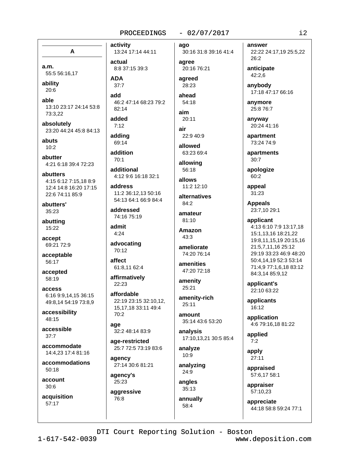# $-02/07/2017$

A

a.m. 55:5 56:16,17

ability  $20:6$ 

able 13:10 23:17 24:14 53:8 73:3.22

absolutely 23:20 44:24 45:8 84:13

abuts  $10:2$ 

abutter 4:21 6:18 39:4 72:23

abutters 4:15 6:12 7:15.18 8:9 12:4 14:8 16:20 17:15 22:6 74:11 85:9

abutters'  $35:23$ 

abutting 15:22

accept 69:21 72:9

acceptable 56:17

accepted 58:19

access 6:16 9:9,14,15 36:15 49:8,14 54:19 73:8,9

accessibility  $48:15$ 

accessible  $37.7$ 

accommodate 14:4.23 17:4 81:16

accommodations  $50:18$ 

account  $30:6$ 

acquisition 57:17

13:24 17:14 44:11 actual 8:8 37:15 39:3 **ADA** 

add 46:2 47:14 68:23 79:2 82:14

added  $7:12$ 

activity

 $37:7$ 

adding 69:14

addition  $70.1$ 

additional 4:12 9:6 16:18 32:1

address 11:2 36:12,13 50:16 54:13 64:1 66:9 84:4

addressed 74:16 75:19

admit  $4:24$ 

advocating 70:12

affect 61:8,11 62:4

affirmatively 22:23

affordable 22:19 23:15 32:10,12, 15, 17, 18 33: 11 49: 4 70:2

age 32:2 48:14 83:9

age-restricted 25:7 72:5 73:19 83:6

agency 27:14 30:6 81:21

agency's 25:23 aggressive

76:8

ago 30:16 31:8 39:16 41:4

agree 20:16 76:21

agreed 28:23

ahead  $54:18$ 

aim 20:11

air 22:9 40:9

allowed 63:23 69:4

allowing 56:18

allows 11:2 12:10

alternatives 84:2

amateur 81:10

**Amazon**  $43.3$ 

ameliorate 74:20 76:14

amenities 47:20 72:18

amenity 25:21

amenity-rich  $25:11$ 

amount 35:14 43:6 53:20

analysis 17:10,13,21 30:5 85:4

analyze 10:9

analyzing 24:9

angles 35:13 annually

58:4

22:22 24:17,19 25:5,22 26:2 anticipate 42:2.6 anybody 17:18 47:17 66:16

anymore 25:8 76:7

answer

anyway 20:24 41:16

apartment 73:24 74:9

apartments 30:7

apologize  $60:2$ 

appeal 31:23

> **Appeals** 23:7,10 29:1

applicant

4:13 6:10 7:9 13:17,18 15:1,13,16 18:21,22 19:8,11,15,19 20:15,16 21:5,7,11,16 25:12 29:19 33:23 46:9 48:20 50:4,14,19 52:3 53:14 71:4,9 77:1,6,18 83:12 84:3,14 85:9,12

applicant's 22:10 63:22

applicants 16:12

application 4:6 79:16,18 81:22

applied  $7:2$ 

apply 27:11

appraised 57:6,17 58:1

appraiser 57:10,23

appreciate 44:18 58:8 59:24 77:1

DTI Court Reporting Solution - Boston

 $1 - 617 - 542 - 0039$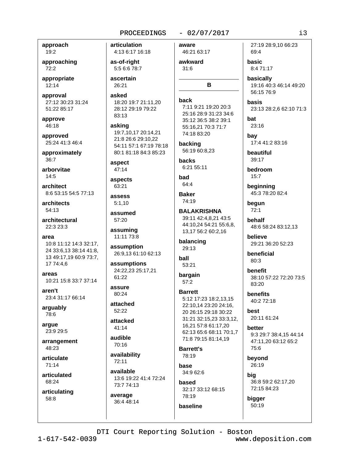# $-02/07/2017$

approach 19:2

approaching  $72:2$ 

appropriate 12:14

approval 27:12 30:23 31:24 51:22 85:17

approve 46:18

approved 25:24 41:3 46:4

approximately  $36:7$ 

arborvitae  $14.5$ 

architect 8:6 53:15 54:5 77:13

architects 54:13

architectural 22:3 23:3

area 10:8 11:12 14:3 32:17, 24 33:6,13 38:14 41:8, 13 49:17,19 60:9 73:7, 17 74:4.6

areas 10:21 15:8 33:7 37:14

aren't 23:4 31:17 66:14

arguably 78:6

arque 23:9 29:5

arrangement 48:23

articulate 71:14

articulated 68:24

articulating 58:8

articulation 4:13 6:17 16:18 as-of-right 5:5 6:6 78:7 ascertain 26:21 asked back 18:20 19:7 21:11.20 28:12 29:19 79:22 83:13 asking 19:7.10.17 20:14.21 21:8 26:6 29:10.22 54:11 57:1 67:19 78:18 80:1 81:18 84:3 85:23 **backs** aspect  $47:14$ bad aspects 63:21 assess  $5:1,10$ assumed 57:20 assuming 11:11 73:8 assumption 26:9,13 61:10 62:13 ball assumptions 24:22,23 25:17,21 61:22 assure 80:24 attached 52:22 attacked  $41:14$ audible 70:16

availability 72:11

available 13:6 19:22 41:4 72:24 73:7 74:13

average 36:4 48:14 aware 46:21 63:17 awkward

 $31:6$ 

B

7:11 9:21 19:20 20:3 25:16 28:9 31:23 34:6 35:12 36:5 38:2 39:1 55:16,21 70:3 71:7 74:18 83:20

backing 56:19 60:8,23

6:21 55:11

64:4

**Baker** 74:19

**BALAKRISHNA** 39:11 42:4,8,21 43:5 44:10,24 54:21 55:6,8, 13,17 56:2 60:2,16

balancing 29:13

53:21

bargain  $57:2$ 

# **Barrett** 5:12 17:23 18:2,13,15 22:10,14 23:20 24:16, 20 26:15 29:18 30:22 31:21 32:15.23 33:3.12. 16,21 57:8 61:17,20 62:13 65:6 68:11 70:1,7 71:8 79:15 81:14.19

**Barrett's** 78:19

base 34:9 62:6 hased

32:17 33:12 68:15 78:19 baseline

27:19 28:9.10 66:23 69:4

basic 8:4 71:17

basically 19:16 40:3 46:14 49:20 56:15 76:9

basis 23:13 28:2,6 62:10 71:3

hat 23:16

bay 17:4 41:2 83:16

beautiful 39:17

bedroom  $15:7$ 

beginning 45:3 78:20 82:4

beaun  $72:1$ 

behalf 48:6 58:24 83:12,13

believe 29:21 36:20 52:23

beneficial 80:3

benefit 38:10 57:22 72:20 73:5 83:20

**benefits** 40:2 72:18

best 20:11 61:24

better 9:3 29:7 38:4,15 44:14 47:11.20 63:12 65:2 75:6

beyond 26:19

big 36:8 59:2 62:17,20 72:15 84:23

bigger 50:19

DTI Court Reporting Solution - Boston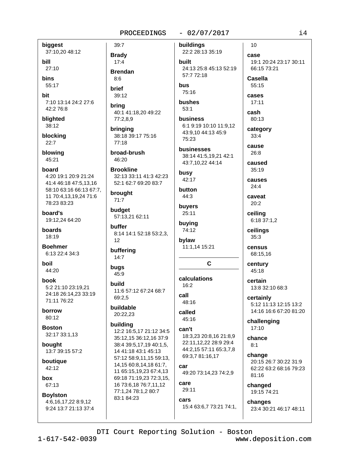biggest 37:10,20 48:12

bill 27:10 **bins** 55:17

hit 7:10 13:14 24:2 27:6 42:2 76:8

blighted 38:12

blocking  $22:7$ 

blowing 45:21

board 4:20 19:1 20:9 21:24 41:4 46:18 47:5,13,16 58:10 63:16 66:13 67:7, 11 70:4,13,19,24 71:6 78:23 83:23

board's 19:12,24 64:20

**hoards** 18:19

**Boehmer** 6:13 22:4 34:3

hoil 44:20

**book** 5:2 21:10 23:19.21 24:18 26:14,23 33:19 71:11 76:22

borrow  $80:12$ 

**Boston** 32:17 33:1,13

bought 13:7 39:15 57:2

boutique 42:12

hox 67:13

**Boylston** 4:6.16.17.22 8:9.12 9:24 13:7 21:13 37:4

 $39:7$ **Brady**  $17:4$ **Brendan**  $R \cdot 6$ brief

39:12

bring 40:1 41:18,20 49:22 77:2,8,9

brinaina 38:18 39:17 75:16  $77:18$ 

broad-brush 46:20

**Brookline** 32:13 33:11 41:3 42:23 52:1 62:7 69:20 83:7

brought  $71:7$ 

budget 57:13,21 62:11

buffer 8:14 14:1 52:18 53:2,3,  $12$ 

buffering  $14:7$ 

bugs 45:9

huild 11:6 57:12 67:24 68:7 69:2.5

buildable 20:22,23

# building

12:2 16:5,17 21:12 34:5 35:12.15 36:12.16 37:9 38:4 39:5,17,19 40:1,5, 14 41:18 43:1 45:13 57:12 58:9,11,15 59:13, 14,15 60:8,14,18 61:7, 11 65:15,19,23 67:4,13 69:18 71:19,23 72:3,15, 16 73:6, 18 76: 7, 11, 12 77:1,24 78:1,2 80:7 83:1 84:23

 $-02/07/2017$ 

buildings 22:2 28:13 35:19 built 24:13 25:8 45:13 52:19 57:7 72:18

bus 75:16

bushes  $53:1$ 

business 6:1 9:19 10:10 11:9,12 43:9.10 44:13 45:9 75:23

businesses 38:14 41:5.19.21 42:1 43:7,10,22 44:14

busy 42:17

button 44:3

buyers 25:11 buying

74:12 bylaw

11:1,14 15:21

# C

calculations  $16:2$ call 48:16

called  $45:16$ 

# can't

18:3.23 20:8.16 21:8.9 22:11,12,22 28:9 29:4 44:2,15 57:11 65:3,7,8 69:3,7 81:16,17

car 49:20 73:14,23 74:2,9

# care 29:11

cars

15:4 63:6,7 73:21 74:1,

case 19:1 20:24 23:17 30:11 66:15 73:21 Casella 55:15 cases  $17:11$ cash

80:13 category  $33:4$ 

10

cause  $26:8$ 

caused  $35:19$ 

causes

 $24:4$ caveat  $20:2$ 

ceiling

6:18 37:1,2

ceilings  $35:3$ 

census 68:15,16

century  $45:18$ 

certain 13:8 32:10 68:3

certainly 5:12 11:13 12:15 13:2 14:16 16:6 67:20 81:20

challenging  $17:10$ 

chance  $8:1$ 

> change 20:15 26:7 30:22 31:9 62:22 63:2 68:16 79:23 81:16

changed 19:15 74:21

changes 23:4 30:21 46:17 48:11

DTI Court Reporting Solution - Boston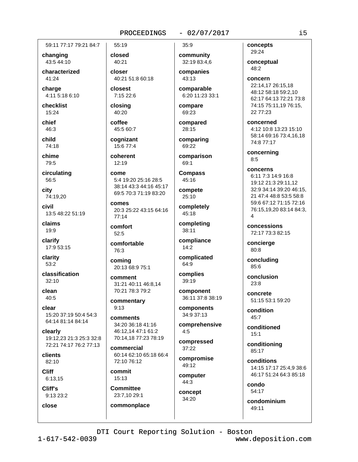# 59:11 77:17 79:21 84:7

changing 43:5 44:10

characterized  $41.24$ 

charge 4:11 5:18 6:10

checklist 15:24

chief 46:3

child 74:18

chime 79:5

circulating 56:5

city 74:19.20

civil 13:5 48:22 51:19

claims 19:9

clarifv 17:9 53:15

clarity  $53:2$ 

classification  $32:10$ 

clean  $40:5$ 

clear 15:20 37:19 50:4 54:3 64:14 81:14 84:14

clearly 19:12.23 21:3 25:3 32:8 72:21 74:17 76:2 77:13

clients 82:10

**Cliff**  $6:13,15$ 

Cliff's 9:13 23:2

close

closed 40:21 closer

55:19

40:21 51:8 60:18

closest 7:15 22:6

closing 40:20

coffee 45:5 60:7

cognizant 15:6 77:4

coherent  $12:19$ 

come 5:4 19:20 25:16 28:5 38:14 43:3 44:16 45:17 69:5 70:3 71:19 83:20

comes 20:3 25:22 43:15 64:16 77:14

comfort  $52:5$ 

comfortable 76:3

coming 20:13 68:9 75:1

comment 31:21 40:11 46:8,14 70:21 78:3 79:2

commentary  $9:13$ 

comments 34:20 36:18 41:16 46:12,14 47:1 61:2 70:14,18 77:23 78:19

commercial 60:14 62:10 65:18 66:4 72:10 76:12

commit  $15:13$ 

**Committee** 23:7,10 29:1 commonplace  $35:9$ 

 $-02/07/2017$ 

community 32:19 83:4,6 companies

43:13 comparable

6:20 11:23 33:1 compare

69:23

compared 28:15

comparing 69:22

comparison 69:1

**Compass**  $45:16$ 

compete 25:10

completely 45:18

completing 38:11

compliance  $14:2$ 

complicated 64:9

complies 39:19

component 36:11 37:8 38:19

components 34:9 37:13

comprehensive  $4:5$ 

compressed  $37:22$ 

compromise 49:12

computer 44:3

concept 34:20

concepts 29:24

conceptual 48:2

concern 22:14,17 26:15,18 48:12 58:18 59:2,10 62:17 64:13 72:21 73:8 74:15 75:11,19 76:15,

concerned

22 77:23

4:12 10:8 13:23 15:10 58:14 69:16 73:4,16,18 74:8 77:17

concerning  $8:5$ 

concerns

6:11 7:3 14:9 16:8 19:12 21:3 29:11,12 32:9 34:14 39:20 46:15, 21 47:4 48:8 53:5 58:8 59:6 67:12 71:15 72:16 76:15,19,20 83:14 84:3,

concessions 72:17 73:3 82:15

concierge 80:8

concluding 85:6

conclusion  $23:8$ 

concrete 51:15 53:1 59:20

condition  $45:7$ 

conditioned  $15:1$ 

conditioning 85:17

conditions 14:15 17:17 25:4,9 38:6 46:17 51:24 64:3 85:18

condo 54:17

condominium 49:11

DTI Court Reporting Solution - Boston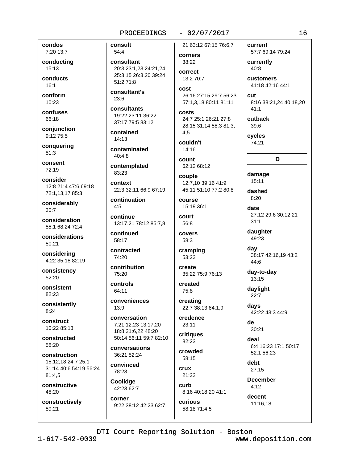# condos 7:20 13:7

conducting 15:13

conducts  $16:1$ 

conform  $10:23$ 

confuses 66:18

conjunction 9:12 75:5

conquering  $51:3$ 

consent 72:19

consider 12:8 21:4 47:6 69:18 72:1,13,17 85:3

considerably  $30:7$ 

consideration 55:1 68:24 72:4

considerations 50:21

considering 4:22 35:18 82:19

consistency  $52:20$ 

consistent 82:23

consistently  $8:24$ 

construct 10:22 85:13

constructed 58:20

construction 15:12.18 24:7 25:1 31:14 40:6 54:19 56:24 81:4,5

constructive 48:20

constructively 59:21

consult 54:4

consultant 20:3 23:1.23 24:21.24 25:3,15 26:3,20 39:24 51:2 71:8

consultant's 23:6

consultants 19:22 23:11 36:22 37:17 79:5 83:12

contained  $14:13$ 

contaminated  $40:4.8$ 

contemplated 83:23

context 22:3 32:11 66:9 67:19

continuation  $4:5$ 

continue 13:17,21 78:12 85:7,8

continued 58:17

contracted 74:20

contribution 75:20

controls 64:11

conveniences 13:9

conversation 7:21 12:23 13:17,20 18:8 21:6,22 48:20 50:14 56:11 59:7 82:10

conversations  $36.2152.24$ 

convinced 78:23

Coolidge 42:23 62:7

corner 9:22 38:12 42:23 62:7, 21 63:12 67:15 76:6.7

 $-02/07/2017$ 

```
corners
38:22
```
correct 13:2 70:7

cost 26:16 27:15 29:7 56:23 57:1,3,18 80:11 81:11

costs 24:7 25:1 26:21 27:8 28:15 31:14 58:3 81:3, 4.5

couldn't 14:16

count 62:12 68:12

couple 12:7,10 39:16 41:9 45:11 51:10 77:2 80:8

**COULSE** 15:19 36:1

court 56:8

covers 58:3

cramping 53:23

create 35:22 75:9 76:13

created 75:8 creating

22:7 38:13 84:1,9 credence

 $23:11$ 

critiques  $82:23$ 

crowded 58:15

**crux** 21:22 curb 8:16 40:18,20 41:1

curious 58:18 71:4,5 current 57:7 69:14 79:24

currently  $40:8$ **customers** 

41:18 42:16 44:1

 $_{\text{cut}}$ 8:16 38:21,24 40:18,20  $41:1$ 

cutback  $39.6$ 

cvcles 74:21

# D

damage  $15:11$ 

dashed  $8:20$ 

date 27:12 29:6 30:12,21  $31:1$ 

daughter 49:23

day 38:17 42:16,19 43:2 44:6

day-to-day 13:15

daylight  $22:7$ 

> days 42:22 43:3 44:9

de 30:21

deal 6:4 16:23 17:1 50:17 52:1 56:23

debt  $27:15$ 

**December**  $4:12$ 

> decent 11:16,18

i6

DTI Court Reporting Solution - Boston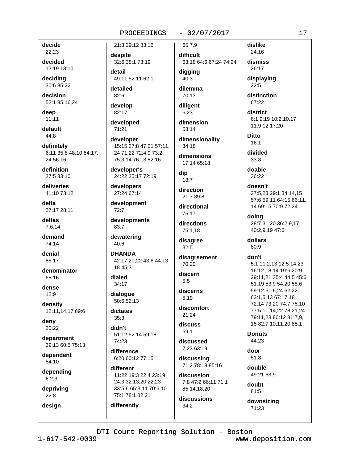# $-02/07/2017$

decide 22:23

decided 13:19 18:10

deciding 30:6 85:22

decision 52:1 85:16.24

deep  $11:11$ 

default 44:8

definitely 6:11 35:8 48:10 54:17, 24 56:16

definition 27:5 33:10

deliveries 41:10 73:12

delta 27:17 28:11

deltas  $7:6.14$ 

demand 74:14

denial 85:17

denominator 68:16

dense  $12:9$ 

density 12:11,14,17 69:6

deny 20:22

department 39:13 60:5 75:13

dependent  $54:10$ 

depending  $6:2,3$ 

depriving  $22:8$ 

design

despite 32:6 38:1 73:19 detail 49:11 52:11 62:1

21:3 29:12 83:16

detailed 82:6

develop 82:17

developed 71:21

developer 15:15 27:8 47:21 57:11. 24 71:22 72:4,9 73:2 75:3,14 76:13 82:16

developer's 24:22 25:17 72:19

developers 27:24 67:14

development 72:7

developments 83:7

dewatering 40:6

**DHANDA** 42:17.20.22 43:6 44:13. 18 45:3

dialed 34:17

dialogue 50:6 52:13

dictates  $35:3$ 

differently

didn't 51:12 52:14 59:18 74:23

difference 6:20 60:12 77:15

different 11:22 19:3 22:4 23:19 24:3 32:13,20,22,23 33:5.6 65:3.11 70:6.10 75:1 78:1 82:21

difficult 63:18 64:6 67:24 74:24

65:7.9

digging  $40:3$ 

dilemma 70:13

diligent  $6:23$ 

dimension

53:14

dimensionality  $34:18$ 

dimensions 17:14 65:18

dip  $18:7$ 

direction 21:7 39:8

directional 75:17

directions 75:1,18

disagree  $32:5$ 

disagreement 70:20

discern  $5:5$ 

discerns  $5:19$ 

discomfort 21:24

discuss  $59:1$ 

discussed 7:23 63:19

discussing 71:2 78:18 85:16

discussion 7:8 47:2 66:11 71:1

85:14,18,20

discussions  $34:2$ 

distinction 67:22

dislike

24:16

district 6:1 9:19 10:2,10,17 11:9 12:17,20

**Ditto**  $16:1$ 

divided  $33:8$ 

doable  $36.22$ 

doesn't 27:5.23 29:1 34:14.15 57:6 59:11 64:15 66:11, 14 69:15 70:9 72:24

doing 28:7 31:20 36:2.9.17 40:2.9.19 47:6

dollars  $80:9$ 

don't

5:1 11:2,13 12:5 14:23 16:12 18:14 19:6 20:9 29:11.21 35:4 44:5 45:6 51:19 53:9 54:20 58:6 59:12 61:6,24 62:22 63:1,5,13 67:17,18 72:14 73:20 74:7 75:10 77:5,11,14,22 78:21,24 79:11.23 80:12 81:7.9. 15 82:7,10,11,20 85:1

**Donuts** 44:23

door  $51:8$ 

double 49:21 63:9

> doubt  $81:5$

downsizing 71:23

DTI Court Reporting Solution - Boston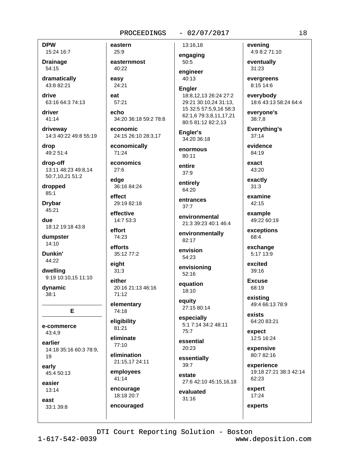# $-02/07/2017$

**DPW** 

15:24 16:7 **Drainage** 54:15

dramatically 43:8 82:21

drive 63:16 64:3 74:13

driver 41:14

driveway 14:3 40:22 49:8 55:19

drop 49:2 51:4

drop-off 13:11 48:23 49:8.14 50:7,10,21 51:2

dropped  $85:1$ 

**Drvbar** 45:21

due 18:12 19:18 43:8

dumpster  $14:10$ 

Dunkin' 44:22

dwelling 9:19 10:10,15 11:10

dynamic  $38:1$ 

e-commerce 43:4.9

earlier 14:18 35:16 60:3 78:9, 19

E

early 45:4 50:13

easier  $13:14$ 

east 33:1 39:8 eastern 25:9 easternmost 40:22 easv 24:21 eat  $57:21$  $A$ cho 34:20 36:18 59:2 78:8 economic 24:15 26:10 28:3.17 economically 71:24 economics  $27:6$ edge 36:16 84:24 effect 29:19 82:18

effective 14:7 53:3

effort 74:23 efforts

35:12 77:2 eiaht

 $31:3$ either

> 20:16 21:13 46:16  $71:12$

elementary 74:18

eligibility 81:21

eliminate 77:10

elimination 21:15,17 24:11

employees 41:14

encourage 18:18 20:7

encouraged

13:16,18 engaging 50:5

engineer

 $40:13$ **Engler** 18:8,12,13 26:24 27:2 29:21 30:10,24 31:13,

15 32:5 57:5,9,16 58:3 62:1,6 79:3,8,11,17,21 80:5 81:12 82:2,13

Engler's 34:20 36:18

enormous  $80:11$ 

entire  $37:9$ 

entirely 64:20

entrances  $37:7$ 

environmental 21:3 39:23 40:1 46:4

environmentally 82:17

envision 54:23

envisioning 52:16

equation 18:10

equity 27:15 80:14

especially 5:1 7:14 34:2 48:11  $75:7$ 

essential 20:23

essentially 39:7

estate 27:6 42:10 45:15,16,18

evaluated  $31:16$ 

evenina 4:9 8:2 71:10

eventually 31:23

evergreens 8:15 14:6

everybody 18:6 43:13 58:24 64:4

everyone's  $38:7,8$ 

**Everything's**  $37:14$ 

evidence 84:19

exact 43:20

exactly  $31:3$ 

examine  $42:15$ 

example 49:22 60:19

exceptions 68:4

exchange 5:17 13:9

excited  $39:16$ 

**Excuse** 68:19

existing 49:4 66:13 78:9

exists 64:20 83:21

expect 12:5 16:24

expensive 80:7 82:16

experience 19:18 27:21 38:3 42:14 62:23

expert 17:24

experts

 $1 - 617 - 542 - 0039$ 

DTI Court Reporting Solution - Boston www.deposition.com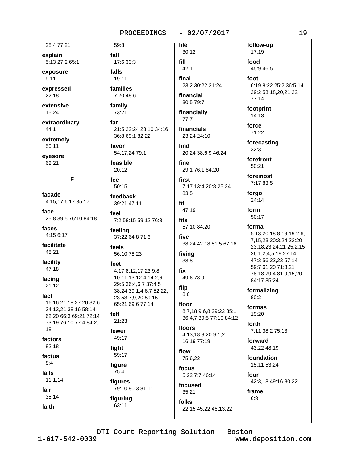# $-02/07/2017$

28:4 77:21

explain 5:13 27:2 65:1

exposure

 $9:11$ expressed

 $22:18$ 

- extensive 15:24
- extraordinary  $44:1$

extremely  $50:11$ 

eyesore

62:21

F

facade 4:15,17 6:17 35:17

face 25:8 39:5 76:10 84:18

faces 4:15 6:17

facilitate 48:21

facility 47:18

facing  $21:12$ 

fact 16:16 21:18 27:20 32:6

34:13,21 38:16 58:14 62:20 66:3 69:21 72:14 73:19 76:10 77:4 84:2, 18

factors

82:18

factual  $8:4$ 

fails

 $11:1,14$ 

fair

faith

 $35:14$ 

fall 17:6 33:3 falls 19:11 families

59:8

7:20 48:6 family

73:21

far 21:5 22:24 23:10 34:16 36:8 69:1 82:22

favor 54:17,24 79:1

feasible  $20:12$ 

fee 50:15

feedback 39:21 47:11

feel 7:2 58:15 59:12 76:3

feeling 37:22 64:8 71:6

feels 56:10 78:23

# feet 4:17 8:12,17,23 9:8 10:11,13 12:4 14:2,6 29:5 36:4,6,7 37:4,5 38:24 39:1,4,6,7 52:22, 23 53:7,9,20 59:15

65:21 69:6 77:14 felt

21:23

fewer 49:17

fiaht 59:17

figure

75:4 figures

79:10 80:3 81:11 figuring 63:11

 $30:12$ fill  $42:1$ final 23:2 30:22 31:24

file

financial 30:5 79:7

financially

 $77:7$ 

financials 23:24 24:10

find 20:24 38:6,9 46:24

fine 29:1 76:1 84:20

first 7:17 13:4 20:8 25:24 83:5

fit 47:19

fits 57:10 84:20

five 38:24 42:18 51:5 67:16

fiving 38:8

fix 49:6 78:9

flip  $8:6$ 

floor 8:7,18 9:6,8 29:22 35:1 36:4,7 39:5 77:10 84:12

floors 4:13.18 8:20 9:1.2 16:19 77:19

flow 75:6,22

focus 5:22 7:7 46:14

focused  $35:21$ 

folks

22:15 45:22 46:13,22

follow-up 17:19 food 45:9 46:5

foot 6:19 8:22 25:2 36:5,14 39:2 53:18,20,21,22  $77:14$ 

footprint 14:13

force 71:22

forecasting  $32:3$ 

forefront  $50:21$ 

foremost 7:17 83:5

forgo 24:14

form 50:17

forma

5:13,20 18:8,19 19:2,6, 7,15,23 20:3,24 22:20 23:18,23 24:21 25:2,15 26:1,2,4,5,19 27:14 47:3 56:22,23 57:14 59:7 61:20 71:3,21 78:18 79:4 81:9,15,20 84:17 85:24

formalizing 80:2

formas 19:20

forth 7:11 38:2 75:13

forward 43:22 48:19

foundation 15:11 53:24

four 42:3,18 49:16 80:22

frame

 $6:8$ 

DTI Court Reporting Solution - Boston

 $1 - 617 - 542 - 0039$ 

www.deposition.com

 $\frac{1}{9}$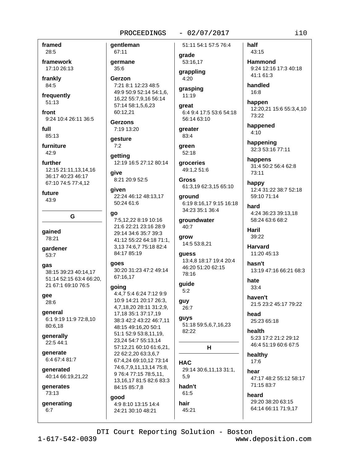$-02/07/2017$ 

framed 28:5

framework 17:10 26:13

frankly 84:5

frequently  $51:13$ 

front 9:24 10:4 26:11 36:5

full 85:13

furniture  $42:9$ 

further 12:15 21:11.13.14.16 36:17 40:23 46:17 67:10 74:5 77:4,12

future 43:9

G

gained 78:21

gardener 53:7

gas 38:15 39:23 40:14,17 51:14 52:15 63:4 66:20, 21 67:1 69:10 76:5

gee 28:6

general 6:1 9:19 11:9 72:8,10 80:6,18

generally 22:5 44:1

generate 6:4 67:4 81:7

qenerated 40:14 66:19,21,22

generates 73:13

generating  $6:7$ 

67:11 qermane  $35:6$ Gerzon 7:21 8:1 12:23 48:5 49:9 50:9 52:14 54:1,6, 16,22 55:7,9,16 56:14 57:14 58:1,5,6,23 60:12,21 **Gerzons** 

7:19 13:20

gentleman

gesture  $7:2$ 

getting 12:19 16:5 27:12 80:14 aive

8:21 20:9 52:5

aiven 22:24 46:12 48:13,17 50:24 61:6

# go

7:5.12.22 8:19 10:16 21:6 22:21 23:16 28:9 29:14 34:6 35:7 39:3 41:12 55:22 64:18 71:1, 3.13 74:6.7 75:18 82:4 84:17 85:19

goes 30:20 31:23 47:2 49:14 67:16,17

#### qoinq

4:4,7 5:4 6:24 7:12 9:9 10:9 14:21 20:17 26:3. 4,7,18,20 28:11 31:2,9, 17,18 35:1 37:17,19 38:3 42:2 43:22 46:7.11 48:15 49:16,20 50:1 51:1 52:9 53:8,11,19, 23,24 54:7 55:13,14 57:12,21 60:10 61:6,21, 22 62:2,20 63:3,6,7 67:4.24 69:10.12 73:14 74:6,7,9,11,13,14 75:8, 9 76:4 77:15 78:5,11, 13.16.17 81:5 82:6 83:3 84:15 85:7,8 good

4:9 8:10 13:15 14:4 24:21 30:10 48:21

51:11 54:1 57:5 76:4

qrade 53:16,17

grappling  $4:20$ 

grasping  $11:19$ 

great 6:4 9:4 17:5 53:6 54:18 56:14 63:10

areater 83:4

green 52:18

groceries 49:1.2 51:6

Gross 61:3,19 62:3,15 65:10

around 6:19 8:16,17 9:15 16:18 34:23 35:1 36:4

groundwater 40:7

grow 14:5 53:8,21

guess 13:4.8 18:17 19:4 20:4 46:20 51:20 62:15 78:16

guide  $5:2$ 

guy 26:7

guys 51:18 59:5,6,7,16,23 82:22

# н

**HAC** 29:14 30:6,11,13 31:1,  $5,9$ hadn't

 $61:5$ hair

45:21

half 43:15 **Hammond** 

9:24 12:16 17:3 40:18 41:1 61:3

handled 16:8

happen 12:20,21 15:6 55:3,4,10 73:22

happened  $4:10$ 

happening 32:3 53:16 77:11

happens 31:4 50:2 56:4 62:8 73:11

happy 12:4 31:22 38:7 52:18 59:10 71:14

hard 4:24 36:23 39:13,18 58:24 63:6 68:2

Haril 39:22

**Harvard** 11:20 45:13

hasn't 13:19 47:16 66:21 68:3

hate  $33:4$ 

haven't 21:5 23:2 45:17 79:22

head 25:23 65:18

health 5:23 17:2 21:2 29:12 46:4 51:19 60:6 67:5

healthy 17:6

hear 47:17 48:2 55:12 58:17 71:15 83:7

heard 29:20 38:20 63:15 64:14 66:11 71:9.17

DTI Court Reporting Solution - Boston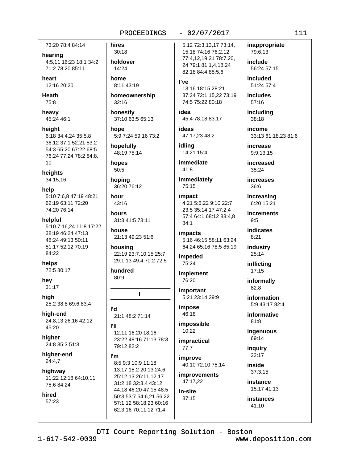73:20 78:4 84:14

hearing

4:5,11 16:23 18:1 34:2 71:2 78:20 85:11

heart 12:16 20:20

**Heath** 75:8

heavy 45:24 46:1

height 6:18 34:4,24 35:5,8 36:12 37:1 52:21 53:2 54:3 65:20 67:22 68:5 76:24 77:24 78:2 84:8,  $10$ 

heights 34:15,16

help 5:10 7:6,8 47:19 48:21 62:19 63:11 72:20 74:20 76:14

helpful 5:10 7:16,24 11:8 17:22 38:19 46:24 47:13 48:24 49:13 50:11 51:17 52:12 70:19 84:22

helps 72:5 80:17

hev  $31:17$ 

high 25:2 38:8 69:6 83:4

hiah-end 24:8.13 26:16 42:12 45:20

hiaher 24:8 35:3 51:3

higher-end  $24:4,7$ 

highway 11:22 12:18 64:10,11 75:6 84:24

hired 57:23

 $30:18$ holdover 14:24

hires

home 8:11 43:19

homeownership  $32:16$ 

honestly 37:10 63:5 65:13

hope 5:9 7:24 59:16 73:2

hopefully 48:19 75:14

hopes  $50:5$ 

hoping 36:20 76:12

hour 43:16

hours 31:3 41:5 73:11

house 21:13 49:23 51:6

housing 22:19 23:7,10,15 25:7 29:1.13 49:4 70:2 72:5

hundred  $80:9$ 

# L

**P'l** 21:1 48:2 71:14

**PH** 12:11 16:20 18:16 23:22 48:16 71:13 78:3 79:12 82:2

#### I'm

8:5 9:3 10:9 11:18 13:17 18:2 20:13 24:6 25:12,13 26:11,12,17 31:2,18 32:3,4 43:12 44:18 46:20 47:15 48:5 50:3 53:7 54:6,21 56:22 57:1,12 58:18,23 60:16 62:3,16 70:11,12 71:4,

 $-02/07/2017$ 

5,12 72:3,13,17 73:14, 15, 18 74: 16 76: 2, 12 77:4,12,19,21 78:7,20, 24 79:1 81:1,4,18,24 82:18 84:4 85:5.6

l've

13:16 18:15 28:21 37:24 72:1,15,22 73:19 74:5 75:22 80:18

idea 45:4 78:18 83:17

ideas 47:17,23 48:2

idling 14:21 15:4

immediate  $41:8$ 

immediately 75:15

impact 4:21 5:6,22 9:10 22:7 23:5 35:14.17 47:2.4 57:4 64:1 68:12 83:4,8  $84:1$ 

impacts 5:16 46:15 58:11 63:24 64:24 65:16 78:5 85:19

impeded 75:24

**implement** 76:20

important 5:21 23:14 29:9

impose 46:18

impossible 10:22 **impractical** 

 $77:7$ improve 40:10 72:10 75:14

improvements 47:17,22

in-site  $37:15$  include 56:24 57:15

inappropriate

79:6,13

included 51:24 57:4

**includes** 57:16

including 38:18

income 33:13 61:18,23 81:6

increase 9:9,13,15

increased 35:24

increases 36:6

increasing 6:20 15:21

**increments**  $9:5$ 

indicates  $8:21$ 

industry 25:14

inflicting  $17:15$ 

informally  $82:8$ 

information 5:9 43:17 82:4

informative 81:8

ingenuous 69:14

inguiry  $22:17$ 

inside  $37:3,15$ 

instance 15:17 41:13

instances  $41:10$ 

DTI Court Reporting Solution - Boston

 $1 - 617 - 542 - 0039$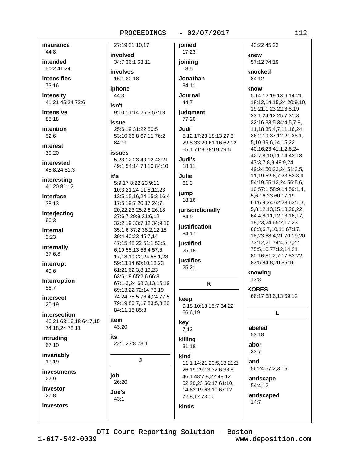### $-02/07/2017$

insurance 44:8

intended 5:22 41:24

**intensifies** 73:16

intensity 41:21 45:24 72:6

intensive 85:18

intention  $52:6$ 

interest  $30:20$ 

interested 45:8,24 81:3

interesting 41:20 81:12

interface 38:13

interjecting 60:3

internal  $9:23$ 

internally 37:6,8

interrupt 49:6

Interruption 56:7

intersect  $20.19$ 

intersection 40:21 63:16,18 64:7,15 74:18,24 78:11

intruding 67:10

invariably 19:19

investments  $27:9$ 

investor  $27:8$ 

investors

involved 34:7 36:1 63:11 involves 16:1 20:18

27:19 31:10.17

### iphone 44:3

isn't 9:10 11:14 26:3 57:18

# issue

25:6.19 31:22 50:5 53:10 66:8 67:11 76:2  $84.11$ 

#### **issues**

5:23 12:23 40:12 43:21 49:1 54:14 78:10 84:10

# it's

5:9,17 8:22,23 9:11 10:3,21,24 11:8,12,23 13:5, 15, 16, 24 15:3 16:4 17:5 19:7 20:17 24:7. 20,22,23 25:2,6 26:18 27:6,7 29:9 31:6,12 32:2,19 33:7,12 34:9,10 35:1,6 37:2 38:2,12,15 39:4 40:23 45:7,14 47:15 48:22 51:1 53:5, 6,19 55:13 56:4 57:6. 17, 18, 19, 22, 24 58: 1, 23 59:13,14 60:10,13,23 61:21 62:3,8,13,23 63:6,18 65:2,6 66:8 67:1,3,24 68:3,13,15,19 69:13.22 72:14 73:19 74:24 75:5 76:4,24 77:5 79:19 80:7,17 83:5,8,20 84:11,18 85:3

#### item 43:20

Joe's

 $43:1$ 

its 22:1 23:8 73:1

# J

job 26:20

17:23 joining 18:5

ioined

# Jonathan 84:11

**Journal**  $44:7$ 

judgment 77:20

Judi 5:12 17:23 18:13 27:3 29:8 33:20 61:16 62:12 65:1 71:8 78:19 79:5

Judi's 18:11

ailul.  $61:3$ 

jump 18:16

jurisdictionally 64:9

iustification 84:17

# justified 25:18

**iustifies**  $25:21$ 

# K

keep 9:18 10:18 15:7 64:22 66:6,19

# key

 $7:13$ 

# killing  $31:18$

kind

11:1 14:21 20:5,13 21:2 26:19 29:13 32:6 33:8 46:1 48:7,8,22 49:12 52:20,23 56:17 61:10, 14 62:19 63:10 67:12

72:8,12 73:10

kinds

# 57:12 74:19 knocked 84:12 know 5:14 12:19 13:6 14:21 18:12,14,15,24 20:9,10, 19 21:1,23 22:3,8,19 23:1 24:12 25:7 31:3 32:16 33:5 34:4,5,7,8, 11, 18 35: 4, 7, 11, 16, 24 36:2,19 37:12,21 38:1, 5,10 39:6,14,15,22 40:16,23 41:1,2,6,24 42:7,8,10,11,14 43:18 47:3,7,8,9 48:9,24

43:22 45:23

knew

49:24 50:23,24 51:2,5, 11,19 52:6,7,23 53:3,9 54:19 55:12,24 56:5,6, 10 57:1 58:9,14 59:1,4, 5,6,16,23 60:17,19 61:6,9,24 62:23 63:1,3, 5,8,12,13,15,18,20,22 64:4,8,11,12,13,16,17, 18, 23, 24 65: 2, 17, 23 66:3,6,7,10,11 67:17, 18,23 68:4,21 70:19,20 73:12,21 74:4,5,7,22 75:5,10 77:12,14,21 80:16 81:2,7,17 82:22

83:5 84:8,20 85:16 knowing

13:8

**KOBES** 66:17 68:6,13 69:12

# L

labeled 53:18

# labor

 $33:7$ land

56:24 57:2,3,16

#### landscape 54:4,12

landscaped

 $14:7$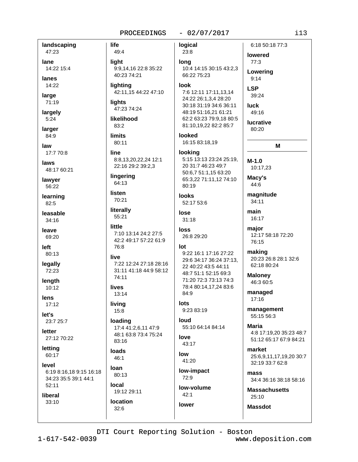### $-02/07/2017$

landscaping life 47:23 light lane 14:22 15:4 lanes 14:22 large 71:19 lights largely  $5:24$ larger 84:9 **limits** law 17:7 70:8 line laws 48:17 60:21 lawyer 56:22 **listen** learning  $82:5$ leasable 34:16 little leave 69:20 left 80:13 live legally 72:23 length lives 10:12 **lens**  $17:12$ living let's 23:7 25:7 letter 27:12 70:22 lettina loads 60:17 level **loan** 6:19 8:16,18 9:15 16:18 34:23 35:5 39:1 44:1  $52:11$ local

logical 49:4 23:8 long 9:9,14,16 22:8 35:22 40:23 74:21 lighting look 42:11,15 44:22 47:10 47:23 74:24 likelihood 83:2 looked  $80:11$ lookina 8:8,13,20,22,24 12:1 22:16 29:2 39:2,3 lingering 64:13 80:19 looks 70:21 52:17 53:6 literally lose 55:21  $31:18$ loss 7:10 13:14 24:2 27:5 26:8 29:20 42:2 49:17 57:22 61:9 76:8 lot 7:22 12:24 27:18 28:16 31:11 41:18 44:9 58:12 74:11 84:9  $13:14$ lots  $9.23.83.19$ 15:8 loud loading 17:4 41:2,6,11 47:9 48:1 63:8 73:4 75:24 love 83:16 43:17 low 46:1  $41:20$ low-impact 80:13  $72:9$ low-volume 19:12 29:11  $42:1$ location lower  $32:6$ 

6:18 50:18 77:3 lowered 77:3 10:4 14:15 30:15 43:2,3 Lowering 66:22 75:23  $9:14$ **LSP** 7:6 12:11 17:11,13,14 39:24 24:22 26:1,3,4 28:20 30:18 31:19 34:6 36:11 luck 48:19 51:16,21 61:21 49:16 62:2 63:23 79:9.18 80:5 lucrative 81:10,19,22 82:2 85:7 80:20 16:15 83:18,19 5:15 13:13 23:24 25:19.  $M-1.0$ 20 31:7 46:23 49:7 10:17.23 50:6.7 51:1.15 63:20 Macy's 65:3,22 71:11,12 74:10 44:6 magnitude  $34:11$ main 16:17 major 76:15 making 9:22 16:1 17:16 27:22 29:6 34:17 36:24 37:13, 22 40:22 43:5 44:11 48:7 51:1 52:15 69:3 **Maloney** 71:20 72:3 73:13 74:3 46:3 60:5 78:4 80:14,17,24 83:6 managed  $17:16$ **Maria** 55:10 64:14 84:14 market mass

M

12:17 58:18 72:20

20:23 26:8 28:1 32:6 62:18 80:24

management 55:15 56:3

> 4:8 17:19.20 35:23 48:7 51:12 65:17 67:9 84:21

> 25:6,9,11,17,19,20 30:7 32:19 33:7 62:8

34:4 36:16 38:18 58:16

**Massachusetts** 25:10

**Massdot** 

 $i13$ 

DTI Court Reporting Solution - Boston

liberal

33:10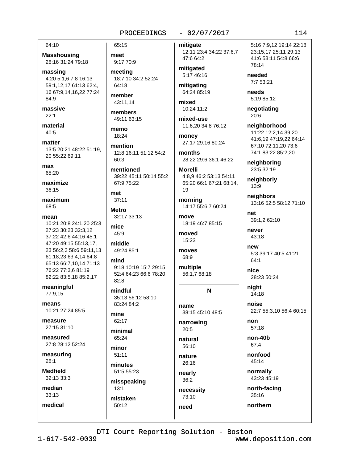### 64:10

**Masshousing** 28:16 31:24 79:18

massing 4:20 5:1.6 7:8 16:13 59:1,12,17 61:13 62:4, 16 67:9,14,16,22 77:24 84:9

massive  $22:1$ 

material 40:5

matter 13:5 20:21 48:22 51:19, 20 55:22 69:11

max 65:20

maximize 36:15

maximum 68:5

- mean
- 10:21 20:8 24:1.20 25:3 27:23 30:23 32:3.12 37:22 42:6 44:16 45:1 47:20 49:15 55:13.17. 23 56:2,3 58:6 59:11,13 61:18.23 63:4.14 64:8 65:13 66:7,10,14 71:13 76:22 77:3,6 81:19 82:22 83:5,18 85:2,17

meaningful 77:9.15

means 10:21 27:24 85:5

measure 27:15 31:10

measured 27:8 28:12 52:24

measuring  $28:1$ 

**Medfield**  $32.13.33.3$ 

median  $33:13$ 

medical

# 65:15

meet 9:17 70:9

meeting 18:7,10 34:2 52:24 64:18

member 43:11.14

members 49:11 63:15

memo 18:24

mention 12:8 16:11 51:12 54:2 60:3

mentioned 39:22 45:11 50:14 55:2 67:9 75:22

 $37:11$ **Metro** 

met

32:17 33:13 mice

middle 49:24 85:1

45:9

mind 9:18 10:19 15:7 29:15 52:4 64:23 66:6 78:20  $82:8$ 

mindful 35:13 56:12 58:10 83:24 84:2

mine 62:17

minimal 65:24

minor  $51:11$ 

minutes 51:5 55:23

misspeaking  $13:1$ mistaken 50:12

mitigate 12:11 23:4 34:22 37:6,7 47:6 64:2

 $-02/07/2017$ 

mitigated 5:17 46:16

mitigating 64:24 85:19

mixed 10:24 11:2

mixed-use 11:6,20 34:8 76:12

money 27:17 29:16 80:24

months 28:22 29:6 36:1 46:22

**Morelli** 4:8,9 46:2 53:13 54:11 65:20 66:1 67:21 68:14, 19

morning 14:17 55:6,7 60:24

move 18:19 46:7 85:15

moved 15:23

moves 68:9

multiple 56:1,7 68:18

N

name 38:15 45:10 48:5

narrowing 20:5

natural 56:10

nature 26:16

nearly  $36:2$ 

necessity 73:10 need

5:16 7:9.12 19:14 22:18 23:15,17 25:11 29:13 41:6 53:11 54:8 66:6 78:14

needed 7:7 53:21

needs 5:19 85:12

negotiating 20:6

neighborhood 11:22 12:2,14 39:20 41:6.19 47:19.22 64:14 67:10 72:11,20 73:6 74:1 83:22 85:2.20

neighboring 23:5 32:19

neighborly 13:9

neighbors 13:16 52:5 58:12 71:10

net 39:1,2 62:10

never 43:18

new 5:3 39:17 40:5 41:21 64:1

nice 28:23 50:24

night  $14:18$ 

noise 22:7 55:3,10 56:4 60:15

 $non$ 57:18

non-40b 67:4

nonfood 45:14

normally 43:23 45:19

north-facing  $35:16$ 

northern

 $1 - 617 - 542 - 0039$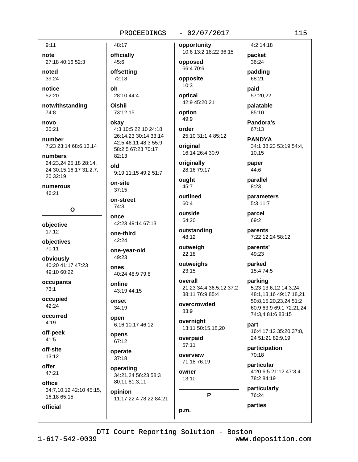# $-02/07/2017$

 $9:11$ note 27:18 40:16 52:3

noted  $39.24$ 

notice 52:20

notwithstanding 74:8

novo 30:21

number 7:23 23:14 68:6,13,14

numbers 24:23,24 25:18 28:14, 24 30:15,16,17 31:2,7,  $20.32 \cdot 19$ 

numerous 46:21

 $\mathbf{o}$ 

objective  $17:12$ 

objectives 70:11

obviously 40:20 41:17 47:23 49:10 60:22

occupants  $73:1$ 

occupied  $42.24$ 

occurred  $4:19$ 

off-peek  $41:5$ 

off-site  $13:12$ 

offer 47:21

official

office 34:7.10.12 42:10 45:15. 16.18 65:15

48:17 officially 45:6 offsettina 72:18 28:10 44:4

**Oishii** 73:12.15

oh

okay 4:3 10:5 22:10 24:18 26:14.23 30:14 33:14 42:5 46:11 48:3 55:9 58:2,5 67:23 70:17  $82:13$ 

old 9:19 11:15 49:2 51:7

on-site  $37:15$ 

on-street  $74:3$ 

once 42:23 49:14 67:13

one-third 42:24

49:23

one-year-old

**ODAS** 40:24 48:9 79:8

online 43:19 44:15

onset 34:19

open 6:16 10:17 46:12

opens 67:12

operate  $37:18$ 

operating 34:21,24 56:23 58:3 80:11 81:3,11 opinion

11:17 22:4 78:22 84:21

opportunity 10:6 13:2 18:22 36:15 opposed

66:4 70:6 opposite  $10:3$ 

optical 42:9 45:20.21

option 49:9

order

25:10 31:1,4 85:12 original 16:14 26:4 30:9

originally 28:16 79:17

ought 45:7

outlined 60:4

outside 64:20

outstanding 48:12

outweigh 22:18

> outweighs  $23:15$

overall 21:23 34:4 36:5,12 37:2 38:11 76:9 85:4

overcrowded 83:9

overnight 13:11 50:15,18,20

overpaid  $57:11$ 

overview 71:18 76:19

owner 13:10 P

10,15 paper  $44:6$ 

4:2 14:18

packet

36:24

padding

57:20.22

palatable

Pandora's

85:10

67:13

**PANDYA** 

34:1 38:23 53:19 54:4,

68:21

paid

parallel 8:23

parameters 5:3 11:7

parcel 69:2

parents 7:22 12:24 58:12

parents' 49:23

parked 15:4 74:5

parking 5:23 13:6,12 14:3,24 48:1.13.16 49:17.18.21 50:8,15,20,23,24 51:2 60:9 63:9 69:1 72:21,24 74:3,4 81:6 83:15

part 16:4 17:12 35:20 37:8, 24 51:21 82:9,19

participation  $70.18$ 

particular 4:20 6:5 21:12 47:3,4 78:2 84:19

particularly

76:24 parties

DTI Court Reporting Solution - Boston

p.m.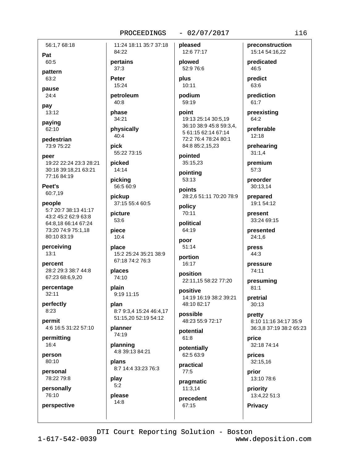# $-02/07/2017$

56:1.7 68:18

Pat 60:5

pattern

63:2

pause  $24:4$ 

pay 13:12

paying

62:10

pedestrian 73:9 75:22

peer 19:22 22:24 23:3 28:21 30:18 39:18.21 63:21 77:16 84:19

Peet's 60:7,19

people 5:7 20:7 38:13 41:17 43:2 45:2 62:9 63:8 64:8.18 66:14 67:24 73:20 74:9 75:1,18 80:10 83:19

perceiving  $13:1$ 

percent 28:2 29:3 38:7 44:8 67:23 68:6.9.20

percentage  $32:11$ 

perfectly  $8:23$ 

permit 4:6 16:5 31:22 57:10

permitting 16:4

person 80:10

personal 78:22 79:8

personally

76:10 perspective

please

 $14:8$ 

PROCEEDINGS 11:24 18:11 35:7 37:18 84:22 pertains plowed  $37:3$ **Peter** plus 15:24 petroleum podium  $40:8$ phase point 34:21 physically  $40:4$ pick 55:22 73:15 picked 14:14 picking 56:5 60:9 points pickup 37:15 55:4 60:5 policy picture 53:6 piece 64:19  $10:4$ poor place 15:2 25:24 35:21 38:9 67:18 74:2 76:3 places 74:10 plain 9:19 11:15 plan 8:7 9:3,4 15:24 46:4,17 51:15,20 52:19 54:12 planner 74:19 planning 4:8 39:13 84:21 plans 8:7 14:4 33:23 76:3 play  $5:2$ 

pleased 12:6 77:17

52:9 76:6

10:11

59:19

19:13 25:14 30:5,19 36:10 38:9 45:8 59:3,4, 5 61:15 62:14 67:14 72:2 76:4 78:24 80:1 84:8 85:2,15,23

pointed 35:15,23

pointing 53:13

28:2,6 51:11 70:20 78:9

70:11 political

 $51:14$ 

portion 16:17

position 22:11,15 58:22 77:20

positive 14:19 16:19 38:2 39:21 48:10 82:17

possible 48:23 55:9 72:17

potential  $61:8$ 

potentially  $62.563.9$ 

practical  $77:5$ 

pragmatic  $11:3.14$ 

precedent 67:15

DTI Court Reporting Solution - Boston

preconstruction 15:14 54:16,22

predicated 46:5

predict 63:6

prediction 61:7

preexisting 64:2

preferable  $12:18$ 

prehearing  $31:1,4$ 

premium

preorder 30:13,14

 $57:3$ 

prepared 19:1 54:12

present 33:24 69:15

presented  $24:1,6$ 

press

44:3 pressure

74:11

presuming  $81:1$ 

pretrial  $30:13$ 

pretty 8:10 11:16 34:17 35:9 36:3,8 37:19 38:2 65:23

price 32:18 74:14

prices 32:15,16

prior 13:10 78:6

priority 13:4,22 51:3

**Privacy** 

 $1 - 617 - 542 - 0039$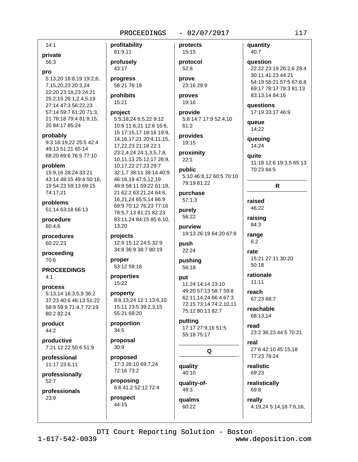# $-02/07/2017$

 $14:1$ 

# private

56:3

#### pro

5:13.20 18:8.19 19:2.6. 7,15,20,23 20:3,24 22:20 23:18,23 24:21 25:2,15 26:1,2,4,5,19 27:14 47:3 56:22,23 57:14 59:7 61:20 71:3, 21 78:18 79:4 81:9.15. 20 84:17 85:24

probably 9:3 16:19,22 25:5 42:4 49:13 51:21 65:14 68:20 69:6 76:5 77:10

#### problem

15:9.16 28:24 33:21 43:14 48:15 49:4 50:16, 19 54:23 59:13 69:15 74:17,21

problems 51:14 63:18 66:13

procedure 60:4.6

procedures 60:22,23

proceeding 70:6

**PROCEEDINGS**  $4:1$ 

# process

5:13,14 16:3,5,9 36:2 37:23 40:6 46:13 51:22 58:9 59:9 71:4.7 72:19 80:2 82:24

product 44:2

productive 7:21 12:22 50:6 51:9

professional 11:17 23:6,11

professionally 52:7

professionals  $23:9$ 

61:9,11 profusely 43:17 progress 58:21 76:18 prohibits 15:21

profitability

# project

5:5,18,24 6:5,22 9:12 10:6 11:6,21 12:6 16:6, 15 17:15,17 18:16 19:9, 14, 16, 17, 21 20: 4, 11, 15, 17,22,23 21:18 22:1 23:2.4.24 24:1.3.5.7.8. 10,11,13 25:12,17 26:9, 10,17,22 27:23 29:7 32:1,7 38:11 39:14 40:9 46:16,19 47:5,12,19 49:8 58:11 59:22 61:18, 21 62:2 63:21,24 64:6, 16,21,24 65:5,14 66:9 69:9 70:12 76:23 77:16 78:5,7,13 81:21 82:23 83:11,24 84:15 85:6,10, 13,20

projects 12:9 15:12 24:5 32:9 34:8 36:9 38:7 80:19

proper 53:12 59:18

properties 15:22

property 8:8,13,24 12:1 13:6,10 15:11 23:5 39:2.3.15 55:21 69:20

proportion  $34:5$ 

proposal  $30:9$ 

proposed 17:3 26:10 69:7,24 72:16 73:2

proposing 6:6 41:2 52:12 72:4

prospect 44:15

protects  $15:15$ 

protocol  $52:8$ prove

23:16 29:9 proves

19:16 provide

5:8 14:7 17:9 52:4,10  $61:2$ 

provides 19:15

proximity  $22:1$ 

public 5:10 46:8.12 60:5 70:10 79:19 81:22

purchase  $57:1,3$ 

purely 56:22

purview 19:13 26:19 64:20 67:6

push 22:24

pushing 56:18

put 11:24 14:14 23:10 49:20 57:13 58:7 59:8 62:11.14.24 66:4 67:3 72:15 73:14 74:2,10,11 75:12 80:13 82:7

putting 17:17 27:9,16 51:5 55:18 75:17

# Q

quality 40:10

quality-of-49:3

60:22

qualms

23:2 36:23 44:5 70:21

15:21 27:11 30:20

27:6 42:10 45:15,18 77:23 78:24

realistic 69:23

realistically 69:8

really 4:19,24 5:14,18 7:6,16,

DTI Court Reporting Solution - Boston

www.deposition.com

 $i17$ 

quantity

question

22:22 23:19 26:2,6 29:4

54:19 56:21 57:5 67:6,8

69:17 78:17 79:3 81:13

11:18 12:6 19:3,5 65:13

 $\mathsf{R}$ 

30:11 41:23 44:21

83:13,14 84:16

17:19 33:17 46:9

questions

queue

14:22

queuing

14:24

70:23 84:5

auite

raised

46:22

raising

84:3

range

 $6:2$ 

rate

 $50:18$ 

rationale

67:23 68:7

reachable

68:13.14

 $11:11$ 

reach

read

real

40:7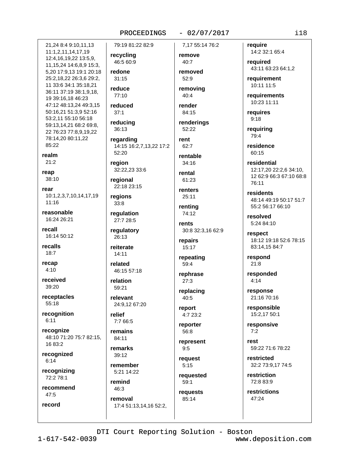# $-02/07/2017$

7.17 55:14 76:2

21.24 8:4 9:10.11.13 11:1,2,11,14,17,19 12:4,16,19,22 13:5,9, 11, 15, 24 14: 6, 8, 9 15: 3, 5,20 17:9,13 19:1 20:18 25:2,18,22 26:3,6 29:2, 11 33:6 34:1 35:18.21 36:11 37:19 38:1,9,18, 19 39:16,18 46:23 47:12 48:13,24 49:3,15 50:16,21 51:3,9 52:16 53:2,11 55:10 56:18 59:13,14,21 68:2 69:8, 22 76:23 77:8,9,19,22 78:14,20 80:11,22 85:22 realm  $21:2$ reap  $38:10$ rear 10:1,2,3,7,10,14,17,19  $11:16$ reasonable 16:24 26:21 recall 16:14 50:12 recalls  $18:7$ recap  $4:10$ received 39:20 receptacles 55:18 recognition  $6:11$ recognize 48:10 71:20 75:7 82:15, 16 83:2 recognized

 $6:14$ 

record

recognizing 72:2 78:1

recommend  $47:5$ 

recycling 46:5 60:9 redone

79:19 81:22 82:9

 $31:15$ reduce

77:10 reduced

 $37:1$ reducing

36:13

regarding 14:15 16:2,7,13,22 17:2  $52:20$ 

region 32:22,23 33:6

regional 22:18 23:15

regions  $33:8$ 

regulation 27:7 28:5

regulatory 26:13

reiterate  $14:11$ 

related 46:15 57:18

relation 59:21

relevant 24:9.12 67:20

relief 7:7 66:5

remains 84:11

remarks  $39:12$ 

remember 5:21 14:22

remind 46:3

removal 17:4 51:13,14,16 52:2, remove 40:7

> removed  $52.9$ removing

 $40:4$ 

render 84:15

renderings 52:22

rent  $62.7$ 

rentable 34:16

rental 61:23

renters  $25:11$ 

rentina 74:12

rents 30:8 32:3,16 62:9

repairs 15:17

repeating 59:4

rephrase  $27:3$ 

replacing  $40:5$ 

report 4:7 23:2

reporter 56:8

represent

 $9:5$ 

request  $5:15$ 

requested  $59:1$ 

requests 85:14

reauire 14:2 32:1 65:4

required 43:11 63:23 64:1,2

requirement 10:11 11:5

requirements 10:23 11:11

requires  $9:18$ 

requiring 79:4

residence 60:15

residential 12:17.20 22:2.6 34:10. 12 62:9 66:3 67:10 68:8 76:11

residents 48:14 49:19 50:17 51:7 55:2 56:17 66:10

resolved 5:24 84:10

respect 18:12 19:18 52:6 78:15 83:14,15 84:7

respond  $21:8$ 

responded  $4:14$ 

response 21:16 70:16

responsible 15:2,17 50:1

responsive  $7:2$ 

rest 59:22 71:6 78:22

restricted 32:2 73:9,17 74:5

restriction 72:8 83:9

restrictions 47:24

DTI Court Reporting Solution - Boston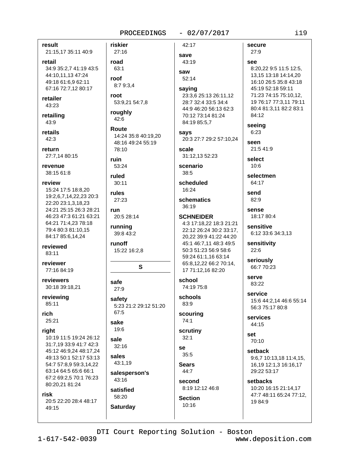#### $-02/07/2017$

result 21:15,17 35:11 40:9

retail 34:9 35:2.7 41:19 43:5 44:10,11,13 47:24 49:18 61:6,9 62:11 67:16 72:7,12 80:17

retailer 43:23

retailing 43:9

retails  $42:3$ 

return 27:7.14 80:15

revenue 38:15 61:8

#### review

15:24 17:5 18:8.20 19:2,6,7,14,22,23 20:3 22:20 23:1,3,18,23 24:21 25:15 26:3 28:21 46:23 47:3 61:21 63:21 64:21 71:4,23 78:18 79:4 80:3 81:10.15 84:17 85:6,14,24

reviewed 83:11

reviewer 77:16 84:19

reviewers 30:18 39:18.21

reviewing 85:11

rich

 $25:21$ 

# right

10:19 11:5 19:24 26:12 31:7,19 33:9 41:7 42:3 45:12 46:9,24 48:17,24 49:13 50:1 52:17 53:13 54:7 57:8,9 59:3,14,22 63:14 64:5 65:6 66:1 67:2 69:2,5 70:1 76:23 80:20,21 81:24

#### risk

20:5 22:20 28:4 48:17 49:15

**Saturday** 

riskier 42:17 27:16 save road 43:19 63:1 saw roof  $52:14$ 8:7 9:3,4 saying root 53:9,21 54:7,8 roughly 42:6 Route says 14:24 35:8 40:19.20 48:16 49:24 55:19 78:10 scale ruin 53:24 scenario 38:5 ruled scheduled  $30:11$ 16:24 rules schematics 27:23  $36:19$ run 20:5 28:14 running 39:8 43:2 runoff 15:22 16:2,8 S school safe 74:19 75:8 27:9 schools safety 83:9 5:23 21:2 29:12 51:20  $67:5$ scouring  $74:1$ sake 19:6 scrutiny  $32:1$ sale 32:16 **Se**  $35:5$ sales 43:1,19 **Sears** 44:7 salesperson's 43:16 second satisfied 58:20 **Section** 

secure 27:9 see 8:20.22 9:5 11:5 12:5. 13,15 13:18 14:14,20 16:10 26:5 35:8 43:18 45:19 52:18 59:11 23:3.6 25:13 26:11.12 28:7 32:4 33:5 34:4 44:9 46:20 56:13 62:3 70:12 73:14 81:24 84:19 85:5,7 20:3 27:7 29:2 57:10.24 seen 31:12.13 52:23 send **SCHNEIDER** 4:3 17:18.22 18:3 21:21 22:12 26:24 30:2 33:17, 20,22 39:9 41:22 44:20 45:1 46:7,11 48:3 49:5 50:3 51:23 56:9 58:6 59:24 61:1,16 63:14 65:8,12,22 66:2 70:14, 17 71:12,16 82:20

8:19 12:12 46:8 10:16

71:23 74:15 75:10.12. 19 76:17 77:3,11 79:11 80:4 81:3,11 82:2 83:1 84:12 seeing  $6:23$ 

21:5 41:9

select  $10:6$ 

selectmen 64:17

82:9 sense

18:17 80:4

sensitive 6:12 33:6 34:3,13

sensitivity 22:6

seriously 66:7 70:23

serve 83:22

service 15:6 44:2,14 46:6 55:14 56:3 75:17 80:8

services 44:15

set 70:10

setback  $9:6,7$  10:13,18 11:4,15, 16,19 12:1,3 16:16,17 29:22 53:17

setbacks 10:20 16:15 21:14,17 47:7 48:11 65:24 77:12, 19 84:9

DTI Court Reporting Solution - Boston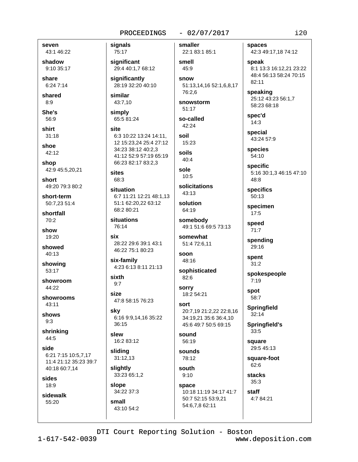### seven 43:1 46:22

shadow 9:10 35:17

share 6:24 7:14

shared  $8.9$ 

She's 56:9

shirt  $31:18$ 

shoe 42:12

shop 42:9 45:5,20,21

short 49:20 79:3 80:2

short-term 50:7.23 51:4

shortfall 70:2

show 19:20

showed 40:13

showing 53:17

showroom  $44:22$ 

showrooms  $43.11$ 

shows  $9:3$ 

shrinking  $44:5$ 

side 6:21 7:15 10:5,7,17 11:4 21:12 35:23 39:7 40:18 60:7,14

sides 18:9

sidewalk 55:20

75:17 significant 29:4 40:1,7 68:12 significantly 28:19 32:20 40:10 similar 43:7,10

simply 65:5 81:24

signals

site 6:3 10:22 13:24 14:11. 12 15:23,24 25:4 27:12 34:23 38:12 40:2,3 41:12 52:9 57:19 65:19 66:23 82:17 83:2,3

### sites 68:3

situation 6:7 11:21 12:21 48:1,13 51:1 62:20,22 63:12 68:2 80:21

situations 76:14

six 28:22 29:6 39:1 43:1 46:22 75:1 80:23

six-family 4:23 6:13 8:11 21:13

sixth  $9:7$ 

SİZA 47:8 58:15 76:23

sky 6:16 9:9,14,16 35:22  $36:15$ 

slew 16:2 83:12

slidina  $31:12,13$ 

slightly 33:23 65:1,2

slope 34:22 37:3 small

43:10 54:2

smaller

 $-02/07/2017$ 

22:1 83:1 85:1 smell 45:9 snow 51:13,14,16 52:1,6,8,17 76:2.6

snowstorm  $51:17$ 

so-called 42:24 soil

15:23 soils

 $40:4$ sole

 $10.5$ 

solicitations  $43:13$ 

solution 64:19

somebody 49:1 51:6 69:5 73:13

somewhat 51:4 72:6,11

soon 48:16

sophisticated 82:6

**sorry** 18:2 54:21

sort 20:7,19 21:2,22 22:8,16 34:19,21 35:6 36:4,10 45:6 49:7 50:5 69:15

### sound 56:19

sounds 78:12

south  $9:10$ space 10:18 11:19 34:17 41:7 50:7 52:15 53:9,21 54:6,7,8 62:11

spaces 42:3 49:17,18 74:12

speak 8:1 13:3 16:12.21 23:22 48:4 56:13 58:24 70:15 82:11

speaking 25:12 43:23 56:1,7 58:23 68:18

spec'd  $14:3$ 

special 43:24 57:9

species 54:10

specific 5:16 30:1,3 46:15 47:10 48:8

specifics  $50:13$ 

specimen  $17:5$ 

speed  $71:7$ 

spending

29:16

spent  $31:2$ 

spokespeople  $7:19$ 

spot 58:7

**Springfield**  $32:14$ 

Springfield's 33:5

square 29:5 45:13

square-foot 62:6

**stacks**  $35:3$ 

staff 4:7 84:21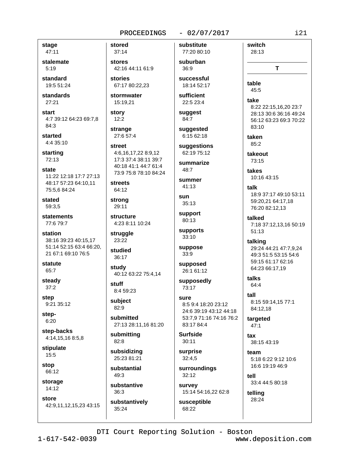### $-02/07/2017$

stage 47:11

stalemate  $5:19$ 

standard 19:5 51:24

standards 27:21

start 4:7 39:12 64:23 69:7,8 84:3

started 4:4 35:10

starting 72:13

state 11:22 12:18 17:7 27:13 48:17 57:23 64:10,11 75:5,6 84:24

stated 59:3.5

statements 77:679:7

station 38:16 39:23 40:15,17 51:14 52:15 63:4 66:20, 21 67:1 69:10 76:5

statute 65:7

steady  $37:2$ 

step 9:21 35:12

step- $6:20$ 

step-backs 4:14,15,16 8:5,8

stipulate  $15:5$ 

stop 66:12

storage  $14:12$ 

store 42:9,11,12,15,23 43:15 stored  $37:14$ 

stores 42:16 44:11 61:9

stories 67:17 80:22,23

stormwater 15:19.21

story  $12:2$ 

strange 27:6 57:4

street 4:6,16,17,22 8:9,12 17:3 37:4 38:11 39:7 40:18 41:1 44:7 61:4 73:9 75:8 78:10 84:24

**streets** 64:12

strong 29:11

structure 4:23 8:11 10:24

struggle 23:22

studied 36:17

study 40:12 63:22 75:4,14

stuff 8:4 59:23

subject 82:9

submitted 27:13 28:11,16 81:20

submitting 82:8

subsidizing 25:23 81:21

substantial  $49:3$ 

substantive  $36:3$ 

35:24

substantively

substitute 77:20 80:10 suburban

36:9 successful

18:14 52:17

sufficient 22:5 23:4

suggest 84:7

suaaested 6:15 62:18

suggestions 62:19 75:12

summarize  $48.7$ 

summer 41:13

sun  $35:13$ 

support 80:13

supports  $33:10$ 

suppose 33:9

supposed 26:1 61:12

supposedly 73:17

SUITE 8:5 9:4 18:20 23:12 24:6 39:19 43:12 44:18 53:7,9 71:16 74:16 76:2 83:17 84:4

**Surfside**  $30:11$ 

surprise  $32:4.5$ 

surroundings 32:12 survey

15:14 54:16,22 62:8 susceptible

68:22

take 8:22 22:15.16.20 23:7 28:13 30:6 36:16 49:24 56:12 63:23 69:3 70:22  $83:10$ taken  $85.2$ takeout 73:15 takes 10:16 43:15 talk 18:9 37:17 49:10 53:11 59:20,21 64:17,18 76:20 82:12,13 talked

T

switch

28:13

table

 $45.5$ 

7:18 37:12,13,16 50:19  $51:13$ 

talking 29:24 44:21 47:7,9,24 49:3 51:5 53:15 54:6 59:15 61:17 62:16 64:23 66:17.19

talks  $64:4$  $f<sub>2</sub>$ 

8:15 59:14,15 77:1 84:12,18

targeted  $47:1$ 

 $\mathbf{f}$ 38:15 43:19

team 5:18 6:22 9:12 10:6 16:6 19:19 46:9

tell 33:4 44:5 80:18

telling 28:24

DTI Court Reporting Solution - Boston

www.deposition.com

i21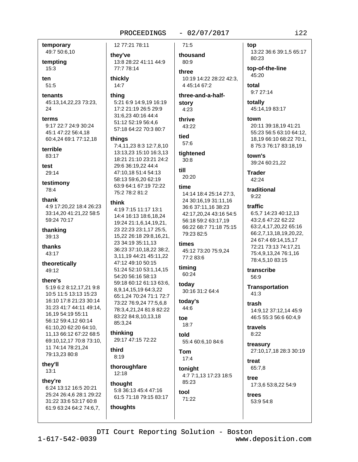### $-02/07/2017$

temporary 49:7 50:6,10

tempting

 $15:3$ 

ten 51:5

tenants 45:13,14,22,23 73:23, 24

terms 9:17 22:7 24:9 30:24 45:1 47:22 56:4,18 60:4,24 69:1 77:12,18

terrible

83:17

test 29:14

testimony 78:4

thank

4:9 17:20,22 18:4 26:23 33:14,20 41:21,22 58:5 59:24 70:17

thanking 39:13

thanks 43:17

theoretically 49:12

### there's

5:19 6:2 8:12,17,21 9:8 10:5 11:5 13:13 15:23 16:10 17:8 21:23 30:14 31:23 41:7 44:11 49:14, 16,19 54:19 55:11 56:12 59:4,12 60:14 61:10,20 62:20 64:10, 11,13 66:12 67:22 68:5 69:10,12,17 70:8 73:10, 11 74:14 78:21,24 79:13,23 80:8

they'll  $13:1$ 

they're 6:24 13:12 16:5 20:21 25:24 26:4.6 28:1 29:22 31:22 33:6 53:17 60:8

61:9 63:24 64:2 74:6,7,

they've 13:8 28:22 41:11 44:9 77:7 78:14

12 77:21 78:11

thickly  $14:7$ 

### thina

5:21 6:9 14:9,19 16:19 17:2 21:19 26:5 29:9 31:6,23 40:16 44:4 51:12 52:19 56:4,6 57:18 64:22 70:3 80:7

### things

7:4,11,23 8:3 12:7,8,10 13:13.23 15:10 16:3.13 18:21 21:10 23:21 24:2 29:6 36:19,22 44:4 47:10.18 51:4 54:13 58:13 59:6,20 62:19 63:9 64:1 67:19 72:22 75:2 78:2 81:2

#### think

4:19 7:15 11:17 13:1 14:4 16:13 18:6.18.24 19:24 21:1,6,14,19,21, 23 22:23 23:1.17 25:5. 15,22 26:18 29:8,16,21, 23 34:19 35:11,13 36:23 37:10,18,22 38:2, 3,11,19 44:21 45:11,22 47:12 49:10 50:15 51:24 52:10 53:1,14,15 54:20 56:16 58:13 59:18 60:12 61:13 63:6, 8,9,14,15,19 64:3,22 65:1,24 70:24 71:1 72:7 73:22 76:9.24 77:5.6.8 78:3.4.21.24 81:8 82:22 83:22 84:8,10,13,18 85:3,24 thinking

29:17 47:15 72:22

third  $8:19$ 

thoroughfare 12:18

# thought 5:8 36:13 45:4 47:16

61:5 71:18 79:15 83:17 thoughts

 $71:5$ 

thousand 80:9 three

10:19 14:22 28:22 42:3. 4 45:14 67:2

three-and-a-halfstory  $4:23$ 

# thrive 43:22

tied 57:6

tightened  $30:8$ 

till 20:20

### time

14:14 18:4 25:14 27:3. 24 30:16,19 31:11,16 36:6 37:11,16 38:23 42:17,20,24 43:16 54:5 56:18 59:2 63:17,19 66:22 68:7 71:18 75:15 79:23 82:5

### times

45:12 73:20 75:9,24 77:2 83:6

### timina

60:24 today 30:16 31:2 64:4

today's 44:6

### toe  $18:7$

hlot 55:4 60:6,10 84:6

Tom  $17:4$ 

tool

tonight 4:7 7:1,13 17:23 18:5 85:23

# 71:22

### top

13:22 36:6 39:1,5 65:17 80:23

top-of-the-line 45:20

total 9:7 27:14

totally 45:14,19 83:17

town 20:11 39:18,19 41:21 55:23 56:5 63:10 64:12, 18,19 66:10 68:22 70:1,

8 75:3 76:17 83:18,19 town's 39:24 60:21,22

**Trader** 42:24

### traditional  $9:22$

traffic

### 6:5,7 14:23 40:12,13 43:2,6 47:22 62:22 63:2,4,17,20,22 65:16 66:2,7,13,18,19,20,22, 24 67:4 69:14,15,17 72:21 73:13 74:17.21 75:4,9,13,24 76:1,16 78:4,5,10 83:15

transcribe 56:9

**Transportation**  $41:3$ 

trash 14:9,12 37:12,14 45:9 46:5 55:3 56:6 60:4,9

travels  $8:22$ 

treasury 27:10,17,18 28:3 30:19

treat 65:7,8

tree 17:3,6 53:8,22 54:9

trees 53:9 54:8

www.deposition.com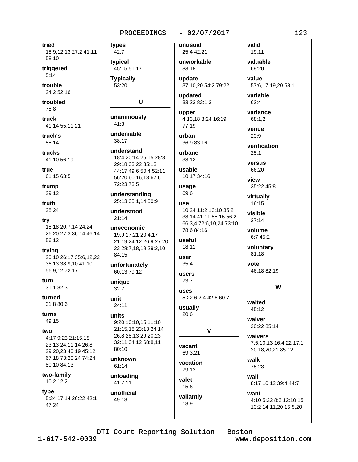### $-02/07/2017$

tried

18:9,12,13 27:2 41:11 58:10

triggered  $5:14$ 

trouble 24:2 52:16

troubled 78:8

truck 41:14 55:11,21

truck's  $55:14$ 

trucks 41:10 56:19

true 61:15 63:5

trump 29:12

truth 28:24

try 18:18 20:7,14 24:24 26:20 27:3 36:14 46:14 56:13

trying 20:10 26:17 35:6,12,22 36:13 38:9.10 41:10 56:9,12 72:17

turn 31:1 82:3

turned 31:8 80:6

turns 49:15

### two

4:17 9:23 21:15.18 23:13 24:11,14 26:8 29:20.23 40:19 45:12 67:18 73:20,24 74:24 80:10 84:13

two-family 10:2 12:2

type 5:24 17:14 26:22 42:1 47:24

types 42:7 typical

45:15 51:17 **Typically** 

53:20

# U

unanimously  $41:3$ 

undeniable  $38:17$ 

understand 18:4 20:14 26:15 28:8 29:18 33:22 35:13 44:17 49:6 50:4 52:11 56:20 60:16.18 67:6 72:23 73:5

understanding 25:13 35:1,14 50:9

understood  $21:14$ 

uneconomic 19:9,17,21 20:4,17 21:19 24:12 26:9 27:20, 22 28:7,18,19 29:2,10 84:15

unfortunately 60:13 79:12

unique  $32:7$ 

unit 24:11

### units

9:20 10:10.15 11:10 21:15,18 23:13 24:14 26:8 28:13 29:20,23 32:11 34:12 68:8,11 80:10

unknown 61:14

unloading 41:7,11

unofficial 49:18

unusual 25:4 42:21

unworkable 83:18 update

37:10,20 54:2 79:22

updated 33:23 82:1,3

upper 4:13,18 8:24 16:19 77:19

urban 36:9 83:16 urbane

38:12

usable 10:17 34:16

### usage 69:6

use 10:24 11:2 13:10 35:2 38:14 41:11 55:15 56:2 66:3,4 72:6,10,24 73:10 78.684.16

### useful 18:11

user  $35:4$ 

users  $73:7$ 

uses 5:22 6:2.4 42:6 60:7

usually  $20:6$ 

# $\mathbf{V}$

vacant 69:3.21 vacation

79:13 valet

15:6 valiantly  $18:9$ 

valuable 69:20

value 57:6,17,19,20 58:1

variable  $62:4$ 

variance 68:1,2

valid

19:11

venue  $23:9$ 

verification  $25:1$ 

versus

66:20

view

35:22 45:8 virtually

16:15

visible  $37:14$ 

volume  $6:745:2$ 

voluntary 81:18

vote

46:18 82:19

# W

waited 45:12

waiver 20:22 85:14

waivers 7:5,10,13 16:4,22 17:1 20:18,20,21 85:12

walk 75:23

wall 8:17 10:12 39:4 44:7

want 4:10 5:22 8:3 12:10,15 13:2 14:11,20 15:5,20

DTI Court Reporting Solution - Boston

www.deposition.com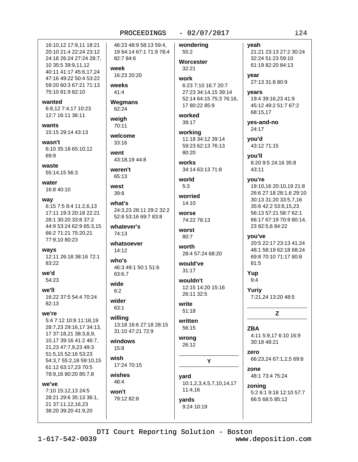### $-02/07/2017$

16:10.12 17:9.11 18:21 20:10 21:4 22:24 23:12 24:18 26:24 27:24 28:7, 10 35:5 39:9,11,12 40:11 41:17 45:6,17,24 47:16 49:22 50:4 53:22 59:20 60:3 67:21 71:13 75:10 81:9 82:10

wanted

6:8,12 7:4,17 10:23 12:7 16:11 36:11

wants 15:15 29:14 43:13

wasn't 6:10 35:18 65:10,12 69:9

waste 55:14.15 56:3

water 16:8 40:10

way

6:15 7:5 8:4 11:2.6.13 17:11 19:3 20:18 22:21 28:1 30:20 33:8 37:2 44:9 53:24 62:9 65:3,15 66:2 71:21 75:20,21 77:9,10 80:23

wavs

12:11 26:18 38:16 72:1 83:22

we'd 54:23

we'll 16:22 37:5 54:4 70:24  $82:13$ 

we're

5:4 7:12 10:8 11:18.19 28:7,23 29:16,17 34:13, 17 37:18,21 38:3,8,9, 10,17 39:16 41:2 46:7, 21,23 47:7,9,23 49:3 51:5,15 52:16 53:23 54:3.7 55:2.18 59:10.15 61:12 63:17,23 70:5 78:9,16 80:20 85:7,8

we've

7:10 15:12,13 24:5 28:21 29:6 35:13 36:1. 21 37:11,12,16,23 38:20 39:20 41:9,20

46:23 48:9 58:13 59:4. 19 64:14 67:1 71:9 78:4 82:7 84:6 week

16:23 20:20

weeks  $41:4$ 

Wegmans 62:24

weigh 70:11

welcome  $33:16$ 

went 43:18,19 44:8

weren't 65:13

west  $39:8$ 

what's 24:3,23 28:11 29:2 32:2 52:8 53:16 69:7 83:8

whatever's  $74.13$ 

whatsoever  $14:12$ 

who's 46:3 49:1 50:1 51:6

63:6,7 wide  $6:2$ 

wider 63:1

willing 13:18 16:6 27:18 28:15

31:10 47:21 72:9

windows  $15:8$ 

wish 17:24 70:15

wishes 48:4

won't 79:12 82:8 wondering 55:2 Worcester  $32:21$ work 6:23 7:10 16:7 20:7 27:23 34:14,15 39:14 52:14 64:15 75:3 76:16. 17 80:22 85:9 worked 39:17 working

11:18 34:12 39:14 59:23 62:13 76:13  $80:20$ 

**works** 34:14 63:13 71:8

world  $5:3$ 

worried 14:10

worse 74:22 78:13

worst 80:7

worth 28:4 57:24 68:20

would've  $31:17$ 

wouldn't 12:15 14:20 15:16 26:11 32:5

write  $51:18$ 

written 56:15

wrong 26:12

Y

yard 10:1,2,3,4,5,7,10,14,17 11:4.16 vards

9:24 10:19

yeah

21:21 23:13 27:2 30:24 32:24 51:23 59:10 61:19 82:20 84:13

vear 27:13 31:8 80:9

vears 19:4 39:16.23 41:9 45:12 49:2 51:7 67:2 68:15,17

yes-and-no 24:17

you'd 43:12 71:15

vou'll 8:20 9:5 24:16 35:8  $43:11$ 

you're

19:10,16 20:10,19 21:8 26:6 27:18 28:1,6 29:10 30:13 31:20 33:5,7,16 35:6 42:2 53:8.15.23 56:13 57:21 58:7 62:1 66:17 67:19 70:9 80:14, 23 82:5,6 84:22

you've 20:5 22:17 23:13 41:24 48:1 58:19 62:18 68:24 69:8 70:10 71:17 80:8 81:5

Yup  $9:4$ 

> Yuriy 7:21,24 13:20 48:5

> > Z

**ZBA** 4:11 5:9.17 6:10 16:9 30:18 48:21

zero 66:23,24 67:1,2,5 69:8

zone 48:1 73:4 75:24

zoning 5:2 6:1 9:18 12:10 57:7 66:5 68:5 85:12

DTI Court Reporting Solution - Boston

www.deposition.com